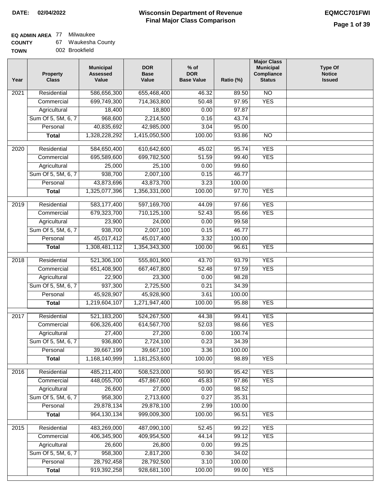### **Wisconsin Department of Revenue Final Major Class Comparison DATE: 02/04/2022 EQMCC701FWI**

# **EQ ADMIN AREA** 77 Milwaukee

| <b>COUNTY</b> | 67 | Waukesha County |
|---------------|----|-----------------|
| <b>TOWN</b>   |    | 002 Brookfield  |

| Year             | <b>Property</b><br><b>Class</b> | <b>Municipal</b><br><b>Assessed</b><br>Value | <b>DOR</b><br><b>Base</b><br>Value | $%$ of<br><b>DOR</b><br><b>Base Value</b> | Ratio (%) | <b>Major Class</b><br><b>Municipal</b><br>Compliance<br><b>Status</b> | <b>Type Of</b><br><b>Notice</b><br><b>Issued</b> |
|------------------|---------------------------------|----------------------------------------------|------------------------------------|-------------------------------------------|-----------|-----------------------------------------------------------------------|--------------------------------------------------|
| 2021             | Residential                     | 586,656,300                                  | 655,468,400                        | 46.32                                     | 89.50     | $\overline{NO}$                                                       |                                                  |
|                  | Commercial                      | 699,749,300                                  | 714,363,800                        | 50.48                                     | 97.95     | <b>YES</b>                                                            |                                                  |
|                  | Agricultural                    | 18,400                                       | 18,800                             | 0.00                                      | 97.87     |                                                                       |                                                  |
|                  | Sum Of 5, 5M, 6, 7              | 968,600                                      | 2,214,500                          | 0.16                                      | 43.74     |                                                                       |                                                  |
|                  | Personal                        | 40,835,692                                   | 42,985,000                         | 3.04                                      | 95.00     |                                                                       |                                                  |
|                  | <b>Total</b>                    | 1,328,228,292                                | 1,415,050,500                      | 100.00                                    | 93.86     | $\overline{NO}$                                                       |                                                  |
| 2020             | Residential                     | 584,650,400                                  | 610,642,600                        | 45.02                                     | 95.74     | <b>YES</b>                                                            |                                                  |
|                  | Commercial                      | 695,589,600                                  | 699,782,500                        | 51.59                                     | 99.40     | <b>YES</b>                                                            |                                                  |
|                  | Agricultural                    | 25,000                                       | 25,100                             | 0.00                                      | 99.60     |                                                                       |                                                  |
|                  | Sum Of 5, 5M, 6, 7              | 938,700                                      | 2,007,100                          | 0.15                                      | 46.77     |                                                                       |                                                  |
|                  | Personal                        | 43,873,696                                   | 43,873,700                         | 3.23                                      | 100.00    |                                                                       |                                                  |
|                  | <b>Total</b>                    | 1,325,077,396                                | 1,356,331,000                      | 100.00                                    | 97.70     | <b>YES</b>                                                            |                                                  |
| $\frac{1}{2019}$ | Residential                     | 583,177,400                                  | 597,169,700                        | 44.09                                     | 97.66     | <b>YES</b>                                                            |                                                  |
|                  | Commercial                      | 679,323,700                                  | 710,125,100                        | 52.43                                     | 95.66     | <b>YES</b>                                                            |                                                  |
|                  | Agricultural                    | 23,900                                       | 24,000                             | 0.00                                      | 99.58     |                                                                       |                                                  |
|                  | Sum Of 5, 5M, 6, 7              | 938,700                                      | 2,007,100                          | 0.15                                      | 46.77     |                                                                       |                                                  |
|                  | Personal                        | 45,017,412                                   | 45,017,400                         | 3.32                                      | 100.00    |                                                                       |                                                  |
|                  | <b>Total</b>                    | 1,308,481,112                                | 1,354,343,300                      | 100.00                                    | 96.61     | <b>YES</b>                                                            |                                                  |
| 2018             | Residential                     | 521,306,100                                  | 555,801,900                        | 43.70                                     | 93.79     | <b>YES</b>                                                            |                                                  |
|                  | Commercial                      | 651,408,900                                  | 667,467,800                        | 52.48                                     | 97.59     | <b>YES</b>                                                            |                                                  |
|                  | Agricultural                    | 22,900                                       | 23,300                             | 0.00                                      | 98.28     |                                                                       |                                                  |
|                  | Sum Of 5, 5M, 6, 7              | 937,300                                      | 2,725,500                          | 0.21                                      | 34.39     |                                                                       |                                                  |
|                  | Personal                        | 45,928,907                                   | 45,928,900                         | 3.61                                      | 100.00    |                                                                       |                                                  |
|                  | <b>Total</b>                    | 1,219,604,107                                | 1,271,947,400                      | 100.00                                    | 95.88     | <b>YES</b>                                                            |                                                  |
| 2017             | Residential                     | 521,183,200                                  | 524,267,500                        | 44.38                                     | 99.41     | <b>YES</b>                                                            |                                                  |
|                  | Commercial                      | 606,326,400                                  | 614,567,700                        | 52.03                                     | 98.66     | <b>YES</b>                                                            |                                                  |
|                  | Agricultural                    | 27,400                                       | 27,200                             | 0.00                                      | 100.74    |                                                                       |                                                  |
|                  | Sum Of 5, 5M, 6, 7              | 936,800                                      | 2,724,100                          | 0.23                                      | 34.39     |                                                                       |                                                  |
|                  | Personal                        | 39,667,199                                   | 39,667,100                         | 3.36                                      | 100.00    |                                                                       |                                                  |
|                  | <b>Total</b>                    | 1,168,140,999                                | 1,181,253,600                      | 100.00                                    | 98.89     | <b>YES</b>                                                            |                                                  |
| 2016             | Residential                     | 485,211,400                                  | 508,523,000                        | 50.90                                     | 95.42     | <b>YES</b>                                                            |                                                  |
|                  | Commercial                      | 448,055,700                                  | 457,867,600                        | 45.83                                     | 97.86     | <b>YES</b>                                                            |                                                  |
|                  | Agricultural                    | 26,600                                       | 27,000                             | 0.00                                      | 98.52     |                                                                       |                                                  |
|                  | Sum Of 5, 5M, 6, 7              | 958,300                                      | 2,713,600                          | 0.27                                      | 35.31     |                                                                       |                                                  |
|                  | Personal                        | 29,878,134                                   | 29,878,100                         | 2.99                                      | 100.00    |                                                                       |                                                  |
|                  | <b>Total</b>                    | 964,130,134                                  | 999,009,300                        | 100.00                                    | 96.51     | <b>YES</b>                                                            |                                                  |
| 2015             | Residential                     | 483,269,000                                  | 487,090,100                        | 52.45                                     | 99.22     | <b>YES</b>                                                            |                                                  |
|                  | Commercial                      | 406,345,900                                  | 409,954,500                        | 44.14                                     | 99.12     | <b>YES</b>                                                            |                                                  |
|                  | Agricultural                    | 26,600                                       | 26,800                             | 0.00                                      | 99.25     |                                                                       |                                                  |
|                  | Sum Of 5, 5M, 6, 7              | 958,300                                      | 2,817,200                          | 0.30                                      | 34.02     |                                                                       |                                                  |
|                  | Personal                        | 28,792,458                                   | 28,792,500                         | 3.10                                      | 100.00    |                                                                       |                                                  |
|                  | <b>Total</b>                    | 919,392,258                                  | 928,681,100                        | 100.00                                    | 99.00     | <b>YES</b>                                                            |                                                  |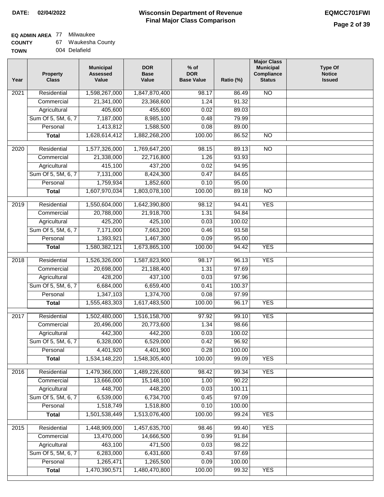### **EQ ADMIN AREA** 77 Milwaukee

| <b>COUNTY</b> |  | Waukesha County |  |
|---------------|--|-----------------|--|
|---------------|--|-----------------|--|

| <b>TOWN</b> | 004 Delafield |
|-------------|---------------|
|             |               |

| Year              | Property<br><b>Class</b> | <b>Municipal</b><br><b>Assessed</b><br>Value | <b>DOR</b><br><b>Base</b><br>Value | $%$ of<br><b>DOR</b><br><b>Base Value</b> | Ratio (%) | <b>Major Class</b><br><b>Municipal</b><br>Compliance<br><b>Status</b> | <b>Type Of</b><br><b>Notice</b><br><b>Issued</b> |
|-------------------|--------------------------|----------------------------------------------|------------------------------------|-------------------------------------------|-----------|-----------------------------------------------------------------------|--------------------------------------------------|
| $\overline{202}1$ | Residential              | 1,598,267,000                                | 1,847,870,400                      | 98.17                                     | 86.49     | <b>NO</b>                                                             |                                                  |
|                   | Commercial               | 21,341,000                                   | 23,368,600                         | 1.24                                      | 91.32     |                                                                       |                                                  |
|                   | Agricultural             | 405,600                                      | 455,600                            | 0.02                                      | 89.03     |                                                                       |                                                  |
|                   | Sum Of 5, 5M, 6, 7       | 7,187,000                                    | 8,985,100                          | 0.48                                      | 79.99     |                                                                       |                                                  |
|                   | Personal                 | 1,413,812                                    | 1,588,500                          | 0.08                                      | 89.00     |                                                                       |                                                  |
|                   | <b>Total</b>             | 1,628,614,412                                | 1,882,268,200                      | 100.00                                    | 86.52     | $\overline{NO}$                                                       |                                                  |
| 2020              | Residential              | 1,577,326,000                                | 1,769,647,200                      | 98.15                                     | 89.13     | $\overline{NO}$                                                       |                                                  |
|                   | Commercial               | 21,338,000                                   | 22,716,800                         | 1.26                                      | 93.93     |                                                                       |                                                  |
|                   | Agricultural             | 415,100                                      | 437,200                            | 0.02                                      | 94.95     |                                                                       |                                                  |
|                   | Sum Of 5, 5M, 6, 7       | 7,131,000                                    | 8,424,300                          | 0.47                                      | 84.65     |                                                                       |                                                  |
|                   | Personal                 | 1,759,934                                    | 1,852,600                          | 0.10                                      | 95.00     |                                                                       |                                                  |
|                   | <b>Total</b>             | 1,607,970,034                                | 1,803,078,100                      | 100.00                                    | 89.18     | $\overline{NO}$                                                       |                                                  |
| 2019              | Residential              | 1,550,604,000                                | 1,642,390,800                      | 98.12                                     | 94.41     | <b>YES</b>                                                            |                                                  |
|                   | Commercial               | 20,788,000                                   | 21,918,700                         | 1.31                                      | 94.84     |                                                                       |                                                  |
|                   | Agricultural             | 425,200                                      | 425,100                            | 0.03                                      | 100.02    |                                                                       |                                                  |
|                   | Sum Of 5, 5M, 6, 7       | 7,171,000                                    | 7,663,200                          | 0.46                                      | 93.58     |                                                                       |                                                  |
|                   | Personal                 | 1,393,921                                    | 1,467,300                          | 0.09                                      | 95.00     |                                                                       |                                                  |
|                   | <b>Total</b>             | 1,580,382,121                                | 1,673,865,100                      | 100.00                                    | 94.42     | <b>YES</b>                                                            |                                                  |
| 2018              | Residential              | 1,526,326,000                                | 1,587,823,900                      | 98.17                                     | 96.13     | <b>YES</b>                                                            |                                                  |
|                   | Commercial               | 20,698,000                                   | 21,188,400                         | 1.31                                      | 97.69     |                                                                       |                                                  |
|                   | Agricultural             | 428,200                                      | 437,100                            | 0.03                                      | 97.96     |                                                                       |                                                  |
|                   | Sum Of 5, 5M, 6, 7       | 6,684,000                                    | 6,659,400                          | 0.41                                      | 100.37    |                                                                       |                                                  |
|                   | Personal                 | 1,347,103                                    | 1,374,700                          | 0.08                                      | 97.99     |                                                                       |                                                  |
|                   | <b>Total</b>             | 1,555,483,303                                | 1,617,483,500                      | 100.00                                    | 96.17     | <b>YES</b>                                                            |                                                  |
| 2017              | Residential              | 1,502,480,000                                | 1,516,158,700                      | 97.92                                     | 99.10     | <b>YES</b>                                                            |                                                  |
|                   | Commercial               | 20,496,000                                   | 20,773,600                         | 1.34                                      | 98.66     |                                                                       |                                                  |
|                   | Agricultural             | 442,300                                      | 442,200                            | 0.03                                      | 100.02    |                                                                       |                                                  |
|                   | Sum Of 5, 5M, 6, 7       | 6,328,000                                    | 6,529,000                          | 0.42                                      | 96.92     |                                                                       |                                                  |
|                   | Personal                 | 4,401,920                                    | 4,401,900                          | 0.28                                      | 100.00    |                                                                       |                                                  |
|                   | <b>Total</b>             | 1,534,148,220                                | 1,548,305,400                      | 100.00                                    | 99.09     | <b>YES</b>                                                            |                                                  |
| 2016              | Residential              | 1,479,366,000                                | 1,489,226,600                      | 98.42                                     | 99.34     | <b>YES</b>                                                            |                                                  |
|                   | Commercial               | 13,666,000                                   | 15,148,100                         | 1.00                                      | 90.22     |                                                                       |                                                  |
|                   | Agricultural             | 448,700                                      | 448,200                            | 0.03                                      | 100.11    |                                                                       |                                                  |
|                   | Sum Of 5, 5M, 6, 7       | 6,539,000                                    | 6,734,700                          | 0.45                                      | 97.09     |                                                                       |                                                  |
|                   | Personal                 | 1,518,749                                    | 1,518,800                          | 0.10                                      | 100.00    |                                                                       |                                                  |
|                   | <b>Total</b>             | 1,501,538,449                                | 1,513,076,400                      | 100.00                                    | 99.24     | <b>YES</b>                                                            |                                                  |
| 2015              | Residential              | 1,448,909,000                                | 1,457,635,700                      | 98.46                                     | 99.40     | <b>YES</b>                                                            |                                                  |
|                   | Commercial               | 13,470,000                                   | 14,666,500                         | 0.99                                      | 91.84     |                                                                       |                                                  |
|                   | Agricultural             | 463,100                                      | 471,500                            | 0.03                                      | 98.22     |                                                                       |                                                  |
|                   | Sum Of 5, 5M, 6, 7       | 6,283,000                                    | 6,431,600                          | 0.43                                      | 97.69     |                                                                       |                                                  |
|                   | Personal                 | 1,265,471                                    | 1,265,500                          | 0.09                                      | 100.00    |                                                                       |                                                  |
|                   | <b>Total</b>             | 1,470,390,571                                | 1,480,470,800                      | 100.00                                    | 99.32     | <b>YES</b>                                                            |                                                  |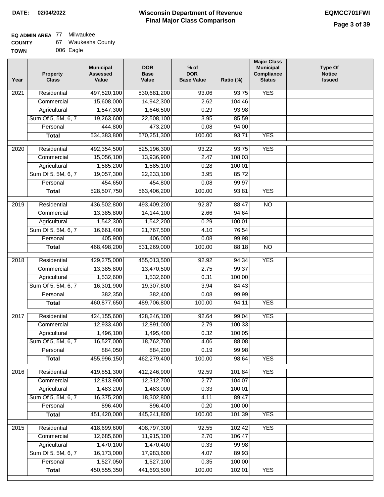# **EQ ADMIN AREA** 77 Milwaukee

| <b>COUNTY</b> | Waukesha County |  |
|---------------|-----------------|--|
|               |                 |  |

**TOWN** 006 Eagle

| Year | <b>Property</b><br><b>Class</b> | <b>Municipal</b><br><b>Assessed</b><br>Value | <b>DOR</b><br><b>Base</b><br>Value | $%$ of<br><b>DOR</b><br><b>Base Value</b> | Ratio (%) | <b>Major Class</b><br><b>Municipal</b><br>Compliance<br><b>Status</b> | <b>Type Of</b><br><b>Notice</b><br><b>Issued</b> |
|------|---------------------------------|----------------------------------------------|------------------------------------|-------------------------------------------|-----------|-----------------------------------------------------------------------|--------------------------------------------------|
| 2021 | Residential                     | 497,520,100                                  | 530,681,200                        | 93.06                                     | 93.75     | <b>YES</b>                                                            |                                                  |
|      | Commercial                      | 15,608,000                                   | 14,942,300                         | 2.62                                      | 104.46    |                                                                       |                                                  |
|      | Agricultural                    | 1,547,300                                    | 1,646,500                          | 0.29                                      | 93.98     |                                                                       |                                                  |
|      | Sum Of 5, 5M, 6, 7              | 19,263,600                                   | 22,508,100                         | 3.95                                      | 85.59     |                                                                       |                                                  |
|      | Personal                        | 444,800                                      | 473,200                            | 0.08                                      | 94.00     |                                                                       |                                                  |
|      | <b>Total</b>                    | 534,383,800                                  | 570,251,300                        | 100.00                                    | 93.71     | <b>YES</b>                                                            |                                                  |
| 2020 | Residential                     | 492,354,500                                  | 525,196,300                        | 93.22                                     | 93.75     | <b>YES</b>                                                            |                                                  |
|      | Commercial                      | 15,056,100                                   | 13,936,900                         | 2.47                                      | 108.03    |                                                                       |                                                  |
|      | Agricultural                    | 1,585,200                                    | 1,585,100                          | 0.28                                      | 100.01    |                                                                       |                                                  |
|      | Sum Of 5, 5M, 6, 7              | 19,057,300                                   | 22,233,100                         | 3.95                                      | 85.72     |                                                                       |                                                  |
|      | Personal                        | 454,650                                      | 454,800                            | 0.08                                      | 99.97     |                                                                       |                                                  |
|      | <b>Total</b>                    | 528,507,750                                  | 563,406,200                        | 100.00                                    | 93.81     | <b>YES</b>                                                            |                                                  |
| 2019 | Residential                     | 436,502,800                                  | 493,409,200                        | 92.87                                     | 88.47     | $\overline{NO}$                                                       |                                                  |
|      | Commercial                      | 13,385,800                                   | 14, 144, 100                       | 2.66                                      | 94.64     |                                                                       |                                                  |
|      | Agricultural                    | 1,542,300                                    | 1,542,200                          | 0.29                                      | 100.01    |                                                                       |                                                  |
|      | Sum Of 5, 5M, 6, 7              | 16,661,400                                   | 21,767,500                         | 4.10                                      | 76.54     |                                                                       |                                                  |
|      | Personal                        | 405,900                                      | 406,000                            | 0.08                                      | 99.98     |                                                                       |                                                  |
|      | <b>Total</b>                    | 468,498,200                                  | 531,269,000                        | 100.00                                    | 88.18     | $\overline{NO}$                                                       |                                                  |
|      |                                 |                                              |                                    |                                           |           |                                                                       |                                                  |
| 2018 | Residential                     | 429,275,000                                  | 455,013,500                        | 92.92                                     | 94.34     | <b>YES</b>                                                            |                                                  |
|      | Commercial                      | 13,385,800                                   | 13,470,500                         | 2.75                                      | 99.37     |                                                                       |                                                  |
|      | Agricultural                    | 1,532,600                                    | 1,532,600                          | 0.31                                      | 100.00    |                                                                       |                                                  |
|      | Sum Of 5, 5M, 6, 7              | 16,301,900                                   | 19,307,800                         | 3.94                                      | 84.43     |                                                                       |                                                  |
|      | Personal                        | 382,350                                      | 382,400                            | 0.08                                      | 99.99     |                                                                       |                                                  |
|      | <b>Total</b>                    | 460,877,650                                  | 489,706,800                        | 100.00                                    | 94.11     | <b>YES</b>                                                            |                                                  |
| 2017 | Residential                     | 424,155,600                                  | 428,246,100                        | 92.64                                     | 99.04     | <b>YES</b>                                                            |                                                  |
|      | Commercial                      | 12,933,400                                   | 12,891,000                         | 2.79                                      | 100.33    |                                                                       |                                                  |
|      | Agricultural                    | 1,496,100                                    | 1,495,400                          | 0.32                                      | 100.05    |                                                                       |                                                  |
|      | Sum Of 5, 5M, 6, 7              | 16,527,000                                   | 18,762,700                         | 4.06                                      | 88.08     |                                                                       |                                                  |
|      | Personal                        | 884,050                                      | 884,200                            | 0.19                                      | 99.98     |                                                                       |                                                  |
|      | <b>Total</b>                    | 455,996,150                                  | 462,279,400                        | 100.00                                    | 98.64     | <b>YES</b>                                                            |                                                  |
| 2016 | Residential                     | 419,851,300                                  | 412,246,900                        | 92.59                                     | 101.84    | <b>YES</b>                                                            |                                                  |
|      | Commercial                      | 12,813,900                                   | 12,312,700                         | 2.77                                      | 104.07    |                                                                       |                                                  |
|      | Agricultural                    | 1,483,200                                    | 1,483,000                          | 0.33                                      | 100.01    |                                                                       |                                                  |
|      | Sum Of 5, 5M, 6, 7              | 16,375,200                                   | 18,302,800                         | 4.11                                      | 89.47     |                                                                       |                                                  |
|      | Personal                        | 896,400                                      | 896,400                            | 0.20                                      | 100.00    |                                                                       |                                                  |
|      | <b>Total</b>                    | 451,420,000                                  | 445,241,800                        | 100.00                                    | 101.39    | <b>YES</b>                                                            |                                                  |
| 2015 | Residential                     | 418,699,600                                  | 408,797,300                        | 92.55                                     | 102.42    | <b>YES</b>                                                            |                                                  |
|      | Commercial                      | 12,685,600                                   | 11,915,100                         | 2.70                                      | 106.47    |                                                                       |                                                  |
|      | Agricultural                    | 1,470,100                                    | 1,470,400                          | 0.33                                      | 99.98     |                                                                       |                                                  |
|      | Sum Of 5, 5M, 6, 7              | 16,173,000                                   | 17,983,600                         | 4.07                                      | 89.93     |                                                                       |                                                  |
|      | Personal                        | 1,527,050                                    | 1,527,100                          | 0.35                                      | 100.00    |                                                                       |                                                  |
|      | <b>Total</b>                    | 450,555,350                                  | 441,693,500                        | 100.00                                    | 102.01    | <b>YES</b>                                                            |                                                  |
|      |                                 |                                              |                                    |                                           |           |                                                                       |                                                  |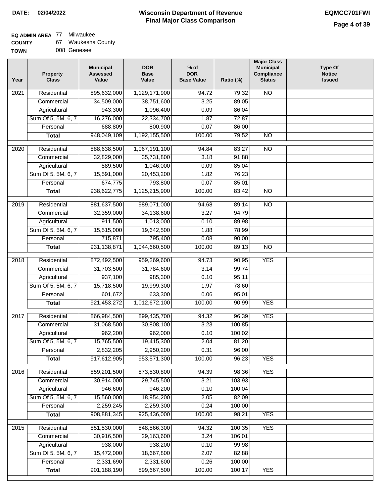٦

### **EQ ADMIN AREA** 77 Milwaukee

| <b>COUNTY</b> | Waukesha County |  |
|---------------|-----------------|--|
|---------------|-----------------|--|

| <b>TOWN</b> |  | 008 Genesee |
|-------------|--|-------------|
|-------------|--|-------------|

| Year              | <b>Property</b><br><b>Class</b> | <b>Municipal</b><br><b>Assessed</b><br>Value | <b>DOR</b><br><b>Base</b><br>Value | $%$ of<br><b>DOR</b><br><b>Base Value</b> | Ratio (%) | <b>Major Class</b><br><b>Municipal</b><br>Compliance<br><b>Status</b> | <b>Type Of</b><br><b>Notice</b><br><b>Issued</b> |
|-------------------|---------------------------------|----------------------------------------------|------------------------------------|-------------------------------------------|-----------|-----------------------------------------------------------------------|--------------------------------------------------|
| 2021              | Residential                     | 895,632,000                                  | 1,129,171,900                      | 94.72                                     | 79.32     | N <sub>O</sub>                                                        |                                                  |
|                   | Commercial                      | 34,509,000                                   | 38,751,600                         | 3.25                                      | 89.05     |                                                                       |                                                  |
|                   | Agricultural                    | 943,300                                      | 1,096,400                          | 0.09                                      | 86.04     |                                                                       |                                                  |
|                   | Sum Of 5, 5M, 6, 7              | 16,276,000                                   | 22,334,700                         | 1.87                                      | 72.87     |                                                                       |                                                  |
|                   | Personal                        | 688,809                                      | 800,900                            | 0.07                                      | 86.00     |                                                                       |                                                  |
|                   | <b>Total</b>                    | 948,049,109                                  | 1,192,155,500                      | 100.00                                    | 79.52     | $\overline{NO}$                                                       |                                                  |
| 2020              | Residential                     | 888,638,500                                  | 1,067,191,100                      | 94.84                                     | 83.27     | $\overline{NO}$                                                       |                                                  |
|                   | Commercial                      | 32,829,000                                   | 35,731,800                         | 3.18                                      | 91.88     |                                                                       |                                                  |
|                   | Agricultural                    | 889,500                                      | 1,046,000                          | 0.09                                      | 85.04     |                                                                       |                                                  |
|                   | Sum Of 5, 5M, 6, 7              | 15,591,000                                   | 20,453,200                         | 1.82                                      | 76.23     |                                                                       |                                                  |
|                   | Personal                        | 674,775                                      | 793,800                            | 0.07                                      | 85.01     |                                                                       |                                                  |
|                   | <b>Total</b>                    | 938,622,775                                  | 1,125,215,900                      | 100.00                                    | 83.42     | $\overline{NO}$                                                       |                                                  |
|                   |                                 |                                              |                                    |                                           |           |                                                                       |                                                  |
| 2019              | Residential                     | 881,637,500                                  | 989,071,000                        | 94.68                                     | 89.14     | $\overline{10}$                                                       |                                                  |
|                   | Commercial                      | 32,359,000                                   | 34,138,600                         | 3.27                                      | 94.79     |                                                                       |                                                  |
|                   | Agricultural                    | 911,500                                      | 1,013,000                          | 0.10                                      | 89.98     |                                                                       |                                                  |
|                   | Sum Of 5, 5M, 6, 7              | 15,515,000                                   | 19,642,500                         | 1.88                                      | 78.99     |                                                                       |                                                  |
|                   | Personal                        | 715,871                                      | 795,400                            | 0.08                                      | 90.00     |                                                                       |                                                  |
|                   | <b>Total</b>                    | 931,138,871                                  | 1,044,660,500                      | 100.00                                    | 89.13     | $\overline{NO}$                                                       |                                                  |
| $\overline{2018}$ | Residential                     | 872,492,500                                  | 959,269,600                        | 94.73                                     | 90.95     | <b>YES</b>                                                            |                                                  |
|                   | Commercial                      | 31,703,500                                   | 31,784,600                         | 3.14                                      | 99.74     |                                                                       |                                                  |
|                   | Agricultural                    | 937,100                                      | 985,300                            | 0.10                                      | 95.11     |                                                                       |                                                  |
|                   | Sum Of 5, 5M, 6, 7              | 15,718,500                                   | 19,999,300                         | 1.97                                      | 78.60     |                                                                       |                                                  |
|                   | Personal                        | 601,672                                      | 633,300                            | 0.06                                      | 95.01     |                                                                       |                                                  |
|                   | <b>Total</b>                    | 921,453,272                                  | 1,012,672,100                      | 100.00                                    | 90.99     | <b>YES</b>                                                            |                                                  |
| 2017              | Residential                     | 866,984,500                                  | 899,435,700                        | 94.32                                     | 96.39     | <b>YES</b>                                                            |                                                  |
|                   | Commercial                      | 31,068,500                                   | 30,808,100                         | 3.23                                      | 100.85    |                                                                       |                                                  |
|                   | Agricultural                    | 962,200                                      | 962,000                            | 0.10                                      | 100.02    |                                                                       |                                                  |
|                   | Sum Of 5, 5M, 6, 7              | 15,765,500                                   | 19,415,300                         | 2.04                                      | 81.20     |                                                                       |                                                  |
|                   | Personal                        | 2,832,205                                    | 2,950,200                          | 0.31                                      | 96.00     |                                                                       |                                                  |
|                   | <b>Total</b>                    | 917,612,905                                  | 953,571,300                        | 100.00                                    | 96.23     | <b>YES</b>                                                            |                                                  |
| 2016              | Residential                     | 859,201,500                                  | 873,530,800                        | 94.39                                     | 98.36     | <b>YES</b>                                                            |                                                  |
|                   | Commercial                      | 30,914,000                                   | 29,745,500                         | 3.21                                      | 103.93    |                                                                       |                                                  |
|                   | Agricultural                    | 946,600                                      | 946,200                            | 0.10                                      | 100.04    |                                                                       |                                                  |
|                   | Sum Of 5, 5M, 6, 7              | 15,560,000                                   | 18,954,200                         | 2.05                                      | 82.09     |                                                                       |                                                  |
|                   | Personal                        | 2,259,245                                    | 2,259,300                          | 0.24                                      | 100.00    |                                                                       |                                                  |
|                   | <b>Total</b>                    | 908,881,345                                  | 925,436,000                        | 100.00                                    | 98.21     | <b>YES</b>                                                            |                                                  |
| 2015              | Residential                     | 851,530,000                                  | 848,566,300                        | 94.32                                     | 100.35    | <b>YES</b>                                                            |                                                  |
|                   | Commercial                      | 30,916,500                                   | 29,163,600                         | 3.24                                      | 106.01    |                                                                       |                                                  |
|                   | Agricultural                    | 938,000                                      | 938,200                            | 0.10                                      | 99.98     |                                                                       |                                                  |
|                   | Sum Of 5, 5M, 6, 7              | 15,472,000                                   | 18,667,800                         | 2.07                                      | 82.88     |                                                                       |                                                  |
|                   | Personal                        | 2,331,690                                    | 2,331,600                          | 0.26                                      | 100.00    |                                                                       |                                                  |
|                   | <b>Total</b>                    | 901,188,190                                  | 899,667,500                        | 100.00                                    | 100.17    | <b>YES</b>                                                            |                                                  |
|                   |                                 |                                              |                                    |                                           |           |                                                                       |                                                  |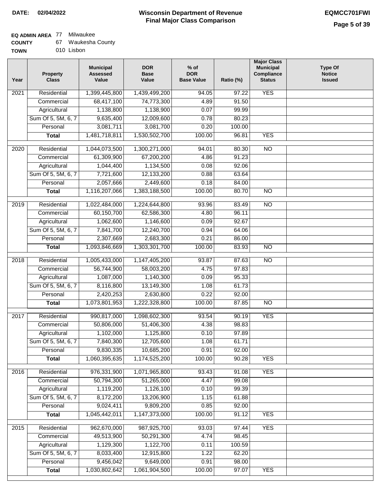# **EQ ADMIN AREA** 77 Milwaukee

| <b>COUNTY</b> |  | Waukesha County |  |
|---------------|--|-----------------|--|
|---------------|--|-----------------|--|

**TOWN** 010 Lisbon

| Year | <b>Property</b><br><b>Class</b> | <b>Municipal</b><br><b>Assessed</b><br>Value | <b>DOR</b><br><b>Base</b><br>Value | $%$ of<br><b>DOR</b><br><b>Base Value</b> | Ratio (%)      | <b>Major Class</b><br><b>Municipal</b><br>Compliance<br><b>Status</b> | <b>Type Of</b><br><b>Notice</b><br><b>Issued</b> |
|------|---------------------------------|----------------------------------------------|------------------------------------|-------------------------------------------|----------------|-----------------------------------------------------------------------|--------------------------------------------------|
| 2021 | Residential                     | 1,399,445,800                                | 1,439,499,200                      | 94.05                                     | 97.22          | <b>YES</b>                                                            |                                                  |
|      | Commercial                      | 68,417,100                                   | 74,773,300                         | 4.89                                      | 91.50          |                                                                       |                                                  |
|      | Agricultural                    | 1,138,800                                    | 1,138,900                          | 0.07                                      | 99.99          |                                                                       |                                                  |
|      | Sum Of 5, 5M, 6, 7              | 9,635,400                                    | 12,009,600                         | 0.78                                      | 80.23          |                                                                       |                                                  |
|      | Personal                        | 3,081,711                                    | 3,081,700                          | 0.20                                      | 100.00         |                                                                       |                                                  |
|      | <b>Total</b>                    | 1,481,718,811                                | 1,530,502,700                      | 100.00                                    | 96.81          | <b>YES</b>                                                            |                                                  |
| 2020 | Residential                     | 1,044,073,500                                | 1,300,271,000                      | 94.01                                     | 80.30          | $\overline{NO}$                                                       |                                                  |
|      | Commercial                      | 61,309,900                                   | 67,200,200                         | 4.86                                      | 91.23          |                                                                       |                                                  |
|      | Agricultural                    | 1,044,400                                    | 1,134,500                          | 0.08                                      | 92.06          |                                                                       |                                                  |
|      | Sum Of 5, 5M, 6, 7              | 7,721,600                                    | 12,133,200                         | 0.88                                      | 63.64          |                                                                       |                                                  |
|      | Personal                        | 2,057,666                                    | 2,449,600                          | 0.18                                      | 84.00          |                                                                       |                                                  |
|      | <b>Total</b>                    | 1,116,207,066                                | 1,383,188,500                      | 100.00                                    | 80.70          | <b>NO</b>                                                             |                                                  |
|      |                                 |                                              |                                    |                                           |                |                                                                       |                                                  |
| 2019 | Residential                     | 1,022,484,000                                | 1,224,644,800<br>62,586,300        | 93.96                                     | 83.49<br>96.11 | <b>NO</b>                                                             |                                                  |
|      | Commercial                      | 60,150,700                                   |                                    | 4.80                                      |                |                                                                       |                                                  |
|      | Agricultural                    | 1,062,600                                    | 1,146,600                          | 0.09                                      | 92.67          |                                                                       |                                                  |
|      | Sum Of 5, 5M, 6, 7<br>Personal  | 7,841,700<br>2,307,669                       | 12,240,700                         | 0.94                                      | 64.06          |                                                                       |                                                  |
|      |                                 |                                              | 2,683,300                          | 0.21                                      | 86.00          | $\overline{NO}$                                                       |                                                  |
|      | <b>Total</b>                    | 1,093,846,669                                | 1,303,301,700                      | 100.00                                    | 83.93          |                                                                       |                                                  |
| 2018 | Residential                     | 1,005,433,000                                | 1,147,405,200                      | 93.87                                     | 87.63          | $\overline{NO}$                                                       |                                                  |
|      | Commercial                      | 56,744,900                                   | 58,003,200                         | 4.75                                      | 97.83          |                                                                       |                                                  |
|      | Agricultural                    | 1,087,000                                    | 1,140,300                          | 0.09                                      | 95.33          |                                                                       |                                                  |
|      | Sum Of 5, 5M, 6, 7              | 8,116,800                                    | 13,149,300                         | 1.08                                      | 61.73          |                                                                       |                                                  |
|      | Personal                        | 2,420,253                                    | 2,630,800                          | 0.22                                      | 92.00          |                                                                       |                                                  |
|      | <b>Total</b>                    | 1,073,801,953                                | 1,222,328,800                      | 100.00                                    | 87.85          | <b>NO</b>                                                             |                                                  |
| 2017 | Residential                     | 990,817,000                                  | 1,098,602,300                      | 93.54                                     | 90.19          | <b>YES</b>                                                            |                                                  |
|      | Commercial                      | 50,806,000                                   | 51,406,300                         | 4.38                                      | 98.83          |                                                                       |                                                  |
|      | Agricultural                    | 1,102,000                                    | 1,125,800                          | 0.10                                      | 97.89          |                                                                       |                                                  |
|      | Sum Of 5, 5M, 6, 7              | 7,840,300                                    | 12,705,600                         | 1.08                                      | 61.71          |                                                                       |                                                  |
|      | Personal                        | 9,830,335                                    | 10,685,200                         | 0.91                                      | 92.00          |                                                                       |                                                  |
|      | <b>Total</b>                    | 1,060,395,635                                | 1,174,525,200                      | 100.00                                    | 90.28          | <b>YES</b>                                                            |                                                  |
| 2016 | Residential                     | 976,331,900                                  | 1,071,965,800                      | 93.43                                     | 91.08          | <b>YES</b>                                                            |                                                  |
|      | Commercial                      | 50,794,300                                   | 51,265,000                         | 4.47                                      | 99.08          |                                                                       |                                                  |
|      | Agricultural                    | 1,119,200                                    | 1,126,100                          | 0.10                                      | 99.39          |                                                                       |                                                  |
|      | Sum Of 5, 5M, 6, 7              | 8,172,200                                    | 13,206,900                         | 1.15                                      | 61.88          |                                                                       |                                                  |
|      | Personal                        | 9,024,411                                    | 9,809,200                          | 0.85                                      | 92.00          |                                                                       |                                                  |
|      | <b>Total</b>                    | 1,045,442,011                                | 1,147,373,000                      | 100.00                                    | 91.12          | <b>YES</b>                                                            |                                                  |
|      |                                 |                                              |                                    |                                           |                |                                                                       |                                                  |
| 2015 | Residential                     | 962,670,000                                  | 987,925,700                        | 93.03                                     | 97.44          | <b>YES</b>                                                            |                                                  |
|      | Commercial                      | 49,513,900                                   | 50,291,300                         | 4.74                                      | 98.45          |                                                                       |                                                  |
|      | Agricultural                    | 1,129,300                                    | 1,122,700                          | 0.11                                      | 100.59         |                                                                       |                                                  |
|      | Sum Of 5, 5M, 6, 7              | 8,033,400                                    | 12,915,800                         | 1.22                                      | 62.20          |                                                                       |                                                  |
|      | Personal<br><b>Total</b>        | 9,456,042<br>1,030,802,642                   | 9,649,000<br>1,061,904,500         | 0.91<br>100.00                            | 98.00<br>97.07 | <b>YES</b>                                                            |                                                  |
|      |                                 |                                              |                                    |                                           |                |                                                                       |                                                  |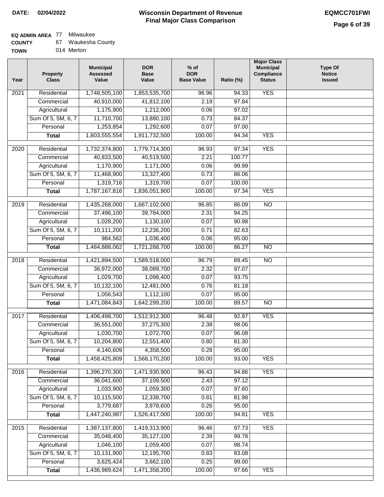### **EQ ADMIN AREA** 77 Milwaukee

| <b>COUNTY</b> | Waukesha County |  |
|---------------|-----------------|--|
|---------------|-----------------|--|

**TOWN** 014 Merton

| Year              | <b>Property</b><br><b>Class</b> | <b>Municipal</b><br><b>Assessed</b><br>Value | <b>DOR</b><br><b>Base</b><br>Value | $%$ of<br><b>DOR</b><br><b>Base Value</b> | Ratio (%) | <b>Major Class</b><br><b>Municipal</b><br>Compliance<br><b>Status</b> | <b>Type Of</b><br><b>Notice</b><br><b>Issued</b> |
|-------------------|---------------------------------|----------------------------------------------|------------------------------------|-------------------------------------------|-----------|-----------------------------------------------------------------------|--------------------------------------------------|
| $\overline{202}1$ | Residential                     | 1,748,505,100                                | 1,853,535,700                      | 96.96                                     | 94.33     | <b>YES</b>                                                            |                                                  |
|                   | Commercial                      | 40,910,000                                   | 41,812,100                         | 2.19                                      | 97.84     |                                                                       |                                                  |
|                   | Agricultural                    | 1,175,900                                    | 1,212,000                          | 0.06                                      | 97.02     |                                                                       |                                                  |
|                   | Sum Of 5, 5M, 6, 7              | 11,710,700                                   | 13,880,100                         | 0.73                                      | 84.37     |                                                                       |                                                  |
|                   | Personal                        | 1,253,854                                    | 1,292,600                          | 0.07                                      | 97.00     |                                                                       |                                                  |
|                   | <b>Total</b>                    | 1,803,555,554                                | 1,911,732,500                      | 100.00                                    | 94.34     | <b>YES</b>                                                            |                                                  |
| $\overline{2020}$ | Residential                     | 1,732,374,800                                | 1,779,714,300                      | 96.93                                     | 97.34     | <b>YES</b>                                                            |                                                  |
|                   | Commercial                      | 40,833,500                                   | 40,519,500                         | 2.21                                      | 100.77    |                                                                       |                                                  |
|                   | Agricultural                    | 1,170,900                                    | 1,171,000                          | 0.06                                      | 99.99     |                                                                       |                                                  |
|                   | Sum Of 5, 5M, 6, 7              | 11,468,900                                   | 13,327,400                         | 0.73                                      | 86.06     |                                                                       |                                                  |
|                   | Personal                        | 1,319,716                                    | 1,319,700                          | 0.07                                      | 100.00    |                                                                       |                                                  |
|                   | <b>Total</b>                    | 1,787,167,816                                | 1,836,051,900                      | 100.00                                    | 97.34     | <b>YES</b>                                                            |                                                  |
| 2019              | Residential                     | 1,435,268,000                                | 1,667,102,000                      | 96.85                                     | 86.09     | $\overline{NO}$                                                       |                                                  |
|                   | Commercial                      | 37,496,100                                   | 39,784,000                         | 2.31                                      | 94.25     |                                                                       |                                                  |
|                   | Agricultural                    | 1,028,200                                    | 1,130,100                          | 0.07                                      | 90.98     |                                                                       |                                                  |
|                   | Sum Of 5, 5M, 6, 7              | 10,111,200                                   | 12,236,200                         | 0.71                                      | 82.63     |                                                                       |                                                  |
|                   | Personal                        | 984,562                                      | 1,036,400                          | 0.06                                      | 95.00     |                                                                       |                                                  |
|                   | <b>Total</b>                    | 1,484,888,062                                | 1,721,288,700                      | 100.00                                    | 86.27     | $\overline{NO}$                                                       |                                                  |
| 2018              | Residential                     | 1,421,894,500                                | 1,589,518,000                      | 96.79                                     | 89.45     | $\overline{NO}$                                                       |                                                  |
|                   | Commercial                      | 36,972,000                                   | 38,089,700                         | 2.32                                      | 97.07     |                                                                       |                                                  |
|                   | Agricultural                    | 1,029,700                                    | 1,098,400                          | 0.07                                      | 93.75     |                                                                       |                                                  |
|                   | Sum Of 5, 5M, 6, 7              | 10,132,100                                   | 12,481,000                         | 0.76                                      | 81.18     |                                                                       |                                                  |
|                   | Personal                        | 1,056,543                                    | 1,112,100                          | 0.07                                      | 95.00     |                                                                       |                                                  |
|                   | <b>Total</b>                    | 1,471,084,843                                | 1,642,299,200                      | 100.00                                    | 89.57     | <b>NO</b>                                                             |                                                  |
| 2017              | Residential                     | 1,406,498,700                                | 1,512,912,300                      | 96.48                                     | 92.97     | <b>YES</b>                                                            |                                                  |
|                   | Commercial                      | 36,551,000                                   | 37,275,300                         | 2.38                                      | 98.06     |                                                                       |                                                  |
|                   | Agricultural                    | 1,030,700                                    | 1,072,700                          | 0.07                                      | 96.08     |                                                                       |                                                  |
|                   | Sum Of 5, 5M, 6, 7              | 10,204,800                                   | 12,551,400                         | 0.80                                      | 81.30     |                                                                       |                                                  |
|                   | Personal                        | 4,140,609                                    | 4,358,500                          | 0.28                                      | 95.00     |                                                                       |                                                  |
|                   | <b>Total</b>                    | 1,458,425,809                                | 1,568,170,200                      | 100.00                                    | 93.00     | <b>YES</b>                                                            |                                                  |
| 2016              | Residential                     | 1,396,270,300                                | 1,471,930,900                      | 96.43                                     | 94.86     | <b>YES</b>                                                            |                                                  |
|                   | Commercial                      | 36,041,600                                   | 37,109,500                         | 2.43                                      | 97.12     |                                                                       |                                                  |
|                   | Agricultural                    | 1,033,900                                    | 1,059,300                          | 0.07                                      | 97.60     |                                                                       |                                                  |
|                   | Sum Of 5, 5M, 6, 7              | 10,115,500                                   | 12,338,700                         | 0.81                                      | 81.98     |                                                                       |                                                  |
|                   | Personal                        | 3,779,687                                    | 3,978,600                          | 0.26                                      | 95.00     |                                                                       |                                                  |
|                   | <b>Total</b>                    | 1,447,240,987                                | 1,526,417,000                      | 100.00                                    | 94.81     | <b>YES</b>                                                            |                                                  |
| 2015              | Residential                     | 1,387,137,800                                | 1,419,313,900                      | 96.46                                     | 97.73     | <b>YES</b>                                                            |                                                  |
|                   | Commercial                      | 35,048,400                                   | 35,127,100                         | 2.39                                      | 99.78     |                                                                       |                                                  |
|                   | Agricultural                    | 1,046,100                                    | 1,059,400                          | 0.07                                      | 98.74     |                                                                       |                                                  |
|                   | Sum Of 5, 5M, 6, 7              | 10,131,900                                   | 12,195,700                         | 0.83                                      | 83.08     |                                                                       |                                                  |
|                   | Personal                        | 3,625,424                                    | 3,662,100                          | 0.25                                      | 99.00     |                                                                       |                                                  |
|                   | <b>Total</b>                    | 1,436,989,624                                | 1,471,358,200                      | 100.00                                    | 97.66     | <b>YES</b>                                                            |                                                  |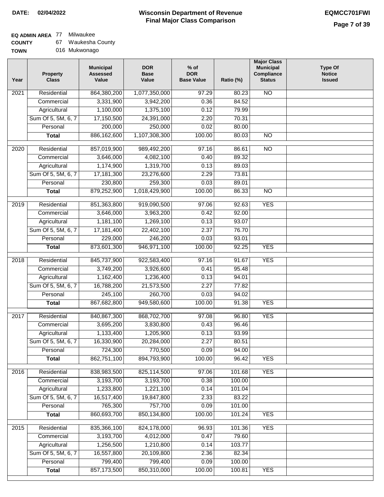### **Wisconsin Department of Revenue Final Major Class Comparison DATE: 02/04/2022 EQMCC701FWI**

٦

### **EQ ADMIN AREA** 77 Milwaukee

| <b>COUNTY</b> | Waukesha County |
|---------------|-----------------|
|---------------|-----------------|

| <b>TOWN</b> | 016 Mukwonago |
|-------------|---------------|
|             |               |

| Year | Property<br><b>Class</b>           | <b>Municipal</b><br><b>Assessed</b><br>Value | <b>DOR</b><br><b>Base</b><br>Value | $%$ of<br><b>DOR</b><br><b>Base Value</b> | Ratio (%)       | <b>Major Class</b><br><b>Municipal</b><br>Compliance<br><b>Status</b> | <b>Type Of</b><br><b>Notice</b><br><b>Issued</b> |
|------|------------------------------------|----------------------------------------------|------------------------------------|-------------------------------------------|-----------------|-----------------------------------------------------------------------|--------------------------------------------------|
| 2021 | Residential                        | 864,380,200                                  | 1,077,350,000                      | 97.29                                     | 80.23           | $\overline{NO}$                                                       |                                                  |
|      | Commercial                         | 3,331,900                                    | 3,942,200                          | 0.36                                      | 84.52           |                                                                       |                                                  |
|      | Agricultural                       | 1,100,000                                    | 1,375,100                          | 0.12                                      | 79.99           |                                                                       |                                                  |
|      | Sum Of 5, 5M, 6, 7                 | 17,150,500                                   | 24,391,000                         | 2.20                                      | 70.31           |                                                                       |                                                  |
|      | Personal                           | 200,000                                      | 250,000                            | 0.02                                      | 80.00           |                                                                       |                                                  |
|      | <b>Total</b>                       | 886,162,600                                  | 1,107,308,300                      | 100.00                                    | 80.03           | $\overline{NO}$                                                       |                                                  |
| 2020 | Residential                        | 857,019,900                                  | 989,492,200                        | 97.16                                     | 86.61           | $\overline{NO}$                                                       |                                                  |
|      | Commercial                         | 3,646,000                                    | 4,082,100                          | 0.40                                      | 89.32           |                                                                       |                                                  |
|      | Agricultural                       | 1,174,900                                    | 1,319,700                          | 0.13                                      | 89.03           |                                                                       |                                                  |
|      | Sum Of 5, 5M, 6, 7                 | 17,181,300                                   | 23,276,600                         | 2.29                                      | 73.81           |                                                                       |                                                  |
|      | Personal                           | 230,800                                      | 259,300                            | 0.03                                      | 89.01           |                                                                       |                                                  |
|      | <b>Total</b>                       | 879,252,900                                  | 1,018,429,900                      | 100.00                                    | 86.33           | <b>NO</b>                                                             |                                                  |
| 2019 | Residential                        | 851,363,800                                  | 919,090,500                        | 97.06                                     | 92.63           | <b>YES</b>                                                            |                                                  |
|      | Commercial                         | 3,646,000                                    | 3,963,200                          | 0.42                                      | 92.00           |                                                                       |                                                  |
|      | Agricultural                       | 1,181,100                                    | 1,269,100                          | 0.13                                      | 93.07           |                                                                       |                                                  |
|      | Sum Of 5, 5M, 6, 7                 | 17,181,400                                   | 22,402,100                         | 2.37                                      | 76.70           |                                                                       |                                                  |
|      | Personal                           | 229,000                                      | 246,200                            | 0.03                                      | 93.01           |                                                                       |                                                  |
|      | <b>Total</b>                       | 873,601,300                                  | 946, 971, 100                      | 100.00                                    | 92.25           | <b>YES</b>                                                            |                                                  |
| 2018 | Residential                        | 845,737,900                                  | 922,583,400                        | 97.16                                     | 91.67           | <b>YES</b>                                                            |                                                  |
|      | Commercial                         | 3,749,200                                    | 3,926,600                          | 0.41                                      | 95.48           |                                                                       |                                                  |
|      | Agricultural                       | 1,162,400                                    | 1,236,400                          | 0.13                                      | 94.01           |                                                                       |                                                  |
|      | Sum Of 5, 5M, 6, 7                 | 16,788,200                                   | 21,573,500                         | 2.27                                      | 77.82           |                                                                       |                                                  |
|      | Personal                           | 245,100                                      | 260,700                            | 0.03                                      | 94.02           |                                                                       |                                                  |
|      | <b>Total</b>                       | 867,682,800                                  | 949,580,600                        | 100.00                                    | 91.38           | <b>YES</b>                                                            |                                                  |
| 2017 | Residential                        | 840, 867, 300                                | 868,702,700                        | 97.08                                     | 96.80           | <b>YES</b>                                                            |                                                  |
|      | Commercial                         | 3,695,200                                    | 3,830,800                          | 0.43                                      | 96.46           |                                                                       |                                                  |
|      | Agricultural                       | 1,133,400                                    | 1,205,900                          | 0.13                                      | 93.99           |                                                                       |                                                  |
|      | Sum Of 5, 5M, 6, 7                 | 16,330,900                                   | 20,284,000                         | 2.27                                      | 80.51           |                                                                       |                                                  |
|      | Personal                           | 724,300                                      | 770,500                            | 0.09                                      | 94.00           |                                                                       |                                                  |
|      | <b>Total</b>                       | 862,751,100                                  | 894,793,900                        | 100.00                                    | 96.42           | <b>YES</b>                                                            |                                                  |
| 2016 | Residential                        | 838,983,500                                  | 825,114,500                        | 97.06                                     | 101.68          | <b>YES</b>                                                            |                                                  |
|      | Commercial                         | 3,193,700                                    | 3,193,700                          | 0.38                                      | 100.00          |                                                                       |                                                  |
|      |                                    |                                              |                                    |                                           |                 |                                                                       |                                                  |
|      | Agricultural<br>Sum Of 5, 5M, 6, 7 | 1,233,800<br>16,517,400                      | 1,221,100<br>19,847,800            | 0.14                                      | 101.04<br>83.22 |                                                                       |                                                  |
|      | Personal                           | 765,300                                      | 757,700                            | 2.33<br>0.09                              | 101.00          |                                                                       |                                                  |
|      |                                    | 860,693,700                                  | 850,134,800                        | 100.00                                    | 101.24          | <b>YES</b>                                                            |                                                  |
|      | <b>Total</b>                       |                                              |                                    |                                           |                 |                                                                       |                                                  |
| 2015 | Residential                        | 835,366,100                                  | 824,178,000                        | 96.93                                     | 101.36          | <b>YES</b>                                                            |                                                  |
|      | Commercial                         | 3,193,700                                    | 4,012,000                          | 0.47                                      | 79.60           |                                                                       |                                                  |
|      | Agricultural                       | 1,256,500                                    | 1,210,800                          | 0.14                                      | 103.77          |                                                                       |                                                  |
|      | Sum Of 5, 5M, 6, 7                 | 16,557,800                                   | 20,109,800                         | 2.36                                      | 82.34           |                                                                       |                                                  |
|      | Personal                           | 799,400                                      | 799,400                            | 0.09                                      | 100.00          |                                                                       |                                                  |
|      | <b>Total</b>                       | 857,173,500                                  | 850,310,000                        | 100.00                                    | 100.81          | <b>YES</b>                                                            |                                                  |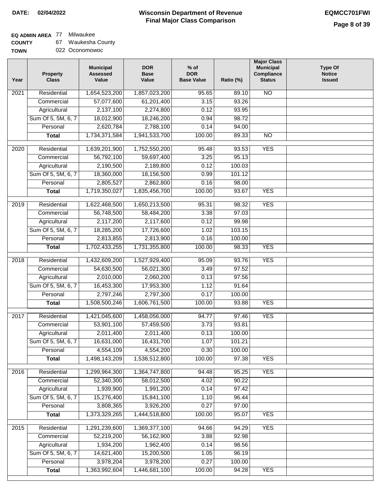### **EQ ADMIN AREA** 77 Milwaukee

**COUNTY** 67 Waukesha County

**TOWN** 022 Oconomowoc

| Year              | <b>Property</b><br><b>Class</b>    | <b>Municipal</b><br><b>Assessed</b><br>Value | <b>DOR</b><br><b>Base</b><br>Value | % of<br><b>DOR</b><br><b>Base Value</b> | Ratio (%)      | <b>Major Class</b><br><b>Municipal</b><br>Compliance<br><b>Status</b> | <b>Type Of</b><br><b>Notice</b><br><b>Issued</b> |
|-------------------|------------------------------------|----------------------------------------------|------------------------------------|-----------------------------------------|----------------|-----------------------------------------------------------------------|--------------------------------------------------|
| $\overline{202}1$ | Residential                        | 1,654,523,200                                | 1,857,023,200                      | 95.65                                   | 89.10          | <b>NO</b>                                                             |                                                  |
|                   | Commercial                         | 57,077,600                                   | 61,201,400                         | 3.15                                    | 93.26          |                                                                       |                                                  |
|                   | Agricultural                       | 2,137,100                                    | 2,274,800                          | 0.12                                    | 93.95          |                                                                       |                                                  |
|                   | Sum Of 5, 5M, 6, 7                 | 18,012,900                                   | 18,246,200                         | 0.94                                    | 98.72          |                                                                       |                                                  |
|                   | Personal                           | 2,620,784                                    | 2,788,100                          | 0.14                                    | 94.00          |                                                                       |                                                  |
|                   | <b>Total</b>                       | 1,734,371,584                                | 1,941,533,700                      | 100.00                                  | 89.33          | $\overline{NO}$                                                       |                                                  |
| $\overline{2020}$ | Residential                        | 1,639,201,900                                | 1,752,550,200                      | 95.48                                   | 93.53          | <b>YES</b>                                                            |                                                  |
|                   | Commercial                         | 56,792,100                                   | 59,697,400                         | 3.25                                    | 95.13          |                                                                       |                                                  |
|                   | Agricultural                       | 2,190,500                                    | 2,189,800                          | 0.12                                    | 100.03         |                                                                       |                                                  |
|                   | Sum Of 5, 5M, 6, 7                 | 18,360,000                                   | 18,156,500                         | 0.99                                    | 101.12         |                                                                       |                                                  |
|                   | Personal                           | 2,805,527                                    | 2,862,800                          | 0.16                                    | 98.00          |                                                                       |                                                  |
|                   | <b>Total</b>                       | 1,719,350,027                                | 1,835,456,700                      | 100.00                                  | 93.67          | <b>YES</b>                                                            |                                                  |
|                   |                                    |                                              |                                    |                                         |                |                                                                       |                                                  |
| 2019              | Residential                        | 1,622,468,500                                | 1,650,213,500                      | 95.31                                   | 98.32          | <b>YES</b>                                                            |                                                  |
|                   | Commercial                         | 56,748,500                                   | 58,484,200                         | 3.38                                    | 97.03          |                                                                       |                                                  |
|                   | Agricultural                       | 2,117,200                                    | 2,117,600                          | 0.12                                    | 99.98          |                                                                       |                                                  |
|                   | Sum Of 5, 5M, 6, 7                 | 18,285,200                                   | 17,726,600                         | 1.02                                    | 103.15         |                                                                       |                                                  |
|                   | Personal                           | 2,813,855                                    | 2,813,900                          | 0.16                                    | 100.00         |                                                                       |                                                  |
|                   | <b>Total</b>                       | 1,702,433,255                                | 1,731,355,800                      | 100.00                                  | 98.33          | <b>YES</b>                                                            |                                                  |
| 2018              | Residential                        | 1,432,609,200                                | 1,527,929,400                      | 95.09                                   | 93.76          | <b>YES</b>                                                            |                                                  |
|                   | Commercial                         | 54,630,500                                   | 56,021,300                         | 3.49                                    | 97.52          |                                                                       |                                                  |
|                   | Agricultural                       | 2,010,000                                    | 2,060,200                          | 0.13                                    | 97.56          |                                                                       |                                                  |
|                   | Sum Of 5, 5M, 6, 7                 | 16,453,300                                   | 17,953,300                         | 1.12                                    | 91.64          |                                                                       |                                                  |
|                   | Personal                           | 2,797,246                                    | 2,797,300                          | 0.17                                    | 100.00         |                                                                       |                                                  |
|                   | <b>Total</b>                       | 1,508,500,246                                | 1,606,761,500                      | 100.00                                  | 93.88          | <b>YES</b>                                                            |                                                  |
| 2017              | Residential                        | 1,421,045,600                                | 1,458,056,000                      | 94.77                                   | 97.46          | <b>YES</b>                                                            |                                                  |
|                   | Commercial                         | 53,901,100                                   | 57,459,500                         | 3.73                                    | 93.81          |                                                                       |                                                  |
|                   | Agricultural                       | 2,011,400                                    | 2,011,400                          | 0.13                                    | 100.00         |                                                                       |                                                  |
|                   | Sum Of 5, 5M, 6, 7                 | 16,631,000                                   | 16,431,700                         | 1.07                                    | 101.21         |                                                                       |                                                  |
|                   | Personal                           | 4,554,109                                    | 4,554,200                          | 0.30                                    | 100.00         |                                                                       |                                                  |
|                   | <b>Total</b>                       | 1,498,143,209                                | 1,538,512,800                      | 100.00                                  | 97.38          | <b>YES</b>                                                            |                                                  |
|                   | Residential                        |                                              |                                    |                                         |                |                                                                       |                                                  |
| 2016              |                                    | 1,299,964,300                                | 1,364,747,800<br>58,012,500        | 94.48<br>4.02                           | 95.25          | <b>YES</b>                                                            |                                                  |
|                   | Commercial                         | 52,340,300<br>1,939,900                      | 1,991,200                          | 0.14                                    | 90.22<br>97.42 |                                                                       |                                                  |
|                   | Agricultural<br>Sum Of 5, 5M, 6, 7 | 15,276,400                                   | 15,841,100                         | 1.10                                    | 96.44          |                                                                       |                                                  |
|                   | Personal                           | 3,808,365                                    | 3,926,200                          | 0.27                                    | 97.00          |                                                                       |                                                  |
|                   | <b>Total</b>                       | 1,373,329,265                                | 1,444,518,800                      | 100.00                                  | 95.07          | <b>YES</b>                                                            |                                                  |
|                   |                                    |                                              |                                    |                                         |                |                                                                       |                                                  |
| 2015              | Residential                        | 1,291,239,600                                | 1,369,377,100                      | 94.66                                   | 94.29          | <b>YES</b>                                                            |                                                  |
|                   | Commercial                         | 52,219,200                                   | 56,162,900                         | 3.88                                    | 92.98          |                                                                       |                                                  |
|                   | Agricultural                       | 1,934,200                                    | 1,962,400                          | 0.14                                    | 98.56          |                                                                       |                                                  |
|                   | Sum Of 5, 5M, 6, 7                 | 14,621,400                                   | 15,200,500                         | 1.05                                    | 96.19          |                                                                       |                                                  |
|                   | Personal                           | 3,978,204                                    | 3,978,200                          | 0.27                                    | 100.00         |                                                                       |                                                  |
|                   | <b>Total</b>                       | 1,363,992,604                                | 1,446,681,100                      | 100.00                                  | 94.28          | <b>YES</b>                                                            |                                                  |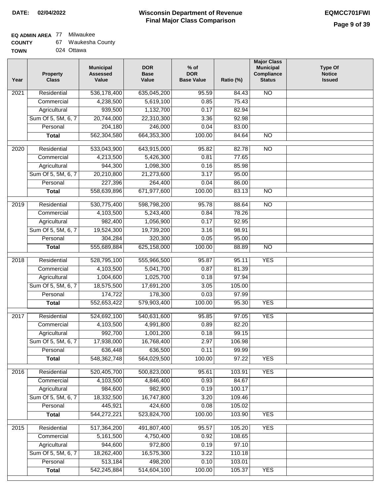## **EQ ADMIN AREA** 77 Milwaukee

| <b>COUNTY</b> | Waukesha County |
|---------------|-----------------|
|---------------|-----------------|

**TOWN** 024 Ottawa

| Year              | <b>Property</b><br><b>Class</b> | <b>Municipal</b><br><b>Assessed</b><br>Value | <b>DOR</b><br><b>Base</b><br>Value | $%$ of<br><b>DOR</b><br><b>Base Value</b> | Ratio (%) | <b>Major Class</b><br><b>Municipal</b><br>Compliance<br><b>Status</b> | <b>Type Of</b><br><b>Notice</b><br><b>Issued</b> |
|-------------------|---------------------------------|----------------------------------------------|------------------------------------|-------------------------------------------|-----------|-----------------------------------------------------------------------|--------------------------------------------------|
| $\overline{202}1$ | Residential                     | 536,178,400                                  | 635,045,200                        | 95.59                                     | 84.43     | <b>NO</b>                                                             |                                                  |
|                   | Commercial                      | 4,238,500                                    | 5,619,100                          | 0.85                                      | 75.43     |                                                                       |                                                  |
|                   | Agricultural                    | 939,500                                      | 1,132,700                          | 0.17                                      | 82.94     |                                                                       |                                                  |
|                   | Sum Of 5, 5M, 6, 7              | 20,744,000                                   | 22,310,300                         | 3.36                                      | 92.98     |                                                                       |                                                  |
|                   | Personal                        | 204,180                                      | 246,000                            | 0.04                                      | 83.00     |                                                                       |                                                  |
|                   | <b>Total</b>                    | 562,304,580                                  | 664, 353, 300                      | 100.00                                    | 84.64     | <b>NO</b>                                                             |                                                  |
| $\overline{2020}$ | Residential                     | 533,043,900                                  | 643,915,000                        | 95.82                                     | 82.78     | $\overline{10}$                                                       |                                                  |
|                   | Commercial                      | 4,213,500                                    | 5,426,300                          | 0.81                                      | 77.65     |                                                                       |                                                  |
|                   | Agricultural                    | 944,300                                      | 1,098,300                          | 0.16                                      | 85.98     |                                                                       |                                                  |
|                   | Sum Of 5, 5M, 6, 7              | 20,210,800                                   | 21,273,600                         | 3.17                                      | 95.00     |                                                                       |                                                  |
|                   | Personal                        | 227,396                                      | 264,400                            | 0.04                                      | 86.00     |                                                                       |                                                  |
|                   | <b>Total</b>                    | 558,639,896                                  | 671,977,600                        | 100.00                                    | 83.13     | $\overline{NO}$                                                       |                                                  |
|                   |                                 |                                              |                                    |                                           |           |                                                                       |                                                  |
| 2019              | Residential                     | 530,775,400                                  | 598,798,200                        | 95.78                                     | 88.64     | $\overline{10}$                                                       |                                                  |
|                   | Commercial                      | 4,103,500                                    | 5,243,400                          | 0.84                                      | 78.26     |                                                                       |                                                  |
|                   | Agricultural                    | 982,400                                      | 1,056,900                          | 0.17                                      | 92.95     |                                                                       |                                                  |
|                   | Sum Of 5, 5M, 6, 7              | 19,524,300                                   | 19,739,200                         | 3.16                                      | 98.91     |                                                                       |                                                  |
|                   | Personal                        | 304,284                                      | 320,300                            | 0.05                                      | 95.00     |                                                                       |                                                  |
|                   | <b>Total</b>                    | 555,689,884                                  | 625,158,000                        | 100.00                                    | 88.89     | $\overline{NO}$                                                       |                                                  |
| 2018              | Residential                     | 528,795,100                                  | 555,966,500                        | 95.87                                     | 95.11     | <b>YES</b>                                                            |                                                  |
|                   | Commercial                      | 4,103,500                                    | 5,041,700                          | 0.87                                      | 81.39     |                                                                       |                                                  |
|                   | Agricultural                    | 1,004,600                                    | 1,025,700                          | 0.18                                      | 97.94     |                                                                       |                                                  |
|                   | Sum Of 5, 5M, 6, 7              | 18,575,500                                   | 17,691,200                         | 3.05                                      | 105.00    |                                                                       |                                                  |
|                   | Personal                        | 174,722                                      | 178,300                            | 0.03                                      | 97.99     |                                                                       |                                                  |
|                   | <b>Total</b>                    | 552,653,422                                  | 579,903,400                        | 100.00                                    | 95.30     | <b>YES</b>                                                            |                                                  |
| 2017              | Residential                     | 524,692,100                                  | 540,631,600                        | 95.85                                     | 97.05     | <b>YES</b>                                                            |                                                  |
|                   | Commercial                      | 4,103,500                                    | 4,991,800                          | 0.89                                      | 82.20     |                                                                       |                                                  |
|                   | Agricultural                    | 992,700                                      | 1,001,200                          | 0.18                                      | 99.15     |                                                                       |                                                  |
|                   | Sum Of 5, 5M, 6, 7              | 17,938,000                                   | 16,768,400                         | 2.97                                      | 106.98    |                                                                       |                                                  |
|                   | Personal                        | 636,448                                      | 636,500                            | 0.11                                      | 99.99     |                                                                       |                                                  |
|                   | <b>Total</b>                    | 548, 362, 748                                | 564,029,500                        | 100.00                                    | 97.22     | <b>YES</b>                                                            |                                                  |
| 2016              | Residential                     | 520,405,700                                  | 500,823,000                        | 95.61                                     | 103.91    | <b>YES</b>                                                            |                                                  |
|                   | Commercial                      | 4,103,500                                    | 4,846,400                          | 0.93                                      | 84.67     |                                                                       |                                                  |
|                   | Agricultural                    | 984,600                                      | 982,900                            | 0.19                                      | 100.17    |                                                                       |                                                  |
|                   | Sum Of 5, 5M, 6, 7              | 18,332,500                                   | 16,747,800                         | 3.20                                      | 109.46    |                                                                       |                                                  |
|                   | Personal                        | 445,921                                      | 424,600                            | 0.08                                      | 105.02    |                                                                       |                                                  |
|                   | <b>Total</b>                    | 544,272,221                                  | 523,824,700                        | 100.00                                    | 103.90    | <b>YES</b>                                                            |                                                  |
| 2015              | Residential                     | 517,364,200                                  | 491,807,400                        | 95.57                                     | 105.20    | <b>YES</b>                                                            |                                                  |
|                   | Commercial                      | 5,161,500                                    | 4,750,400                          | 0.92                                      | 108.65    |                                                                       |                                                  |
|                   | Agricultural                    | 944,600                                      | 972,800                            | 0.19                                      | 97.10     |                                                                       |                                                  |
|                   | Sum Of 5, 5M, 6, 7              | 18,262,400                                   | 16,575,300                         | 3.22                                      | 110.18    |                                                                       |                                                  |
|                   | Personal                        | 513,184                                      | 498,200                            | 0.10                                      | 103.01    |                                                                       |                                                  |
|                   | <b>Total</b>                    | 542,245,884                                  | 514,604,100                        | 100.00                                    | 105.37    | <b>YES</b>                                                            |                                                  |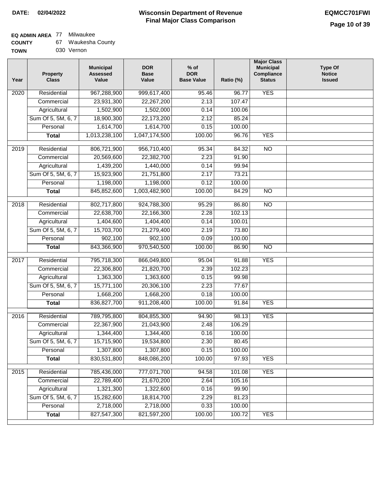## **EQ ADMIN AREA** 77 Milwaukee

| <b>COUNTY</b> |  | Waukesha County |
|---------------|--|-----------------|
|---------------|--|-----------------|

**TOWN** 030 Vernon

| Year             | <b>Property</b><br><b>Class</b> | <b>Municipal</b><br><b>Assessed</b><br>Value | <b>DOR</b><br><b>Base</b><br>Value | % of<br><b>DOR</b><br><b>Base Value</b> | Ratio (%) | <b>Major Class</b><br><b>Municipal</b><br>Compliance<br><b>Status</b> | <b>Type Of</b><br><b>Notice</b><br><b>Issued</b> |
|------------------|---------------------------------|----------------------------------------------|------------------------------------|-----------------------------------------|-----------|-----------------------------------------------------------------------|--------------------------------------------------|
| $\frac{1}{2020}$ | Residential                     | 967,288,900                                  | 999,617,400                        | 95.46                                   | 96.77     | <b>YES</b>                                                            |                                                  |
|                  | Commercial                      | 23,931,300                                   | 22,267,200                         | 2.13                                    | 107.47    |                                                                       |                                                  |
|                  | Agricultural                    | 1,502,900                                    | 1,502,000                          | 0.14                                    | 100.06    |                                                                       |                                                  |
|                  | Sum Of 5, 5M, 6, 7              | 18,900,300                                   | 22,173,200                         | 2.12                                    | 85.24     |                                                                       |                                                  |
|                  | Personal                        | 1,614,700                                    | 1,614,700                          | 0.15                                    | 100.00    |                                                                       |                                                  |
|                  | <b>Total</b>                    | 1,013,238,100                                | 1,047,174,500                      | 100.00                                  | 96.76     | <b>YES</b>                                                            |                                                  |
| 2019             | Residential                     | 806,721,900                                  | 956,710,400                        | 95.34                                   | 84.32     | $\overline{N}$                                                        |                                                  |
|                  | Commercial                      | 20,569,600                                   | 22,382,700                         | 2.23                                    | 91.90     |                                                                       |                                                  |
|                  | Agricultural                    | 1,439,200                                    | 1,440,000                          | 0.14                                    | 99.94     |                                                                       |                                                  |
|                  | Sum Of 5, 5M, 6, 7              | 15,923,900                                   | 21,751,800                         | 2.17                                    | 73.21     |                                                                       |                                                  |
|                  | Personal                        | 1,198,000                                    | 1,198,000                          | 0.12                                    | 100.00    |                                                                       |                                                  |
|                  | <b>Total</b>                    | 845,852,600                                  | 1,003,482,900                      | 100.00                                  | 84.29     | $\overline{NO}$                                                       |                                                  |
| 2018             | Residential                     | 802,717,800                                  | 924,788,300                        | 95.29                                   | 86.80     | $\overline{3}$                                                        |                                                  |
|                  | Commercial                      | 22,638,700                                   | 22,166,300                         | 2.28                                    | 102.13    |                                                                       |                                                  |
|                  | Agricultural                    | 1,404,600                                    | 1,404,400                          | 0.14                                    | 100.01    |                                                                       |                                                  |
|                  | Sum Of 5, 5M, 6, 7              | 15,703,700                                   | 21,279,400                         | 2.19                                    | 73.80     |                                                                       |                                                  |
|                  | Personal                        | 902,100                                      | 902,100                            | 0.09                                    | 100.00    |                                                                       |                                                  |
|                  | <b>Total</b>                    | 843,366,900                                  | 970,540,500                        | 100.00                                  | 86.90     | $\overline{NO}$                                                       |                                                  |
| 2017             | Residential                     | 795,718,300                                  | 866,049,800                        | 95.04                                   | 91.88     | <b>YES</b>                                                            |                                                  |
|                  | Commercial                      | 22,306,800                                   | 21,820,700                         | 2.39                                    | 102.23    |                                                                       |                                                  |
|                  | Agricultural                    | 1,363,300                                    | 1,363,600                          | 0.15                                    | 99.98     |                                                                       |                                                  |
|                  | Sum Of 5, 5M, 6, 7              | 15,771,100                                   | 20,306,100                         | 2.23                                    | 77.67     |                                                                       |                                                  |
|                  | Personal                        | 1,668,200                                    | 1,668,200                          | 0.18                                    | 100.00    |                                                                       |                                                  |
|                  | <b>Total</b>                    | 836, 827, 700                                | 911,208,400                        | 100.00                                  | 91.84     | <b>YES</b>                                                            |                                                  |
| 2016             | Residential                     | 789,795,800                                  | 804,855,300                        | 94.90                                   | 98.13     | <b>YES</b>                                                            |                                                  |
|                  | Commercial                      | 22,367,900                                   | 21,043,900                         | 2.48                                    | 106.29    |                                                                       |                                                  |
|                  | Agricultural                    | 1,344,400                                    | 1,344,400                          | 0.16                                    | 100.00    |                                                                       |                                                  |
|                  | Sum Of 5, 5M, 6, 7              | 15,715,900                                   | 19,534,800                         | 2.30                                    | 80.45     |                                                                       |                                                  |
|                  | Personal                        | 1,307,800                                    | 1,307,800                          | 0.15                                    | 100.00    |                                                                       |                                                  |
|                  | <b>Total</b>                    | 830,531,800                                  | 848,086,200                        | 100.00                                  | 97.93     | <b>YES</b>                                                            |                                                  |
| 2015             | Residential                     | 785,436,000                                  | 777,071,700                        | 94.58                                   | 101.08    | <b>YES</b>                                                            |                                                  |
|                  | Commercial                      | 22,789,400                                   | 21,670,200                         | 2.64                                    | 105.16    |                                                                       |                                                  |
|                  | Agricultural                    | 1,321,300                                    | 1,322,600                          | 0.16                                    | 99.90     |                                                                       |                                                  |
|                  | Sum Of 5, 5M, 6, 7              | 15,282,600                                   | 18,814,700                         | 2.29                                    | 81.23     |                                                                       |                                                  |
|                  | Personal                        | 2,718,000                                    | 2,718,000                          | 0.33                                    | 100.00    |                                                                       |                                                  |
|                  | <b>Total</b>                    | 827,547,300                                  | 821,597,200                        | 100.00                                  | 100.72    | <b>YES</b>                                                            |                                                  |
|                  |                                 |                                              |                                    |                                         |           |                                                                       |                                                  |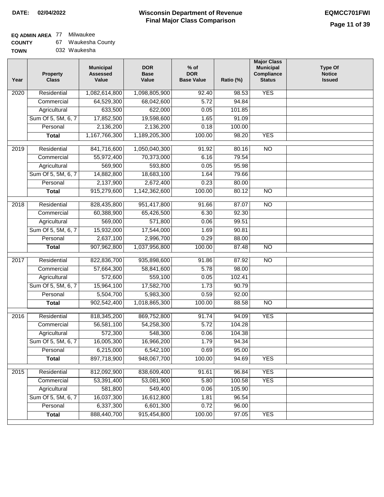**TOWN**

### **Wisconsin Department of Revenue Final Major Class Comparison DATE: 02/04/2022 EQMCC701FWI**

### **EQ ADMIN AREA** 77 Milwaukee

| <b>COUNTY</b> | Waukesha County |  |
|---------------|-----------------|--|
|---------------|-----------------|--|

| 032 Waukesha |
|--------------|
|              |

| Year | <b>Property</b><br><b>Class</b> | <b>Municipal</b><br><b>Assessed</b><br>Value | <b>DOR</b><br><b>Base</b><br>Value | $%$ of<br><b>DOR</b><br><b>Base Value</b> | Ratio (%) | <b>Major Class</b><br><b>Municipal</b><br>Compliance<br><b>Status</b> | <b>Type Of</b><br><b>Notice</b><br><b>Issued</b> |
|------|---------------------------------|----------------------------------------------|------------------------------------|-------------------------------------------|-----------|-----------------------------------------------------------------------|--------------------------------------------------|
| 2020 | Residential                     | 1,082,614,800                                | 1,098,805,900                      | 92.40                                     | 98.53     | <b>YES</b>                                                            |                                                  |
|      | Commercial                      | 64,529,300                                   | 68,042,600                         | 5.72                                      | 94.84     |                                                                       |                                                  |
|      | Agricultural                    | 633,500                                      | 622,000                            | 0.05                                      | 101.85    |                                                                       |                                                  |
|      | Sum Of 5, 5M, 6, 7              | 17,852,500                                   | 19,598,600                         | 1.65                                      | 91.09     |                                                                       |                                                  |
|      | Personal                        | 2,136,200                                    | 2,136,200                          | 0.18                                      | 100.00    |                                                                       |                                                  |
|      | <b>Total</b>                    | 1,167,766,300                                | 1,189,205,300                      | 100.00                                    | 98.20     | <b>YES</b>                                                            |                                                  |
| 2019 | Residential                     | 841,716,600                                  | 1,050,040,300                      | 91.92                                     | 80.16     | $\overline{NO}$                                                       |                                                  |
|      | Commercial                      | 55,972,400                                   | 70,373,000                         | 6.16                                      | 79.54     |                                                                       |                                                  |
|      | Agricultural                    | 569,900                                      | 593,800                            | 0.05                                      | 95.98     |                                                                       |                                                  |
|      | Sum Of 5, 5M, 6, 7              | 14,882,800                                   | 18,683,100                         | 1.64                                      | 79.66     |                                                                       |                                                  |
|      | Personal                        | 2,137,900                                    | 2,672,400                          | 0.23                                      | 80.00     |                                                                       |                                                  |
|      | <b>Total</b>                    | 915,279,600                                  | 1,142,362,600                      | 100.00                                    | 80.12     | $\overline{NO}$                                                       |                                                  |
| 2018 | Residential                     | 828,435,800                                  | 951,417,800                        | 91.66                                     | 87.07     | $\overline{10}$                                                       |                                                  |
|      | Commercial                      | 60,388,900                                   | 65,426,500                         | 6.30                                      | 92.30     |                                                                       |                                                  |
|      | Agricultural                    | 569,000                                      | 571,800                            | 0.06                                      | 99.51     |                                                                       |                                                  |
|      | Sum Of 5, 5M, 6, 7              | 15,932,000                                   | 17,544,000                         | 1.69                                      | 90.81     |                                                                       |                                                  |
|      | Personal                        | 2,637,100                                    | 2,996,700                          | 0.29                                      | 88.00     |                                                                       |                                                  |
|      | <b>Total</b>                    | 907,962,800                                  | 1,037,956,800                      | 100.00                                    | 87.48     | <b>NO</b>                                                             |                                                  |
|      |                                 |                                              |                                    |                                           |           |                                                                       |                                                  |
| 2017 | Residential                     | 822,836,700                                  | 935,898,600                        | 91.86                                     | 87.92     | $\overline{NO}$                                                       |                                                  |
|      | Commercial                      | 57,664,300                                   | 58,841,600                         | 5.78                                      | 98.00     |                                                                       |                                                  |
|      | Agricultural                    | 572,600                                      | 559,100                            | 0.05                                      | 102.41    |                                                                       |                                                  |
|      | Sum Of 5, 5M, 6, 7              | 15,964,100                                   | 17,582,700                         | 1.73                                      | 90.79     |                                                                       |                                                  |
|      | Personal                        | 5,504,700                                    | 5,983,300                          | 0.59                                      | 92.00     |                                                                       |                                                  |
|      | <b>Total</b>                    | 902,542,400                                  | 1,018,865,300                      | 100.00                                    | 88.58     | $\overline{10}$                                                       |                                                  |
| 2016 | Residential                     | 818,345,200                                  | 869,752,800                        | 91.74                                     | 94.09     | <b>YES</b>                                                            |                                                  |
|      | Commercial                      | 56,581,100                                   | 54,258,300                         | 5.72                                      | 104.28    |                                                                       |                                                  |
|      | Agricultural                    | 572,300                                      | 548,300                            | 0.06                                      | 104.38    |                                                                       |                                                  |
|      | Sum Of 5, 5M, 6, 7              | 16,005,300                                   | 16,966,200                         | 1.79                                      | 94.34     |                                                                       |                                                  |
|      | Personal                        | 6,215,000                                    | 6,542,100                          | 0.69                                      | 95.00     |                                                                       |                                                  |
|      | <b>Total</b>                    | 897,718,900                                  | 948,067,700                        | 100.00                                    | 94.69     | <b>YES</b>                                                            |                                                  |
| 2015 | Residential                     | 812,092,900                                  | 838,609,400                        | 91.61                                     | 96.84     | <b>YES</b>                                                            |                                                  |
|      | Commercial                      | 53,391,400                                   | 53,081,900                         | 5.80                                      | 100.58    | <b>YES</b>                                                            |                                                  |
|      | Agricultural                    | 581,800                                      | 549,400                            | 0.06                                      | 105.90    |                                                                       |                                                  |
|      | Sum Of 5, 5M, 6, 7              | 16,037,300                                   | 16,612,800                         | 1.81                                      | 96.54     |                                                                       |                                                  |
|      | Personal                        | 6,337,300                                    | 6,601,300                          | 0.72                                      | 96.00     |                                                                       |                                                  |
|      | <b>Total</b>                    | 888,440,700                                  | 915,454,800                        | 100.00                                    | 97.05     | <b>YES</b>                                                            |                                                  |
|      |                                 |                                              |                                    |                                           |           |                                                                       |                                                  |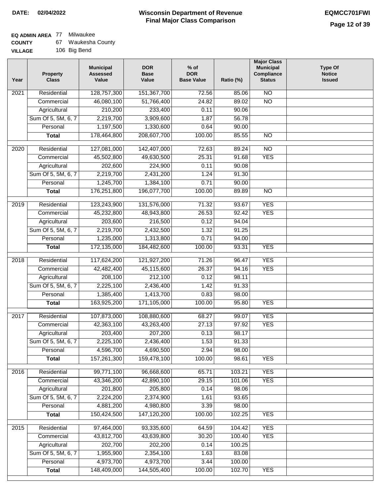# **EQ ADMIN AREA** 77 Milwaukee

| <b>COUNTY</b> | Waukesha County |
|---------------|-----------------|
|---------------|-----------------|

**VILLAGE** 106 Big Bend

| Year | <b>Property</b><br><b>Class</b> | <b>Municipal</b><br><b>Assessed</b><br>Value | <b>DOR</b><br><b>Base</b><br>Value | $%$ of<br><b>DOR</b><br><b>Base Value</b> | Ratio (%)        | <b>Major Class</b><br><b>Municipal</b><br>Compliance<br><b>Status</b> | <b>Type Of</b><br><b>Notice</b><br><b>Issued</b> |
|------|---------------------------------|----------------------------------------------|------------------------------------|-------------------------------------------|------------------|-----------------------------------------------------------------------|--------------------------------------------------|
| 2021 | Residential                     | 128,757,300                                  | 151,367,700                        | 72.56                                     | 85.06            | $\overline{NO}$                                                       |                                                  |
|      | Commercial                      | 46,080,100                                   | 51,766,400                         | 24.82                                     | 89.02            | $\overline{NO}$                                                       |                                                  |
|      | Agricultural                    | 210,200                                      | 233,400                            | 0.11                                      | 90.06            |                                                                       |                                                  |
|      | Sum Of 5, 5M, 6, 7              | 2,219,700                                    | 3,909,600                          | 1.87                                      | 56.78            |                                                                       |                                                  |
|      | Personal                        | 1,197,500                                    | 1,330,600                          | 0.64                                      | 90.00            |                                                                       |                                                  |
|      | <b>Total</b>                    | 178,464,800                                  | 208,607,700                        | 100.00                                    | 85.55            | $\overline{NO}$                                                       |                                                  |
| 2020 | Residential                     | 127,081,000                                  | 142,407,000                        | 72.63                                     | 89.24            | $\overline{NO}$                                                       |                                                  |
|      | Commercial                      | 45,502,800                                   | 49,630,500                         | 25.31                                     | 91.68            | <b>YES</b>                                                            |                                                  |
|      | Agricultural                    | 202,600                                      | 224,900                            | 0.11                                      | 90.08            |                                                                       |                                                  |
|      | Sum Of 5, 5M, 6, 7              | 2,219,700                                    | 2,431,200                          | 1.24                                      | 91.30            |                                                                       |                                                  |
|      | Personal                        | 1,245,700                                    | 1,384,100                          | 0.71                                      | 90.00            |                                                                       |                                                  |
|      | <b>Total</b>                    | 176,251,800                                  | 196,077,700                        | 100.00                                    | 89.89            | $\overline{NO}$                                                       |                                                  |
|      |                                 |                                              |                                    |                                           |                  |                                                                       |                                                  |
| 2019 | Residential                     | 123,243,900                                  | 131,576,000                        | 71.32<br>26.53                            | 93.67<br>92.42   | <b>YES</b><br><b>YES</b>                                              |                                                  |
|      | Commercial                      | 45,232,800                                   | 48,943,800                         |                                           |                  |                                                                       |                                                  |
|      | Agricultural                    | 203,600                                      | 216,500                            | 0.12                                      | 94.04            |                                                                       |                                                  |
|      | Sum Of 5, 5M, 6, 7              | 2,219,700                                    | 2,432,500                          | 1.32                                      | 91.25            |                                                                       |                                                  |
|      | Personal                        | 1,235,000                                    | 1,313,800                          | 0.71                                      | 94.00            |                                                                       |                                                  |
|      | <b>Total</b>                    | 172,135,000                                  | 184,482,600                        | 100.00                                    | 93.31            | <b>YES</b>                                                            |                                                  |
| 2018 | Residential                     | 117,624,200                                  | 121,927,200                        | 71.26                                     | 96.47            | <b>YES</b>                                                            |                                                  |
|      | Commercial                      | 42,482,400                                   | 45,115,600                         | 26.37                                     | 94.16            | <b>YES</b>                                                            |                                                  |
|      | Agricultural                    | 208,100                                      | 212,100                            | 0.12                                      | 98.11            |                                                                       |                                                  |
|      | Sum Of 5, 5M, 6, 7              | 2,225,100                                    | 2,436,400                          | 1.42                                      | 91.33            |                                                                       |                                                  |
|      | Personal                        | 1,385,400                                    | 1,413,700                          | 0.83                                      | 98.00            |                                                                       |                                                  |
|      | <b>Total</b>                    | 163,925,200                                  | 171,105,000                        | 100.00                                    | 95.80            | <b>YES</b>                                                            |                                                  |
| 2017 | Residential                     | 107,873,000                                  | 108,880,600                        | 68.27                                     | 99.07            | <b>YES</b>                                                            |                                                  |
|      | Commercial                      | 42,363,100                                   | 43,263,400                         | 27.13                                     | 97.92            | <b>YES</b>                                                            |                                                  |
|      | Agricultural                    | 203,400                                      | 207,200                            | 0.13                                      | 98.17            |                                                                       |                                                  |
|      | Sum Of 5, 5M, 6, 7              | 2,225,100                                    | 2,436,400                          | 1.53                                      | 91.33            |                                                                       |                                                  |
|      | Personal                        | 4,596,700                                    | 4,690,500                          | 2.94                                      | 98.00            |                                                                       |                                                  |
|      | <b>Total</b>                    | 157,261,300                                  | 159,478,100                        | 100.00                                    | 98.61            | <b>YES</b>                                                            |                                                  |
| 2016 | Residential                     | 99,771,100                                   | 96,668,600                         | 65.71                                     | 103.21           | <b>YES</b>                                                            |                                                  |
|      | Commercial                      | 43,346,200                                   | 42,890,100                         | 29.15                                     | 101.06           | <b>YES</b>                                                            |                                                  |
|      | Agricultural                    | 201,800                                      | 205,800                            | 0.14                                      | 98.06            |                                                                       |                                                  |
|      | Sum Of 5, 5M, 6, 7              | 2,224,200                                    | 2,374,900                          | 1.61                                      | 93.65            |                                                                       |                                                  |
|      | Personal                        | 4,881,200                                    | 4,980,800                          | 3.39                                      | 98.00            |                                                                       |                                                  |
|      | <b>Total</b>                    | 150,424,500                                  | 147,120,200                        | 100.00                                    | 102.25           | <b>YES</b>                                                            |                                                  |
|      |                                 |                                              |                                    |                                           |                  |                                                                       |                                                  |
| 2015 | Residential                     | 97,464,000                                   | 93,335,600                         | 64.59                                     | 104.42           | <b>YES</b>                                                            |                                                  |
|      | Commercial                      | 43,812,700                                   | 43,639,800                         | 30.20                                     | 100.40           | <b>YES</b>                                                            |                                                  |
|      | Agricultural                    | 202,700                                      | 202,200                            | 0.14                                      | 100.25           |                                                                       |                                                  |
|      | Sum Of 5, 5M, 6, 7              | 1,955,900                                    | 2,354,100                          | 1.63                                      | 83.08            |                                                                       |                                                  |
|      | Personal                        | 4,973,700<br>148,409,000                     | 4,973,700<br>144,505,400           | 3.44<br>100.00                            | 100.00<br>102.70 | <b>YES</b>                                                            |                                                  |
|      | <b>Total</b>                    |                                              |                                    |                                           |                  |                                                                       |                                                  |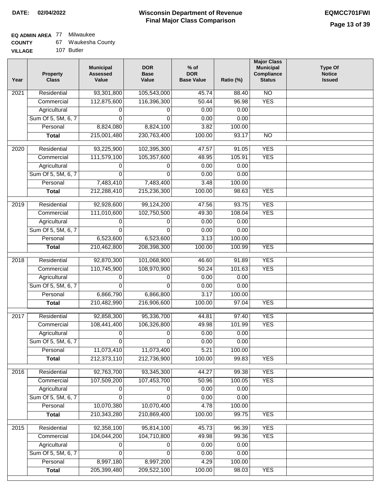### **EQ ADMIN AREA** 77 Milwaukee

| <b>COUNTY</b> | Waukesha County |
|---------------|-----------------|
|---------------|-----------------|

**VILLAGE** 107 Butler

| Year              | <b>Property</b><br><b>Class</b> | <b>Municipal</b><br><b>Assessed</b><br>Value | <b>DOR</b><br><b>Base</b><br>Value | % of<br><b>DOR</b><br><b>Base Value</b> | Ratio (%) | <b>Major Class</b><br><b>Municipal</b><br>Compliance<br><b>Status</b> | <b>Type Of</b><br><b>Notice</b><br><b>Issued</b> |
|-------------------|---------------------------------|----------------------------------------------|------------------------------------|-----------------------------------------|-----------|-----------------------------------------------------------------------|--------------------------------------------------|
| 2021              | Residential                     | 93,301,800                                   | 105,543,000                        | 45.74                                   | 88.40     | N <sub>O</sub>                                                        |                                                  |
|                   | Commercial                      | 112,875,600                                  | 116,396,300                        | 50.44                                   | 96.98     | <b>YES</b>                                                            |                                                  |
|                   | Agricultural                    | 0                                            | 0                                  | 0.00                                    | 0.00      |                                                                       |                                                  |
|                   | Sum Of 5, 5M, 6, 7              | $\Omega$                                     | $\Omega$                           | 0.00                                    | 0.00      |                                                                       |                                                  |
|                   | Personal                        | 8,824,080                                    | 8,824,100                          | 3.82                                    | 100.00    |                                                                       |                                                  |
|                   | <b>Total</b>                    | 215,001,480                                  | 230,763,400                        | 100.00                                  | 93.17     | $\overline{NO}$                                                       |                                                  |
| $\overline{2020}$ | Residential                     | 93,225,900                                   | 102,395,300                        | 47.57                                   | 91.05     | <b>YES</b>                                                            |                                                  |
|                   | Commercial                      | 111,579,100                                  | 105,357,600                        | 48.95                                   | 105.91    | <b>YES</b>                                                            |                                                  |
|                   | Agricultural                    | 0                                            | 0                                  | 0.00                                    | 0.00      |                                                                       |                                                  |
|                   | Sum Of 5, 5M, 6, 7              | 0                                            | $\Omega$                           | 0.00                                    | 0.00      |                                                                       |                                                  |
|                   | Personal                        | 7,483,410                                    | 7,483,400                          | 3.48                                    | 100.00    |                                                                       |                                                  |
|                   | <b>Total</b>                    | 212,288,410                                  | 215,236,300                        | 100.00                                  | 98.63     | <b>YES</b>                                                            |                                                  |
|                   |                                 |                                              |                                    |                                         |           |                                                                       |                                                  |
| $\frac{1}{2019}$  | Residential                     | 92,928,600                                   | 99,124,200                         | 47.56                                   | 93.75     | <b>YES</b>                                                            |                                                  |
|                   | Commercial                      | 111,010,600                                  | 102,750,500                        | 49.30                                   | 108.04    | <b>YES</b>                                                            |                                                  |
|                   | Agricultural                    | 0                                            | 0                                  | 0.00                                    | 0.00      |                                                                       |                                                  |
|                   | Sum Of 5, 5M, 6, 7              | 0                                            | $\Omega$                           | 0.00                                    | 0.00      |                                                                       |                                                  |
|                   | Personal                        | 6,523,600                                    | 6,523,600                          | 3.13                                    | 100.00    |                                                                       |                                                  |
|                   | <b>Total</b>                    | 210,462,800                                  | 208,398,300                        | 100.00                                  | 100.99    | <b>YES</b>                                                            |                                                  |
| 2018              | Residential                     | 92,870,300                                   | 101,068,900                        | 46.60                                   | 91.89     | <b>YES</b>                                                            |                                                  |
|                   | Commercial                      | 110,745,900                                  | 108,970,900                        | 50.24                                   | 101.63    | <b>YES</b>                                                            |                                                  |
|                   | Agricultural                    | 0                                            | 0                                  | 0.00                                    | 0.00      |                                                                       |                                                  |
|                   | Sum Of 5, 5M, 6, 7              | $\mathbf 0$                                  | $\mathbf 0$                        | 0.00                                    | 0.00      |                                                                       |                                                  |
|                   | Personal                        | 6,866,790                                    | 6,866,800                          | 3.17                                    | 100.00    |                                                                       |                                                  |
|                   | <b>Total</b>                    | 210,482,990                                  | 216,906,600                        | 100.00                                  | 97.04     | <b>YES</b>                                                            |                                                  |
|                   |                                 |                                              |                                    |                                         |           |                                                                       |                                                  |
| 2017              | Residential                     | 92,858,300                                   | 95,336,700                         | 44.81                                   | 97.40     | <b>YES</b>                                                            |                                                  |
|                   | Commercial                      | 108,441,400                                  | 106,326,800                        | 49.98                                   | 101.99    | <b>YES</b>                                                            |                                                  |
|                   | Agricultural                    | 0                                            | 0                                  | 0.00                                    | 0.00      |                                                                       |                                                  |
|                   | Sum Of 5, 5M, 6, 7              | 0                                            | 0                                  | 0.00                                    | 0.00      |                                                                       |                                                  |
|                   | Personal                        | 11,073,410                                   | 11,073,400                         | 5.21                                    | 100.00    |                                                                       |                                                  |
|                   | <b>Total</b>                    | 212,373,110                                  | 212,736,900                        | 100.00                                  | 99.83     | <b>YES</b>                                                            |                                                  |
| 2016              | Residential                     | 92,763,700                                   | 93,345,300                         | 44.27                                   | 99.38     | <b>YES</b>                                                            |                                                  |
|                   | Commercial                      | 107,509,200                                  | 107,453,700                        | 50.96                                   | 100.05    | <b>YES</b>                                                            |                                                  |
|                   | Agricultural                    | 0                                            | 0                                  | 0.00                                    | 0.00      |                                                                       |                                                  |
|                   | Sum Of 5, 5M, 6, 7              | $\Omega$                                     | $\Omega$                           | 0.00                                    | 0.00      |                                                                       |                                                  |
|                   | Personal                        | 10,070,380                                   | 10,070,400                         | 4.78                                    | 100.00    |                                                                       |                                                  |
|                   | <b>Total</b>                    | 210,343,280                                  | 210,869,400                        | 100.00                                  | 99.75     | <b>YES</b>                                                            |                                                  |
| 2015              | Residential                     | 92,358,100                                   | 95,814,100                         | 45.73                                   | 96.39     | <b>YES</b>                                                            |                                                  |
|                   | Commercial                      | 104,044,200                                  | 104,710,800                        | 49.98                                   | 99.36     | <b>YES</b>                                                            |                                                  |
|                   | Agricultural                    | 0                                            | 0                                  | 0.00                                    | 0.00      |                                                                       |                                                  |
|                   | Sum Of 5, 5M, 6, 7              | 0                                            | 0                                  | 0.00                                    | 0.00      |                                                                       |                                                  |
|                   | Personal                        | 8,997,180                                    | 8,997,200                          | 4.29                                    | 100.00    |                                                                       |                                                  |
|                   | <b>Total</b>                    | 205,399,480                                  | 209,522,100                        | 100.00                                  | 98.03     | <b>YES</b>                                                            |                                                  |
|                   |                                 |                                              |                                    |                                         |           |                                                                       |                                                  |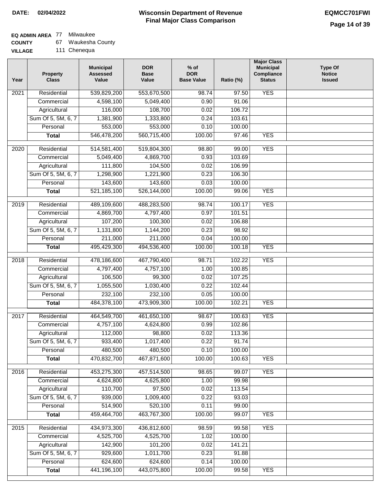## **EQ ADMIN AREA** 77 Milwaukee

| <b>COUNTY</b> | Waukesha County |
|---------------|-----------------|
|---------------|-----------------|

| Year             | <b>Property</b><br><b>Class</b>    | <b>Municipal</b><br><b>Assessed</b><br>Value | <b>DOR</b><br><b>Base</b><br>Value | $%$ of<br><b>DOR</b><br><b>Base Value</b> | Ratio (%)        | <b>Major Class</b><br><b>Municipal</b><br>Compliance<br><b>Status</b> | <b>Type Of</b><br><b>Notice</b><br><b>Issued</b> |
|------------------|------------------------------------|----------------------------------------------|------------------------------------|-------------------------------------------|------------------|-----------------------------------------------------------------------|--------------------------------------------------|
| 2021             | Residential                        | 539,829,200                                  | 553,670,500                        | 98.74                                     | 97.50            | <b>YES</b>                                                            |                                                  |
|                  | Commercial                         | 4,598,100                                    | 5,049,400                          | 0.90                                      | 91.06            |                                                                       |                                                  |
|                  | Agricultural                       | 116,000                                      | 108,700                            | 0.02                                      | 106.72           |                                                                       |                                                  |
|                  | Sum Of 5, 5M, 6, 7                 | 1,381,900                                    | 1,333,800                          | 0.24                                      | 103.61           |                                                                       |                                                  |
|                  | Personal                           | 553,000                                      | 553,000                            | 0.10                                      | 100.00           |                                                                       |                                                  |
|                  | <b>Total</b>                       | 546,478,200                                  | 560,715,400                        | 100.00                                    | 97.46            | <b>YES</b>                                                            |                                                  |
| 2020             | Residential                        | 514,581,400                                  | 519,804,300                        | 98.80                                     | 99.00            | <b>YES</b>                                                            |                                                  |
|                  | Commercial                         | 5,049,400                                    | 4,869,700                          | 0.93                                      | 103.69           |                                                                       |                                                  |
|                  | Agricultural                       | 111,800                                      | 104,500                            | 0.02                                      | 106.99           |                                                                       |                                                  |
|                  | Sum Of 5, 5M, 6, 7                 | 1,298,900                                    | 1,221,900                          | 0.23                                      | 106.30           |                                                                       |                                                  |
|                  | Personal                           | 143,600                                      | 143,600                            | 0.03                                      | 100.00           |                                                                       |                                                  |
|                  | <b>Total</b>                       | 521, 185, 100                                | 526,144,000                        | 100.00                                    | 99.06            | <b>YES</b>                                                            |                                                  |
| $\frac{1}{2019}$ | Residential                        | 489,109,600                                  | 488,283,500                        | 98.74                                     | 100.17           | <b>YES</b>                                                            |                                                  |
|                  | Commercial                         | 4,869,700                                    | 4,797,400                          | 0.97                                      | 101.51           |                                                                       |                                                  |
|                  | Agricultural                       | 107,200                                      | 100,300                            | 0.02                                      | 106.88           |                                                                       |                                                  |
|                  | Sum Of 5, 5M, 6, 7                 | 1,131,800                                    | 1,144,200                          | 0.23                                      | 98.92            |                                                                       |                                                  |
|                  | Personal                           | 211,000                                      | 211,000                            | 0.04                                      | 100.00           |                                                                       |                                                  |
|                  | <b>Total</b>                       | 495,429,300                                  | 494,536,400                        | 100.00                                    | 100.18           | <b>YES</b>                                                            |                                                  |
|                  |                                    |                                              |                                    |                                           |                  |                                                                       |                                                  |
| 2018             | Residential                        | 478,186,600                                  | 467,790,400                        | 98.71                                     | 102.22           | <b>YES</b>                                                            |                                                  |
|                  | Commercial                         | 4,797,400<br>106,500                         | 4,757,100<br>99,300                | 1.00<br>0.02                              | 100.85<br>107.25 |                                                                       |                                                  |
|                  | Agricultural<br>Sum Of 5, 5M, 6, 7 | 1,055,500                                    | 1,030,400                          | 0.22                                      | 102.44           |                                                                       |                                                  |
|                  | Personal                           | 232,100                                      | 232,100                            | 0.05                                      | 100.00           |                                                                       |                                                  |
|                  | <b>Total</b>                       | 484,378,100                                  | 473,909,300                        | 100.00                                    | 102.21           | <b>YES</b>                                                            |                                                  |
|                  |                                    |                                              |                                    |                                           |                  |                                                                       |                                                  |
| 2017             | Residential                        | 464,549,700                                  | 461,650,100                        | 98.67                                     | 100.63           | <b>YES</b>                                                            |                                                  |
|                  | Commercial                         | 4,757,100                                    | 4,624,800                          | 0.99                                      | 102.86           |                                                                       |                                                  |
|                  | Agricultural                       | 112,000                                      | 98,800                             | 0.02                                      | 113.36           |                                                                       |                                                  |
|                  | Sum Of 5, 5M, 6, 7                 | 933,400                                      | 1,017,400                          | 0.22                                      | 91.74            |                                                                       |                                                  |
|                  | Personal                           | 480,500                                      | 480,500                            | 0.10                                      | 100.00           |                                                                       |                                                  |
|                  | <b>Total</b>                       | 470,832,700                                  | 467,871,600                        | 100.00                                    | 100.63           | <b>YES</b>                                                            |                                                  |
| 2016             | Residential                        | 453,275,300                                  | 457,514,500                        | 98.65                                     | 99.07            | <b>YES</b>                                                            |                                                  |
|                  | Commercial                         | 4,624,800                                    | 4,625,800                          | 1.00                                      | 99.98            |                                                                       |                                                  |
|                  | Agricultural                       | 110,700                                      | 97,500                             | 0.02                                      | 113.54           |                                                                       |                                                  |
|                  | Sum Of 5, 5M, 6, 7                 | 939,000                                      | 1,009,400                          | 0.22                                      | 93.03            |                                                                       |                                                  |
|                  | Personal                           | 514,900                                      | 520,100                            | 0.11                                      | 99.00            |                                                                       |                                                  |
|                  | <b>Total</b>                       | 459,464,700                                  | 463,767,300                        | 100.00                                    | 99.07            | <b>YES</b>                                                            |                                                  |
| 2015             | Residential                        | 434,973,300                                  | 436,812,600                        | 98.59                                     | 99.58            | <b>YES</b>                                                            |                                                  |
|                  | Commercial                         | 4,525,700                                    | 4,525,700                          | 1.02                                      | 100.00           |                                                                       |                                                  |
|                  | Agricultural                       | 142,900                                      | 101,200                            | 0.02                                      | 141.21           |                                                                       |                                                  |
|                  | Sum Of 5, 5M, 6, 7                 | 929,600                                      | 1,011,700                          | 0.23                                      | 91.88            |                                                                       |                                                  |
|                  | Personal                           | 624,600                                      | 624,600                            | 0.14                                      | 100.00           |                                                                       |                                                  |
|                  | <b>Total</b>                       | 441,196,100                                  | 443,075,800                        | 100.00                                    | 99.58            | <b>YES</b>                                                            |                                                  |
|                  |                                    |                                              |                                    |                                           |                  |                                                                       |                                                  |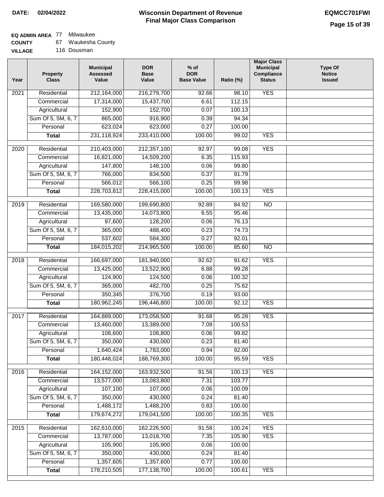## **EQ ADMIN AREA** 77 Milwaukee

| <b>COUNTY</b> |  | Waukesha County |
|---------------|--|-----------------|
|---------------|--|-----------------|

**VILLAGE** 116 Dousman

| Year              | <b>Property</b><br><b>Class</b> | <b>Municipal</b><br><b>Assessed</b><br>Value | <b>DOR</b><br><b>Base</b><br>Value | $%$ of<br><b>DOR</b><br><b>Base Value</b> | Ratio (%) | <b>Major Class</b><br><b>Municipal</b><br>Compliance<br><b>Status</b> | <b>Type Of</b><br><b>Notice</b><br><b>Issued</b> |
|-------------------|---------------------------------|----------------------------------------------|------------------------------------|-------------------------------------------|-----------|-----------------------------------------------------------------------|--------------------------------------------------|
| $\overline{202}1$ | Residential                     | 212,164,000                                  | 216,279,700                        | 92.66                                     | 98.10     | <b>YES</b>                                                            |                                                  |
|                   | Commercial                      | 17,314,000                                   | 15,437,700                         | 6.61                                      | 112.15    |                                                                       |                                                  |
|                   | Agricultural                    | 152,900                                      | 152,700                            | 0.07                                      | 100.13    |                                                                       |                                                  |
|                   | Sum Of 5, 5M, 6, 7              | 865,000                                      | 916,900                            | 0.39                                      | 94.34     |                                                                       |                                                  |
|                   | Personal                        | 623,024                                      | 623,000                            | 0.27                                      | 100.00    |                                                                       |                                                  |
|                   | <b>Total</b>                    | 231,118,924                                  | 233,410,000                        | 100.00                                    | 99.02     | <b>YES</b>                                                            |                                                  |
| $\overline{2020}$ | Residential                     | 210,403,000                                  | 212,357,100                        | 92.97                                     | 99.08     | <b>YES</b>                                                            |                                                  |
|                   | Commercial                      | 16,821,000                                   | 14,509,200                         | 6.35                                      | 115.93    |                                                                       |                                                  |
|                   | Agricultural                    | 147,800                                      | 148,100                            | 0.06                                      | 99.80     |                                                                       |                                                  |
|                   | Sum Of 5, 5M, 6, 7              | 766,000                                      | 834,500                            | 0.37                                      | 91.79     |                                                                       |                                                  |
|                   | Personal                        | 566,012                                      | 566,100                            | 0.25                                      | 99.98     |                                                                       |                                                  |
|                   | <b>Total</b>                    | 228,703,812                                  | 228,415,000                        | 100.00                                    | 100.13    | <b>YES</b>                                                            |                                                  |
|                   |                                 |                                              |                                    |                                           |           |                                                                       |                                                  |
| 2019              | Residential                     | 169,580,000                                  | 199,690,800                        | 92.89                                     | 84.92     | $\overline{NO}$                                                       |                                                  |
|                   | Commercial                      | 13,435,000                                   | 14,073,800                         | 6.55                                      | 95.46     |                                                                       |                                                  |
|                   | Agricultural                    | 97,600                                       | 128,200                            | 0.06                                      | 76.13     |                                                                       |                                                  |
|                   | Sum Of 5, 5M, 6, 7              | 365,000                                      | 488,400                            | 0.23                                      | 74.73     |                                                                       |                                                  |
|                   | Personal                        | 537,602                                      | 584,300                            | 0.27                                      | 92.01     |                                                                       |                                                  |
|                   | <b>Total</b>                    | 184,015,202                                  | 214,965,500                        | 100.00                                    | 85.60     | $\overline{NO}$                                                       |                                                  |
| 2018              | Residential                     | 166,697,000                                  | 181,940,000                        | 92.62                                     | 91.62     | <b>YES</b>                                                            |                                                  |
|                   | Commercial                      | 13,425,000                                   | 13,522,900                         | 6.88                                      | 99.28     |                                                                       |                                                  |
|                   | Agricultural                    | 124,900                                      | 124,500                            | 0.06                                      | 100.32    |                                                                       |                                                  |
|                   | Sum Of 5, 5M, 6, 7              | 365,000                                      | 482,700                            | 0.25                                      | 75.62     |                                                                       |                                                  |
|                   | Personal                        | 350,345                                      | 376,700                            | 0.19                                      | 93.00     |                                                                       |                                                  |
|                   | <b>Total</b>                    | 180,962,245                                  | 196,446,800                        | 100.00                                    | 92.12     | <b>YES</b>                                                            |                                                  |
| 2017              | Residential                     | 164,889,000                                  | 173,058,500                        | 91.68                                     | 95.28     | <b>YES</b>                                                            |                                                  |
|                   | Commercial                      | 13,460,000                                   | 13,389,000                         | 7.09                                      | 100.53    |                                                                       |                                                  |
|                   | Agricultural                    | 108,600                                      | 108,800                            | 0.06                                      | 99.82     |                                                                       |                                                  |
|                   | Sum Of 5, 5M, 6, 7              | 350,000                                      | 430,000                            | 0.23                                      | 81.40     |                                                                       |                                                  |
|                   | Personal                        | 1,640,424                                    | 1,783,000                          | 0.94                                      | 92.00     |                                                                       |                                                  |
|                   | <b>Total</b>                    | 180,448,024                                  | 188,769,300                        | 100.00                                    | 95.59     | <b>YES</b>                                                            |                                                  |
| 2016              | Residential                     | 164, 152, 000                                | 163,932,500                        | 91.56                                     | 100.13    | <b>YES</b>                                                            |                                                  |
|                   | Commercial                      | 13,577,000                                   | 13,083,800                         | 7.31                                      | 103.77    |                                                                       |                                                  |
|                   | Agricultural                    | 107,100                                      | 107,000                            | 0.06                                      | 100.09    |                                                                       |                                                  |
|                   | Sum Of 5, 5M, 6, 7              | 350,000                                      | 430,000                            | 0.24                                      | 81.40     |                                                                       |                                                  |
|                   | Personal                        | 1,488,172                                    | 1,488,200                          | 0.83                                      | 100.00    |                                                                       |                                                  |
|                   | <b>Total</b>                    | 179,674,272                                  | 179,041,500                        | 100.00                                    | 100.35    | <b>YES</b>                                                            |                                                  |
|                   |                                 |                                              |                                    |                                           |           |                                                                       |                                                  |
| 2015              | Residential                     | 162,610,000                                  | 162,226,500                        | 91.58                                     | 100.24    | <b>YES</b>                                                            |                                                  |
|                   | Commercial                      | 13,787,000                                   | 13,018,700                         | 7.35                                      | 105.90    | <b>YES</b>                                                            |                                                  |
|                   | Agricultural                    | 105,900                                      | 105,900                            | 0.06                                      | 100.00    |                                                                       |                                                  |
|                   | Sum Of 5, 5M, 6, 7              | 350,000                                      | 430,000                            | 0.24                                      | 81.40     |                                                                       |                                                  |
|                   | Personal                        | 1,357,605                                    | 1,357,600                          | 0.77                                      | 100.00    |                                                                       |                                                  |
|                   | <b>Total</b>                    | 178,210,505                                  | 177, 138, 700                      | 100.00                                    | 100.61    | <b>YES</b>                                                            |                                                  |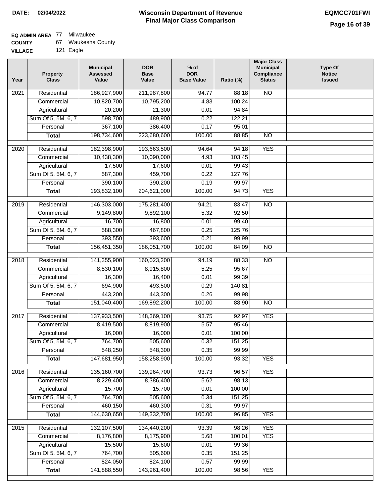# **EQ ADMIN AREA** 77 Milwaukee

| <b>COUNTY</b> | Waukesha County |
|---------------|-----------------|
|---------------|-----------------|

**VILLAGE** 121 Eagle

| Year              | <b>Property</b><br><b>Class</b> | <b>Municipal</b><br><b>Assessed</b><br>Value | <b>DOR</b><br>Base<br>Value | $%$ of<br><b>DOR</b><br><b>Base Value</b> | Ratio (%) | <b>Major Class</b><br><b>Municipal</b><br>Compliance<br><b>Status</b> | <b>Type Of</b><br><b>Notice</b><br><b>Issued</b> |
|-------------------|---------------------------------|----------------------------------------------|-----------------------------|-------------------------------------------|-----------|-----------------------------------------------------------------------|--------------------------------------------------|
| $\overline{202}1$ | Residential                     | 186,927,900                                  | 211,987,800                 | 94.77                                     | 88.18     | N <sub>O</sub>                                                        |                                                  |
|                   | Commercial                      | 10,820,700                                   | 10,795,200                  | 4.83                                      | 100.24    |                                                                       |                                                  |
|                   | Agricultural                    | 20,200                                       | 21,300                      | 0.01                                      | 94.84     |                                                                       |                                                  |
|                   | Sum Of 5, 5M, 6, 7              | 598,700                                      | 489,900                     | 0.22                                      | 122.21    |                                                                       |                                                  |
|                   | Personal                        | 367,100                                      | 386,400                     | 0.17                                      | 95.01     |                                                                       |                                                  |
|                   | <b>Total</b>                    | 198,734,600                                  | 223,680,600                 | 100.00                                    | 88.85     | $\overline{NO}$                                                       |                                                  |
| $\overline{2020}$ | Residential                     | 182,398,900                                  | 193,663,500                 | 94.64                                     | 94.18     | <b>YES</b>                                                            |                                                  |
|                   | Commercial                      | 10,438,300                                   | 10,090,000                  | 4.93                                      | 103.45    |                                                                       |                                                  |
|                   | Agricultural                    | 17,500                                       | 17,600                      | 0.01                                      | 99.43     |                                                                       |                                                  |
|                   | Sum Of 5, 5M, 6, 7              | 587,300                                      | 459,700                     | 0.22                                      | 127.76    |                                                                       |                                                  |
|                   | Personal                        | 390,100                                      | 390,200                     | 0.19                                      | 99.97     |                                                                       |                                                  |
|                   | <b>Total</b>                    | 193,832,100                                  | 204,621,000                 | 100.00                                    | 94.73     | <b>YES</b>                                                            |                                                  |
| 2019              | Residential                     | 146,303,000                                  | 175,281,400                 | 94.21                                     | 83.47     | $\overline{10}$                                                       |                                                  |
|                   | Commercial                      | 9,149,800                                    | 9,892,100                   | 5.32                                      | 92.50     |                                                                       |                                                  |
|                   | Agricultural                    | 16,700                                       | 16,800                      | 0.01                                      | 99.40     |                                                                       |                                                  |
|                   | Sum Of 5, 5M, 6, 7              | 588,300                                      | 467,800                     | 0.25                                      | 125.76    |                                                                       |                                                  |
|                   | Personal                        | 393,550                                      | 393,600                     | 0.21                                      | 99.99     |                                                                       |                                                  |
|                   | <b>Total</b>                    | 156,451,350                                  | 186,051,700                 | 100.00                                    | 84.09     | $\overline{NO}$                                                       |                                                  |
|                   |                                 |                                              |                             |                                           |           |                                                                       |                                                  |
| 2018              | Residential                     | 141,355,900                                  | 160,023,200                 | 94.19                                     | 88.33     | $\overline{10}$                                                       |                                                  |
|                   | Commercial                      | 8,530,100                                    | 8,915,800                   | 5.25                                      | 95.67     |                                                                       |                                                  |
|                   | Agricultural                    | 16,300                                       | 16,400                      | 0.01                                      | 99.39     |                                                                       |                                                  |
|                   | Sum Of 5, 5M, 6, 7              | 694,900                                      | 493,500                     | 0.29                                      | 140.81    |                                                                       |                                                  |
|                   | Personal                        | 443,200                                      | 443,300                     | 0.26                                      | 99.98     |                                                                       |                                                  |
|                   | <b>Total</b>                    | 151,040,400                                  | 169,892,200                 | 100.00                                    | 88.90     | <b>NO</b>                                                             |                                                  |
| 2017              | Residential                     | 137,933,500                                  | 148,369,100                 | 93.75                                     | 92.97     | <b>YES</b>                                                            |                                                  |
|                   | Commercial                      | 8,419,500                                    | 8,819,900                   | 5.57                                      | 95.46     |                                                                       |                                                  |
|                   | Agricultural                    | 16,000                                       | 16,000                      | 0.01                                      | 100.00    |                                                                       |                                                  |
|                   | Sum Of 5, 5M, 6, 7              | 764,700                                      | 505,600                     | 0.32                                      | 151.25    |                                                                       |                                                  |
|                   | Personal                        | 548,250                                      | 548,300                     | 0.35                                      | 99.99     |                                                                       |                                                  |
|                   | <b>Total</b>                    | 147,681,950                                  | 158,258,900                 | 100.00                                    | 93.32     | <b>YES</b>                                                            |                                                  |
| 2016              | Residential                     | 135,160,700                                  | 139,964,700                 | 93.73                                     | 96.57     | <b>YES</b>                                                            |                                                  |
|                   | Commercial                      | 8,229,400                                    | 8,386,400                   | 5.62                                      | 98.13     |                                                                       |                                                  |
|                   | Agricultural                    | 15,700                                       | 15,700                      | 0.01                                      | 100.00    |                                                                       |                                                  |
|                   | Sum Of 5, 5M, 6, 7              | 764,700                                      | 505,600                     | 0.34                                      | 151.25    |                                                                       |                                                  |
|                   | Personal                        | 460,150                                      | 460,300                     | 0.31                                      | 99.97     |                                                                       |                                                  |
|                   | <b>Total</b>                    | 144,630,650                                  | 149,332,700                 | 100.00                                    | 96.85     | <b>YES</b>                                                            |                                                  |
| 2015              | Residential                     | 132,107,500                                  | 134,440,200                 | 93.39                                     | 98.26     | <b>YES</b>                                                            |                                                  |
|                   | Commercial                      | 8,176,800                                    | 8,175,900                   | 5.68                                      | 100.01    | <b>YES</b>                                                            |                                                  |
|                   | Agricultural                    | 15,500                                       | 15,600                      | 0.01                                      | 99.36     |                                                                       |                                                  |
|                   | Sum Of 5, 5M, 6, 7              | 764,700                                      | 505,600                     | 0.35                                      | 151.25    |                                                                       |                                                  |
|                   | Personal                        | 824,050                                      | 824,100                     | 0.57                                      | 99.99     |                                                                       |                                                  |
|                   | <b>Total</b>                    | 141,888,550                                  | 143,961,400                 | 100.00                                    | 98.56     | <b>YES</b>                                                            |                                                  |
|                   |                                 |                                              |                             |                                           |           |                                                                       |                                                  |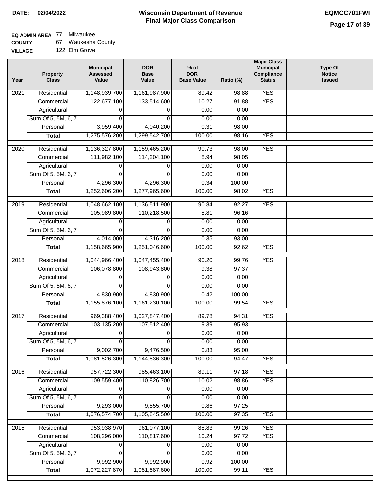## **EQ ADMIN AREA** 77 Milwaukee

**COUNTY** 67 Waukesha County

| Year | <b>Property</b><br><b>Class</b> | <b>Municipal</b><br><b>Assessed</b><br>Value | <b>DOR</b><br><b>Base</b><br>Value | $%$ of<br><b>DOR</b><br><b>Base Value</b> | Ratio (%) | <b>Major Class</b><br><b>Municipal</b><br>Compliance<br><b>Status</b> | <b>Type Of</b><br><b>Notice</b><br><b>Issued</b> |
|------|---------------------------------|----------------------------------------------|------------------------------------|-------------------------------------------|-----------|-----------------------------------------------------------------------|--------------------------------------------------|
| 2021 | Residential                     | 1,148,939,700                                | 1,161,987,900                      | 89.42                                     | 98.88     | <b>YES</b>                                                            |                                                  |
|      | Commercial                      | 122,677,100                                  | 133,514,600                        | 10.27                                     | 91.88     | <b>YES</b>                                                            |                                                  |
|      | Agricultural                    | 0                                            | 0                                  | 0.00                                      | 0.00      |                                                                       |                                                  |
|      | Sum Of 5, 5M, 6, 7              | 0                                            | $\Omega$                           | 0.00                                      | 0.00      |                                                                       |                                                  |
|      | Personal                        | 3,959,400                                    | 4,040,200                          | 0.31                                      | 98.00     |                                                                       |                                                  |
|      | <b>Total</b>                    | 1,275,576,200                                | 1,299,542,700                      | 100.00                                    | 98.16     | <b>YES</b>                                                            |                                                  |
| 2020 | Residential                     | 1,136,327,800                                | 1,159,465,200                      | 90.73                                     | 98.00     | <b>YES</b>                                                            |                                                  |
|      | Commercial                      | 111,982,100                                  | 114,204,100                        | 8.94                                      | 98.05     |                                                                       |                                                  |
|      | Agricultural                    | 0                                            | 0                                  | 0.00                                      | 0.00      |                                                                       |                                                  |
|      | Sum Of 5, 5M, 6, 7              | 0                                            | $\Omega$                           | 0.00                                      | 0.00      |                                                                       |                                                  |
|      | Personal                        | 4,296,300                                    | 4,296,300                          | 0.34                                      | 100.00    |                                                                       |                                                  |
|      | <b>Total</b>                    | 1,252,606,200                                | 1,277,965,600                      | 100.00                                    | 98.02     | <b>YES</b>                                                            |                                                  |
|      |                                 |                                              |                                    |                                           |           |                                                                       |                                                  |
| 2019 | Residential                     | 1,048,662,100                                | 1,136,511,900                      | 90.84                                     | 92.27     | <b>YES</b>                                                            |                                                  |
|      | Commercial                      | 105,989,800                                  | 110,218,500                        | 8.81                                      | 96.16     |                                                                       |                                                  |
|      | Agricultural                    | 0                                            | 0                                  | 0.00                                      | 0.00      |                                                                       |                                                  |
|      | Sum Of 5, 5M, 6, 7              | $\mathbf 0$                                  | 0                                  | 0.00                                      | 0.00      |                                                                       |                                                  |
|      | Personal                        | 4,014,000                                    | 4,316,200                          | 0.35                                      | 93.00     |                                                                       |                                                  |
|      | <b>Total</b>                    | 1,158,665,900                                | 1,251,046,600                      | 100.00                                    | 92.62     | <b>YES</b>                                                            |                                                  |
| 2018 | Residential                     | 1,044,966,400                                | 1,047,455,400                      | 90.20                                     | 99.76     | <b>YES</b>                                                            |                                                  |
|      | Commercial                      | 106,078,800                                  | 108,943,800                        | 9.38                                      | 97.37     |                                                                       |                                                  |
|      | Agricultural                    | 0                                            | 0                                  | 0.00                                      | 0.00      |                                                                       |                                                  |
|      | Sum Of 5, 5M, 6, 7              | 0                                            | $\Omega$                           | 0.00                                      | 0.00      |                                                                       |                                                  |
|      | Personal                        | 4,830,900                                    | 4,830,900                          | 0.42                                      | 100.00    |                                                                       |                                                  |
|      | <b>Total</b>                    | 1,155,876,100                                | 1,161,230,100                      | 100.00                                    | 99.54     | <b>YES</b>                                                            |                                                  |
| 2017 | Residential                     | 969,388,400                                  | 1,027,847,400                      | 89.78                                     | 94.31     | <b>YES</b>                                                            |                                                  |
|      | Commercial                      | 103,135,200                                  | 107,512,400                        | 9.39                                      | 95.93     |                                                                       |                                                  |
|      | Agricultural                    | 0                                            | 0                                  | 0.00                                      | 0.00      |                                                                       |                                                  |
|      | Sum Of 5, 5M, 6, 7              | 0                                            | 0                                  | 0.00                                      | 0.00      |                                                                       |                                                  |
|      | Personal                        | 9,002,700                                    | 9,476,500                          | 0.83                                      | 95.00     |                                                                       |                                                  |
|      | <b>Total</b>                    | 1,081,526,300                                | 1,144,836,300                      | 100.00                                    | 94.47     | <b>YES</b>                                                            |                                                  |
| 2016 | Residential                     | 957,722,300                                  | 985,463,100                        | 89.11                                     | 97.18     | <b>YES</b>                                                            |                                                  |
|      | Commercial                      | 109,559,400                                  | 110,826,700                        | 10.02                                     | 98.86     | <b>YES</b>                                                            |                                                  |
|      | Agricultural                    | 0                                            | 0                                  | 0.00                                      | 0.00      |                                                                       |                                                  |
|      | Sum Of 5, 5M, 6, 7              | 0                                            | 0                                  | 0.00                                      | 0.00      |                                                                       |                                                  |
|      | Personal                        | 9,293,000                                    | 9,555,700                          | 0.86                                      | 97.25     |                                                                       |                                                  |
|      | <b>Total</b>                    | 1,076,574,700                                | 1,105,845,500                      | 100.00                                    | 97.35     | <b>YES</b>                                                            |                                                  |
|      |                                 |                                              |                                    |                                           |           |                                                                       |                                                  |
| 2015 | Residential                     | 953,938,970                                  | 961,077,100                        | 88.83                                     | 99.26     | <b>YES</b>                                                            |                                                  |
|      | Commercial                      | 108,296,000                                  | 110,817,600                        | 10.24                                     | 97.72     | <b>YES</b>                                                            |                                                  |
|      | Agricultural                    | 0                                            | 0                                  | 0.00                                      | 0.00      |                                                                       |                                                  |
|      | Sum Of 5, 5M, 6, 7              | 0                                            | 0                                  | 0.00                                      | 0.00      |                                                                       |                                                  |
|      | Personal                        | 9,992,900                                    | 9,992,900                          | 0.92                                      | 100.00    |                                                                       |                                                  |
|      | <b>Total</b>                    | 1,072,227,870                                | 1,081,887,600                      | 100.00                                    | 99.11     | <b>YES</b>                                                            |                                                  |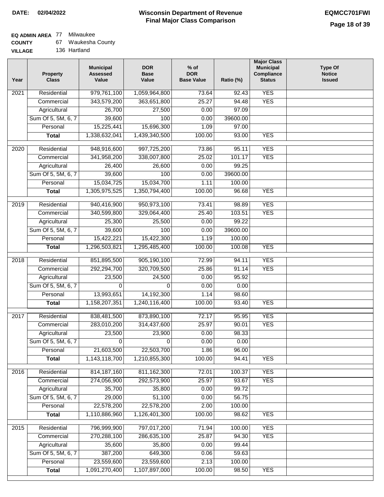## **EQ ADMIN AREA** 77 Milwaukee

| <b>COUNTY</b> |  | Waukesha County |
|---------------|--|-----------------|
|---------------|--|-----------------|

**VILLAGE** 136 Hartland

| Year              | <b>Property</b><br><b>Class</b> | <b>Municipal</b><br><b>Assessed</b><br>Value | <b>DOR</b><br><b>Base</b><br>Value | $%$ of<br><b>DOR</b><br><b>Base Value</b> | Ratio (%) | <b>Major Class</b><br><b>Municipal</b><br>Compliance<br><b>Status</b> | <b>Type Of</b><br><b>Notice</b><br><b>Issued</b> |
|-------------------|---------------------------------|----------------------------------------------|------------------------------------|-------------------------------------------|-----------|-----------------------------------------------------------------------|--------------------------------------------------|
| 2021              | Residential                     | 979,761,100                                  | 1,059,964,800                      | 73.64                                     | 92.43     | <b>YES</b>                                                            |                                                  |
|                   | Commercial                      | 343,579,200                                  | 363,651,800                        | 25.27                                     | 94.48     | <b>YES</b>                                                            |                                                  |
|                   | Agricultural                    | 26,700                                       | 27,500                             | 0.00                                      | 97.09     |                                                                       |                                                  |
|                   | Sum Of 5, 5M, 6, 7              | 39,600                                       | 100                                | 0.00                                      | 39600.00  |                                                                       |                                                  |
|                   | Personal                        | 15,225,441                                   | 15,696,300                         | 1.09                                      | 97.00     |                                                                       |                                                  |
|                   | <b>Total</b>                    | 1,338,632,041                                | 1,439,340,500                      | 100.00                                    | 93.00     | <b>YES</b>                                                            |                                                  |
| $\overline{2020}$ | Residential                     | 948,916,600                                  | 997,725,200                        | 73.86                                     | 95.11     | <b>YES</b>                                                            |                                                  |
|                   | Commercial                      | 341,958,200                                  | 338,007,800                        | 25.02                                     | 101.17    | <b>YES</b>                                                            |                                                  |
|                   | Agricultural                    | 26,400                                       | 26,600                             | 0.00                                      | 99.25     |                                                                       |                                                  |
|                   | Sum Of 5, 5M, 6, 7              | 39,600                                       | 100                                | 0.00                                      | 39600.00  |                                                                       |                                                  |
|                   | Personal                        | 15,034,725                                   | 15,034,700                         | 1.11                                      | 100.00    |                                                                       |                                                  |
|                   | <b>Total</b>                    | 1,305,975,525                                | 1,350,794,400                      | 100.00                                    | 96.68     | <b>YES</b>                                                            |                                                  |
| $\frac{1}{2019}$  | Residential                     | 940,416,900                                  | 950,973,100                        | 73.41                                     | 98.89     | <b>YES</b>                                                            |                                                  |
|                   | Commercial                      | 340,599,800                                  | 329,064,400                        | 25.40                                     | 103.51    | <b>YES</b>                                                            |                                                  |
|                   | Agricultural                    | 25,300                                       | 25,500                             | 0.00                                      | 99.22     |                                                                       |                                                  |
|                   | Sum Of 5, 5M, 6, 7              | 39,600                                       | 100                                | 0.00                                      | 39600.00  |                                                                       |                                                  |
|                   | Personal                        | 15,422,221                                   | 15,422,300                         | 1.19                                      | 100.00    |                                                                       |                                                  |
|                   | <b>Total</b>                    | 1,296,503,821                                | 1,295,485,400                      | 100.00                                    | 100.08    | <b>YES</b>                                                            |                                                  |
|                   |                                 |                                              |                                    |                                           |           |                                                                       |                                                  |
| 2018              | Residential                     | 851,895,500                                  | 905,190,100                        | 72.99                                     | 94.11     | <b>YES</b>                                                            |                                                  |
|                   | Commercial                      | 292,294,700                                  | 320,709,500                        | 25.86                                     | 91.14     | <b>YES</b>                                                            |                                                  |
|                   | Agricultural                    | 23,500                                       | 24,500                             | 0.00                                      | 95.92     |                                                                       |                                                  |
|                   | Sum Of 5, 5M, 6, 7              | 0                                            | 0                                  | 0.00                                      | 0.00      |                                                                       |                                                  |
|                   | Personal                        | 13,993,651                                   | 14,192,300                         | 1.14                                      | 98.60     |                                                                       |                                                  |
|                   | <b>Total</b>                    | 1,158,207,351                                | 1,240,116,400                      | 100.00                                    | 93.40     | <b>YES</b>                                                            |                                                  |
| $\overline{2017}$ | Residential                     | 838,481,500                                  | 873,890,100                        | 72.17                                     | 95.95     | <b>YES</b>                                                            |                                                  |
|                   | Commercial                      | 283,010,200                                  | 314,437,600                        | 25.97                                     | 90.01     | <b>YES</b>                                                            |                                                  |
|                   | Agricultural                    | 23,500                                       | 23,900                             | 0.00                                      | 98.33     |                                                                       |                                                  |
|                   | Sum Of 5, 5M, 6, 7              | $\overline{0}$                               | $\overline{0}$                     | 0.00                                      | 0.00      |                                                                       |                                                  |
|                   | Personal                        | 21,603,500                                   | 22,503,700                         | 1.86                                      | 96.00     |                                                                       |                                                  |
|                   | <b>Total</b>                    | 1,143,118,700                                | 1,210,855,300                      | 100.00                                    | 94.41     | <b>YES</b>                                                            |                                                  |
| 2016              | Residential                     | 814, 187, 160                                | 811, 162, 300                      | 72.01                                     | 100.37    | <b>YES</b>                                                            |                                                  |
|                   | Commercial                      | 274,056,900                                  | 292,573,900                        | 25.97                                     | 93.67     | <b>YES</b>                                                            |                                                  |
|                   | Agricultural                    | 35,700                                       | 35,800                             | 0.00                                      | 99.72     |                                                                       |                                                  |
|                   | Sum Of 5, 5M, 6, 7              | 29,000                                       | 51,100                             | 0.00                                      | 56.75     |                                                                       |                                                  |
|                   | Personal                        | 22,578,200                                   | 22,578,200                         | 2.00                                      | 100.00    |                                                                       |                                                  |
|                   | <b>Total</b>                    | 1,110,886,960                                | 1,126,401,300                      | 100.00                                    | 98.62     | <b>YES</b>                                                            |                                                  |
| 2015              | Residential                     | 796,999,900                                  | 797,017,200                        | 71.94                                     | 100.00    | <b>YES</b>                                                            |                                                  |
|                   | Commercial                      | 270,288,100                                  | 286,635,100                        | 25.87                                     | 94.30     | <b>YES</b>                                                            |                                                  |
|                   | Agricultural                    | 35,600                                       | 35,800                             | 0.00                                      | 99.44     |                                                                       |                                                  |
|                   | Sum Of 5, 5M, 6, 7              | 387,200                                      | 649,300                            | 0.06                                      | 59.63     |                                                                       |                                                  |
|                   | Personal                        | 23,559,600                                   | 23,559,600                         | 2.13                                      | 100.00    |                                                                       |                                                  |
|                   | <b>Total</b>                    | 1,091,270,400                                | 1,107,897,000                      | 100.00                                    | 98.50     | <b>YES</b>                                                            |                                                  |
|                   |                                 |                                              |                                    |                                           |           |                                                                       |                                                  |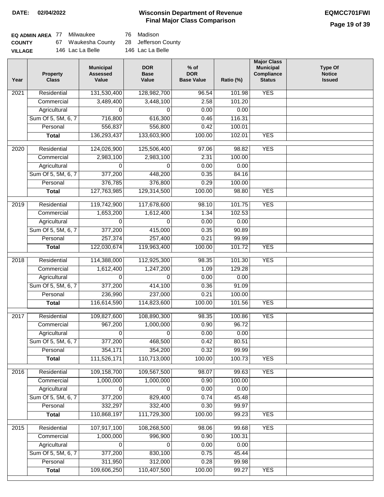## **Wisconsin Department of Revenue DATE: 02/04/2022 EQMCC701FWI Final Major Class Comparison**

## **Page 19 of 39**

| EQ ADMIN AREA 77 Milwaukee |                                        | 76 Madison       |
|----------------------------|----------------------------------------|------------------|
| <b>COUNTY</b>              | 67 Waukesha County 28 Jefferson County |                  |
| <b>VILLAGE</b>             | 146 Lac La Belle                       | 146 Lac La Belle |

| Year | <b>Property</b><br><b>Class</b> | <b>Municipal</b><br><b>Assessed</b><br>Value | <b>DOR</b><br><b>Base</b><br>Value | $%$ of<br><b>DOR</b><br><b>Base Value</b> | Ratio (%) | <b>Major Class</b><br><b>Municipal</b><br>Compliance<br><b>Status</b> | <b>Type Of</b><br><b>Notice</b><br><b>Issued</b> |
|------|---------------------------------|----------------------------------------------|------------------------------------|-------------------------------------------|-----------|-----------------------------------------------------------------------|--------------------------------------------------|
| 2021 | Residential                     | 131,530,400                                  | 128,982,700                        | 96.54                                     | 101.98    | <b>YES</b>                                                            |                                                  |
|      | Commercial                      | 3,489,400                                    | 3,448,100                          | 2.58                                      | 101.20    |                                                                       |                                                  |
|      | Agricultural                    | 0                                            | 0                                  | 0.00                                      | 0.00      |                                                                       |                                                  |
|      | Sum Of 5, 5M, 6, 7              | 716,800                                      | 616,300                            | 0.46                                      | 116.31    |                                                                       |                                                  |
|      | Personal                        | 556,837                                      | 556,800                            | 0.42                                      | 100.01    |                                                                       |                                                  |
|      | <b>Total</b>                    | 136,293,437                                  | 133,603,900                        | 100.00                                    | 102.01    | <b>YES</b>                                                            |                                                  |
| 2020 | Residential                     | 124,026,900                                  | 125,506,400                        | 97.06                                     | 98.82     | <b>YES</b>                                                            |                                                  |
|      | Commercial                      | 2,983,100                                    | 2,983,100                          | 2.31                                      | 100.00    |                                                                       |                                                  |
|      | Agricultural                    | 0                                            | 0                                  | 0.00                                      | 0.00      |                                                                       |                                                  |
|      | Sum Of 5, 5M, 6, 7              | 377,200                                      | 448,200                            | 0.35                                      | 84.16     |                                                                       |                                                  |
|      | Personal                        | 376,785                                      | 376,800                            | 0.29                                      | 100.00    |                                                                       |                                                  |
|      | <b>Total</b>                    | 127,763,985                                  | 129,314,500                        | 100.00                                    | 98.80     | <b>YES</b>                                                            |                                                  |
| 2019 | Residential                     | 119,742,900                                  | 117,678,600                        | 98.10                                     | 101.75    | <b>YES</b>                                                            |                                                  |
|      | Commercial                      | 1,653,200                                    | 1,612,400                          | 1.34                                      | 102.53    |                                                                       |                                                  |
|      | Agricultural                    | 0                                            | 0                                  | 0.00                                      | 0.00      |                                                                       |                                                  |
|      | Sum Of 5, 5M, 6, 7              | 377,200                                      | 415,000                            | 0.35                                      | 90.89     |                                                                       |                                                  |
|      | Personal                        | 257,374                                      | 257,400                            | 0.21                                      | 99.99     |                                                                       |                                                  |
|      | <b>Total</b>                    | 122,030,674                                  | 119,963,400                        | 100.00                                    | 101.72    | <b>YES</b>                                                            |                                                  |
| 2018 | Residential                     | 114,388,000                                  | 112,925,300                        | 98.35                                     | 101.30    | <b>YES</b>                                                            |                                                  |
|      | Commercial                      | 1,612,400                                    | 1,247,200                          | 1.09                                      | 129.28    |                                                                       |                                                  |
|      | Agricultural                    | 0                                            | 0                                  | 0.00                                      | 0.00      |                                                                       |                                                  |
|      | Sum Of 5, 5M, 6, 7              | 377,200                                      | 414,100                            | 0.36                                      | 91.09     |                                                                       |                                                  |
|      | Personal                        | 236,990                                      | 237,000                            | 0.21                                      | 100.00    |                                                                       |                                                  |
|      | <b>Total</b>                    | 116,614,590                                  | 114,823,600                        | 100.00                                    | 101.56    | <b>YES</b>                                                            |                                                  |
| 2017 | Residential                     | 109,827,600                                  | 108,890,300                        | 98.35                                     | 100.86    | <b>YES</b>                                                            |                                                  |
|      | Commercial                      | 967,200                                      | 1,000,000                          | 0.90                                      | 96.72     |                                                                       |                                                  |
|      | Agricultural                    | 0                                            | 0                                  | 0.00                                      | 0.00      |                                                                       |                                                  |
|      | Sum Of 5, 5M, 6, 7              | 377,200                                      | 468,500                            | 0.42                                      | 80.51     |                                                                       |                                                  |
|      | Personal                        | 354,171                                      | 354,200                            | 0.32                                      | 99.99     |                                                                       |                                                  |
|      | <b>Total</b>                    | 111,526,171                                  | 110,713,000                        | 100.00                                    | 100.73    | <b>YES</b>                                                            |                                                  |
| 2016 | Residential                     | 109,158,700                                  | 109,567,500                        | 98.07                                     | 99.63     | <b>YES</b>                                                            |                                                  |
|      | Commercial                      | 1,000,000                                    | 1,000,000                          | 0.90                                      | 100.00    |                                                                       |                                                  |
|      | Agricultural                    | $\mathbf 0$                                  | 0                                  | 0.00                                      | 0.00      |                                                                       |                                                  |
|      | Sum Of 5, 5M, 6, 7              | 377,200                                      | 829,400                            | 0.74                                      | 45.48     |                                                                       |                                                  |
|      | Personal                        | 332,297                                      | 332,400                            | 0.30                                      | 99.97     |                                                                       |                                                  |
|      | <b>Total</b>                    | 110,868,197                                  | 111,729,300                        | 100.00                                    | 99.23     | <b>YES</b>                                                            |                                                  |
| 2015 | Residential                     | 107,917,100                                  | 108,268,500                        | 98.06                                     | 99.68     | <b>YES</b>                                                            |                                                  |
|      | Commercial                      | 1,000,000                                    | 996,900                            | 0.90                                      | 100.31    |                                                                       |                                                  |
|      | Agricultural                    | $\Omega$                                     | 0                                  | 0.00                                      | 0.00      |                                                                       |                                                  |
|      | Sum Of 5, 5M, 6, 7              | 377,200                                      | 830,100                            | 0.75                                      | 45.44     |                                                                       |                                                  |
|      | Personal                        | 311,950                                      | 312,000                            | 0.28                                      | 99.98     |                                                                       |                                                  |
|      | <b>Total</b>                    | 109,606,250                                  | 110,407,500                        | 100.00                                    | 99.27     | <b>YES</b>                                                            |                                                  |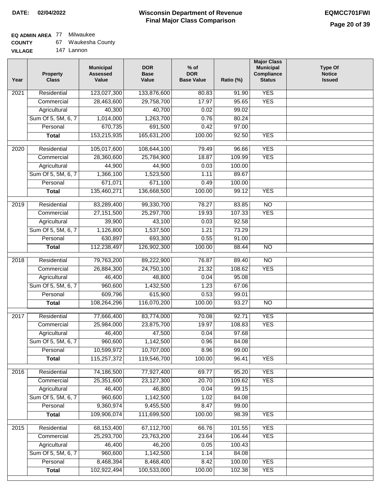## **EQ ADMIN AREA** 77 Milwaukee

| <b>COUNTY</b> |  | Waukesha County |
|---------------|--|-----------------|
|---------------|--|-----------------|

**VILLAGE** 147 Lannon

| Year             | <b>Property</b><br><b>Class</b> | <b>Municipal</b><br><b>Assessed</b><br>Value | <b>DOR</b><br><b>Base</b><br>Value | $%$ of<br><b>DOR</b><br><b>Base Value</b> | Ratio (%) | <b>Major Class</b><br><b>Municipal</b><br>Compliance<br><b>Status</b> | <b>Type Of</b><br><b>Notice</b><br><b>Issued</b> |
|------------------|---------------------------------|----------------------------------------------|------------------------------------|-------------------------------------------|-----------|-----------------------------------------------------------------------|--------------------------------------------------|
| 2021             | Residential                     | 123,027,300                                  | 133,876,600                        | 80.83                                     | 91.90     | <b>YES</b>                                                            |                                                  |
|                  | Commercial                      | 28,463,600                                   | 29,758,700                         | 17.97                                     | 95.65     | <b>YES</b>                                                            |                                                  |
|                  | Agricultural                    | 40,300                                       | 40,700                             | 0.02                                      | 99.02     |                                                                       |                                                  |
|                  | Sum Of 5, 5M, 6, 7              | 1,014,000                                    | 1,263,700                          | 0.76                                      | 80.24     |                                                                       |                                                  |
|                  | Personal                        | 670,735                                      | 691,500                            | 0.42                                      | 97.00     |                                                                       |                                                  |
|                  | <b>Total</b>                    | 153,215,935                                  | 165,631,200                        | 100.00                                    | 92.50     | <b>YES</b>                                                            |                                                  |
| $\frac{1}{2020}$ | Residential                     | 105,017,600                                  | 108,644,100                        | 79.49                                     | 96.66     | <b>YES</b>                                                            |                                                  |
|                  | Commercial                      | 28,360,600                                   | 25,784,900                         | 18.87                                     | 109.99    | <b>YES</b>                                                            |                                                  |
|                  | Agricultural                    | 44,900                                       | 44,900                             | 0.03                                      | 100.00    |                                                                       |                                                  |
|                  | Sum Of 5, 5M, 6, 7              | 1,366,100                                    | 1,523,500                          | 1.11                                      | 89.67     |                                                                       |                                                  |
|                  | Personal                        | 671,071                                      | 671,100                            | 0.49                                      | 100.00    |                                                                       |                                                  |
|                  | <b>Total</b>                    | 135,460,271                                  | 136,668,500                        | 100.00                                    | 99.12     | <b>YES</b>                                                            |                                                  |
|                  |                                 |                                              |                                    |                                           |           |                                                                       |                                                  |
| $\frac{1}{2019}$ | Residential                     | 83,289,400                                   | 99,330,700                         | 78.27                                     | 83.85     | $\overline{NO}$                                                       |                                                  |
|                  | Commercial                      | 27, 151, 500                                 | 25,297,700                         | 19.93                                     | 107.33    | <b>YES</b>                                                            |                                                  |
|                  | Agricultural                    | 39,900                                       | 43,100                             | 0.03                                      | 92.58     |                                                                       |                                                  |
|                  | Sum Of 5, 5M, 6, 7              | 1,126,800                                    | 1,537,500                          | 1.21                                      | 73.29     |                                                                       |                                                  |
|                  | Personal                        | 630,897                                      | 693,300                            | 0.55                                      | 91.00     |                                                                       |                                                  |
|                  | <b>Total</b>                    | 112,238,497                                  | 126,902,300                        | 100.00                                    | 88.44     | <b>NO</b>                                                             |                                                  |
| 2018             | Residential                     | 79,763,200                                   | 89,222,900                         | 76.87                                     | 89.40     | $\overline{NO}$                                                       |                                                  |
|                  | Commercial                      | 26,884,300                                   | 24,750,100                         | 21.32                                     | 108.62    | <b>YES</b>                                                            |                                                  |
|                  | Agricultural                    | 46,400                                       | 48,800                             | 0.04                                      | 95.08     |                                                                       |                                                  |
|                  | Sum Of 5, 5M, 6, 7              | 960,600                                      | 1,432,500                          | 1.23                                      | 67.06     |                                                                       |                                                  |
|                  | Personal                        | 609,796                                      | 615,900                            | 0.53                                      | 99.01     |                                                                       |                                                  |
|                  | <b>Total</b>                    | 108,264,296                                  | 116,070,200                        | 100.00                                    | 93.27     | N <sub>O</sub>                                                        |                                                  |
| 2017             | Residential                     | 77,666,400                                   | 83,774,000                         | 70.08                                     | 92.71     | <b>YES</b>                                                            |                                                  |
|                  | Commercial                      | 25,984,000                                   | 23,875,700                         | 19.97                                     | 108.83    | <b>YES</b>                                                            |                                                  |
|                  | Agricultural                    | 46,400                                       | 47,500                             | 0.04                                      | 97.68     |                                                                       |                                                  |
|                  | Sum Of 5, 5M, 6, 7              | 960,600                                      | 1,142,500                          | 0.96                                      | 84.08     |                                                                       |                                                  |
|                  | Personal                        | 10,599,972                                   | 10,707,000                         | 8.96                                      | 99.00     |                                                                       |                                                  |
|                  | <b>Total</b>                    | 115,257,372                                  | 119,546,700                        | 100.00                                    | 96.41     | <b>YES</b>                                                            |                                                  |
| 2016             | Residential                     | 74,186,500                                   | 77,927,400                         | 69.77                                     | 95.20     | <b>YES</b>                                                            |                                                  |
|                  | Commercial                      | 25,351,600                                   | 23,127,300                         | 20.70                                     | 109.62    | <b>YES</b>                                                            |                                                  |
|                  | Agricultural                    | 46,400                                       | 46,800                             | 0.04                                      | 99.15     |                                                                       |                                                  |
|                  | Sum Of 5, 5M, 6, 7              | 960,600                                      | 1,142,500                          | 1.02                                      | 84.08     |                                                                       |                                                  |
|                  | Personal                        | 9,360,974                                    | 9,455,500                          | 8.47                                      | 99.00     |                                                                       |                                                  |
|                  | <b>Total</b>                    | 109,906,074                                  | 111,699,500                        | 100.00                                    | 98.39     | <b>YES</b>                                                            |                                                  |
| 2015             | Residential                     | 68,153,400                                   | 67,112,700                         | 66.76                                     | 101.55    | <b>YES</b>                                                            |                                                  |
|                  | Commercial                      | 25,293,700                                   | 23,763,200                         | 23.64                                     | 106.44    | <b>YES</b>                                                            |                                                  |
|                  | Agricultural                    | 46,400                                       | 46,200                             | 0.05                                      | 100.43    |                                                                       |                                                  |
|                  | Sum Of 5, 5M, 6, 7              | 960,600                                      | 1,142,500                          | 1.14                                      | 84.08     |                                                                       |                                                  |
|                  | Personal                        | 8,468,394                                    | 8,468,400                          | 8.42                                      | 100.00    | <b>YES</b>                                                            |                                                  |
|                  | <b>Total</b>                    | 102,922,494                                  | 100,533,000                        | 100.00                                    | 102.38    | <b>YES</b>                                                            |                                                  |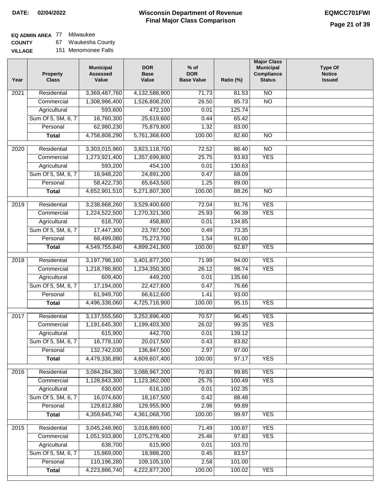$\Box$ 

### **Wisconsin Department of Revenue Final Major Class Comparison DATE: 02/04/2022 EQMCC701FWI**

# **EQ ADMIN AREA** 77 Milwaukee

**COUNTY VILLAGE** 67 Waukesha County 151 Menomonee Falls

| Year | <b>Property</b><br><b>Class</b> | <b>Municipal</b><br><b>Assessed</b><br>Value | <b>DOR</b><br><b>Base</b><br>Value | $%$ of<br><b>DOR</b><br><b>Base Value</b> | Ratio (%)       | <b>Major Class</b><br><b>Municipal</b><br>Compliance<br><b>Status</b> | <b>Type Of</b><br><b>Notice</b><br><b>Issued</b> |
|------|---------------------------------|----------------------------------------------|------------------------------------|-------------------------------------------|-----------------|-----------------------------------------------------------------------|--------------------------------------------------|
| 2021 | Residential                     | 3,369,487,760                                | 4,132,588,900                      | 71.73                                     | 81.53           | <b>NO</b>                                                             |                                                  |
|      | Commercial                      | 1,308,986,400                                | 1,526,808,200                      | 26.50                                     | 85.73           | $\overline{NO}$                                                       |                                                  |
|      | Agricultural                    | 593,600                                      | 472,100                            | 0.01                                      | 125.74          |                                                                       |                                                  |
|      | Sum Of 5, 5M, 6, 7              | 16,760,300                                   | 25,619,600                         | 0.44                                      | 65.42           |                                                                       |                                                  |
|      | Personal                        | 62,980,230                                   | 75,879,800                         | 1.32                                      | 83.00           |                                                                       |                                                  |
|      | <b>Total</b>                    | 4,758,808,290                                | 5,761,368,600                      | 100.00                                    | 82.60           | $\overline{NO}$                                                       |                                                  |
| 2020 | Residential                     | 3,303,015,960                                | 3,823,118,700                      | 72.52                                     | 86.40           | $\overline{N}$                                                        |                                                  |
|      | Commercial                      | 1,273,921,400                                | 1,357,699,800                      | 25.75                                     | 93.83           | <b>YES</b>                                                            |                                                  |
|      | Agricultural                    | 593,200                                      | 454,100                            | 0.01                                      | 130.63          |                                                                       |                                                  |
|      | Sum Of 5, 5M, 6, 7              | 16,948,220                                   | 24,891,200                         | 0.47                                      | 68.09           |                                                                       |                                                  |
|      | Personal                        | 58,422,730                                   | 65,643,500                         | 1.25                                      | 89.00           |                                                                       |                                                  |
|      | <b>Total</b>                    | 4,652,901,510                                | 5,271,807,300                      | 100.00                                    | 88.26           | $\overline{NO}$                                                       |                                                  |
|      |                                 |                                              |                                    |                                           |                 |                                                                       |                                                  |
| 2019 | Residential                     | 3,238,668,260                                | 3,529,400,600                      | 72.04                                     | 91.76           | <b>YES</b>                                                            |                                                  |
|      | Commercial                      | 1,224,522,500                                | 1,270,321,300                      | 25.93                                     | 96.39           | <b>YES</b>                                                            |                                                  |
|      | Agricultural                    | 618,700                                      | 458,800                            | 0.01                                      | 134.85          |                                                                       |                                                  |
|      | Sum Of 5, 5M, 6, 7              | 17,447,300                                   | 23,787,500                         | 0.49                                      | 73.35           |                                                                       |                                                  |
|      | Personal                        | 68,499,080                                   | 75,273,700                         | 1.54                                      | 91.00           |                                                                       |                                                  |
|      | <b>Total</b>                    | 4,549,755,840                                | 4,899,241,900                      | 100.00                                    | 92.87           | <b>YES</b>                                                            |                                                  |
| 2018 | Residential                     | 3,197,798,160                                | 3,401,877,200                      | 71.99                                     | 94.00           | <b>YES</b>                                                            |                                                  |
|      | Commercial                      | 1,218,786,800                                | 1,234,350,300                      | 26.12                                     | 98.74           | <b>YES</b>                                                            |                                                  |
|      | Agricultural                    | 609,400                                      | 449,200                            | 0.01                                      | 135.66          |                                                                       |                                                  |
|      | Sum Of 5, 5M, 6, 7              | 17,194,000                                   | 22,427,600                         | 0.47                                      | 76.66           |                                                                       |                                                  |
|      | Personal                        | 61,949,700                                   | 66,612,600                         | 1.41                                      | 93.00           |                                                                       |                                                  |
|      | <b>Total</b>                    | 4,496,338,060                                | 4,725,716,900                      | 100.00                                    | 95.15           | <b>YES</b>                                                            |                                                  |
| 2017 | Residential                     | 3,137,555,560                                | 3,252,896,400                      | 70.57                                     | 96.45           | <b>YES</b>                                                            |                                                  |
|      | Commercial                      | 1,191,645,300                                | 1,199,403,300                      | 26.02                                     | 99.35           | <b>YES</b>                                                            |                                                  |
|      | Agricultural                    | 615,900                                      | 442,700                            | 0.01                                      | 139.12          |                                                                       |                                                  |
|      | Sum Of 5, 5M, 6, 7              | 16,778,100                                   | 20,017,500                         | 0.43                                      | 83.82           |                                                                       |                                                  |
|      | Personal                        | 132,742,030                                  | 136,847,500                        | 2.97                                      | 97.00           |                                                                       |                                                  |
|      | <b>Total</b>                    | 4,479,336,890                                | 4,609,607,400                      | 100.00                                    | 97.17           | <b>YES</b>                                                            |                                                  |
| 2016 | Residential                     | 3,084,284,360                                | 3,088,967,200                      | 70.83                                     | 99.85           | <b>YES</b>                                                            |                                                  |
|      | Commercial                      | 1,128,843,300                                | 1,123,362,000                      | 25.76                                     | 100.49          | <b>YES</b>                                                            |                                                  |
|      | Agricultural                    | 630,600                                      | 616,100                            | 0.01                                      | 102.35          |                                                                       |                                                  |
|      | Sum Of 5, 5M, 6, 7              | 16,074,600                                   | 18, 167, 500                       | 0.42                                      | 88.48           |                                                                       |                                                  |
|      | Personal                        | 129,812,880                                  | 129,955,900                        | 2.98                                      | 99.89           |                                                                       |                                                  |
|      | <b>Total</b>                    | 4,359,645,740                                | 4,361,068,700                      | 100.00                                    | 99.97           | <b>YES</b>                                                            |                                                  |
|      |                                 |                                              |                                    |                                           |                 |                                                                       |                                                  |
| 2015 | Residential                     | 3,045,248,960                                | 3,018,889,600                      | 71.49                                     | 100.87          | <b>YES</b><br><b>YES</b>                                              |                                                  |
|      | Commercial<br>Agricultural      | 1,051,933,800<br>638,700                     | 1,075,278,400<br>615,900           | 25.46<br>0.01                             | 97.83<br>103.70 |                                                                       |                                                  |
|      | Sum Of 5, 5M, 6, 7              | 15,869,000                                   | 18,988,200                         | 0.45                                      | 83.57           |                                                                       |                                                  |
|      | Personal                        | 110,196,280                                  | 109,105,100                        | 2.58                                      | 101.00          |                                                                       |                                                  |
|      | <b>Total</b>                    | 4,223,886,740                                | 4,222,877,200                      | 100.00                                    | 100.02          | <b>YES</b>                                                            |                                                  |
|      |                                 |                                              |                                    |                                           |                 |                                                                       |                                                  |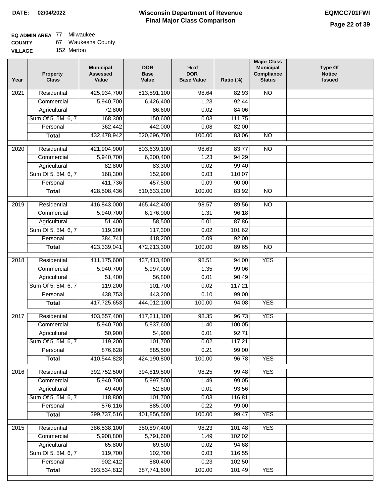# **EQ ADMIN AREA** 77 Milwaukee

| <b>COUNTY</b> | Waukesha County |
|---------------|-----------------|
|---------------|-----------------|

**VILLAGE** 152 Merton

| Year              | <b>Property</b><br><b>Class</b> | <b>Municipal</b><br><b>Assessed</b><br>Value | <b>DOR</b><br><b>Base</b><br>Value | % of<br><b>DOR</b><br><b>Base Value</b> | Ratio (%)        | <b>Major Class</b><br><b>Municipal</b><br>Compliance<br><b>Status</b> | <b>Type Of</b><br><b>Notice</b><br><b>Issued</b> |
|-------------------|---------------------------------|----------------------------------------------|------------------------------------|-----------------------------------------|------------------|-----------------------------------------------------------------------|--------------------------------------------------|
| $\overline{202}1$ | Residential                     | 425,934,700                                  | 513,591,100                        | 98.64                                   | 82.93            | <b>NO</b>                                                             |                                                  |
|                   | Commercial                      | 5,940,700                                    | 6,426,400                          | 1.23                                    | 92.44            |                                                                       |                                                  |
|                   | Agricultural                    | 72,800                                       | 86,600                             | 0.02                                    | 84.06            |                                                                       |                                                  |
|                   | Sum Of 5, 5M, 6, 7              | 168,300                                      | 150,600                            | 0.03                                    | 111.75           |                                                                       |                                                  |
|                   | Personal                        | 362,442                                      | 442,000                            | 0.08                                    | 82.00            |                                                                       |                                                  |
|                   | <b>Total</b>                    | 432,478,942                                  | 520,696,700                        | 100.00                                  | 83.06            | $\overline{NO}$                                                       |                                                  |
| $\overline{2020}$ | Residential                     | 421,904,900                                  | 503,639,100                        | 98.63                                   | 83.77            | $\overline{NO}$                                                       |                                                  |
|                   | Commercial                      | 5,940,700                                    | 6,300,400                          | 1.23                                    | 94.29            |                                                                       |                                                  |
|                   | Agricultural                    | 82,800                                       | 83,300                             | 0.02                                    | 99.40            |                                                                       |                                                  |
|                   | Sum Of 5, 5M, 6, 7              | 168,300                                      | 152,900                            | 0.03                                    | 110.07           |                                                                       |                                                  |
|                   | Personal                        | 411,736                                      | 457,500                            | 0.09                                    | 90.00            |                                                                       |                                                  |
|                   | <b>Total</b>                    | 428,508,436                                  | 510,633,200                        | 100.00                                  | 83.92            | $\overline{NO}$                                                       |                                                  |
| 2019              | Residential                     | 416,843,000                                  | 465,442,400                        | 98.57                                   | 89.56            | <b>NO</b>                                                             |                                                  |
|                   | Commercial                      | 5,940,700                                    | 6,176,900                          | 1.31                                    | 96.18            |                                                                       |                                                  |
|                   | Agricultural                    | 51,400                                       | 58,500                             | 0.01                                    | 87.86            |                                                                       |                                                  |
|                   | Sum Of 5, 5M, 6, 7              | 119,200                                      | 117,300                            | 0.02                                    | 101.62           |                                                                       |                                                  |
|                   | Personal                        | 384,741                                      | 418,200                            | 0.09                                    | 92.00            |                                                                       |                                                  |
|                   | <b>Total</b>                    | 423,339,041                                  | 472,213,300                        | 100.00                                  | 89.65            | $\overline{NO}$                                                       |                                                  |
|                   |                                 |                                              |                                    |                                         |                  |                                                                       |                                                  |
| 2018              | Residential                     | 411,175,600                                  | 437,413,400                        | 98.51                                   | 94.00            | <b>YES</b>                                                            |                                                  |
|                   | Commercial                      | 5,940,700                                    | 5,997,000                          | 1.35                                    | 99.06            |                                                                       |                                                  |
|                   | Agricultural                    | 51,400                                       | 56,800                             | 0.01                                    | 90.49            |                                                                       |                                                  |
|                   | Sum Of 5, 5M, 6, 7              | 119,200                                      | 101,700                            | 0.02                                    | 117.21           |                                                                       |                                                  |
|                   | Personal                        | 438,753                                      | 443,200                            | 0.10                                    | 99.00            |                                                                       |                                                  |
|                   | <b>Total</b>                    | 417,725,653                                  | 444,012,100                        | 100.00                                  | 94.08            | <b>YES</b>                                                            |                                                  |
| 2017              | Residential                     | 403,557,400                                  | 417,211,100                        | 98.35                                   | 96.73            | <b>YES</b>                                                            |                                                  |
|                   | Commercial                      | 5,940,700                                    | 5,937,600                          | 1.40                                    | 100.05           |                                                                       |                                                  |
|                   | Agricultural                    | 50,900                                       | 54,900                             | 0.01                                    | 92.71            |                                                                       |                                                  |
|                   | Sum Of 5, 5M, 6, 7              | 119,200                                      | 101,700                            | 0.02                                    | 117.21           |                                                                       |                                                  |
|                   | Personal                        | 876,628                                      | 885,500                            | 0.21                                    | 99.00            |                                                                       |                                                  |
|                   | <b>Total</b>                    | 410,544,828                                  | 424,190,800                        | 100.00                                  | 96.78            | <b>YES</b>                                                            |                                                  |
| 2016              | Residential                     | 392,752,500                                  | 394,819,500                        | 98.25                                   | 99.48            | <b>YES</b>                                                            |                                                  |
|                   | Commercial                      | 5,940,700                                    | 5,997,500                          | 1.49                                    | 99.05            |                                                                       |                                                  |
|                   | Agricultural                    | 49,400                                       | 52,800                             | 0.01                                    | 93.56            |                                                                       |                                                  |
|                   | Sum Of 5, 5M, 6, 7              | 118,800                                      | 101,700                            | 0.03                                    | 116.81           |                                                                       |                                                  |
|                   | Personal                        | 876,116                                      | 885,000                            | 0.22                                    | 99.00            |                                                                       |                                                  |
|                   | <b>Total</b>                    | 399,737,516                                  | 401,856,500                        | 100.00                                  | 99.47            | <b>YES</b>                                                            |                                                  |
|                   | Residential                     |                                              |                                    |                                         |                  | <b>YES</b>                                                            |                                                  |
| 2015              | Commercial                      | 386,538,100<br>5,908,800                     | 380,897,400<br>5,791,600           | 98.23<br>1.49                           | 101.48<br>102.02 |                                                                       |                                                  |
|                   | Agricultural                    | 65,800                                       | 69,500                             | 0.02                                    | 94.68            |                                                                       |                                                  |
|                   | Sum Of 5, 5M, 6, 7              | 119,700                                      | 102,700                            | 0.03                                    | 116.55           |                                                                       |                                                  |
|                   | Personal                        | 902,412                                      | 880,400                            | 0.23                                    | 102.50           |                                                                       |                                                  |
|                   | <b>Total</b>                    | 393,534,812                                  | 387,741,600                        | 100.00                                  | 101.49           | <b>YES</b>                                                            |                                                  |
|                   |                                 |                                              |                                    |                                         |                  |                                                                       |                                                  |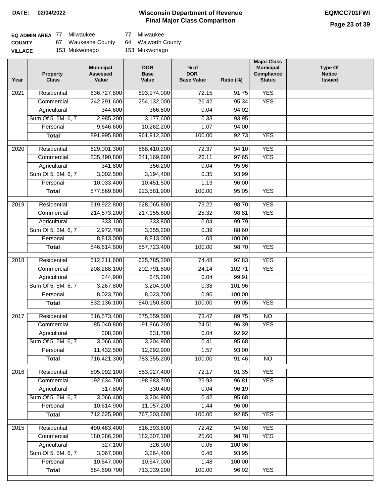### **Wisconsin Department of Revenue DATE: 02/04/2022 EQMCC701FWI Final Major Class Comparison**

| EQ ADMIN AREA 77 |     | Milwaukee       | 77 Milwaukee       |
|------------------|-----|-----------------|--------------------|
| <b>COUNTY</b>    | 67. | Waukesha County | 64 Walworth County |
| <b>VILLAGE</b>   |     | 153 Mukwonago   | 153 Mukwonago      |

| Year | <b>Property</b><br><b>Class</b> | <b>Municipal</b><br><b>Assessed</b><br>Value | <b>DOR</b><br><b>Base</b><br>Value | $%$ of<br><b>DOR</b><br><b>Base Value</b> | Ratio (%)         | <b>Major Class</b><br><b>Municipal</b><br>Compliance<br><b>Status</b> | <b>Type Of</b><br><b>Notice</b><br><b>Issued</b> |
|------|---------------------------------|----------------------------------------------|------------------------------------|-------------------------------------------|-------------------|-----------------------------------------------------------------------|--------------------------------------------------|
| 2021 | Residential                     | 636,727,800                                  | 693,974,000                        | 72.15                                     | $\frac{1}{91.75}$ | <b>YES</b>                                                            |                                                  |
|      | Commercial                      | 242,291,600                                  | 254,132,000                        | 26.42                                     | 95.34             | <b>YES</b>                                                            |                                                  |
|      | Agricultural                    | 344,600                                      | 366,500                            | 0.04                                      | 94.02             |                                                                       |                                                  |
|      | Sum Of 5, 5M, 6, 7              | 2,985,200                                    | 3,177,600                          | 0.33                                      | 93.95             |                                                                       |                                                  |
|      | Personal                        | 9,646,600                                    | 10,262,200                         | 1.07                                      | 94.00             |                                                                       |                                                  |
|      | <b>Total</b>                    | 891,995,800                                  | 961,912,300                        | 100.00                                    | 92.73             | <b>YES</b>                                                            |                                                  |
| 2020 | Residential                     | 629,001,300                                  | 668,410,200                        | 72.37                                     | 94.10             | <b>YES</b>                                                            |                                                  |
|      | Commercial                      | 235,490,800                                  | 241,169,600                        | 26.11                                     | 97.65             | <b>YES</b>                                                            |                                                  |
|      | Agricultural                    | 341,800                                      | 356,200                            | 0.04                                      | 95.96             |                                                                       |                                                  |
|      | Sum Of 5, 5M, 6, 7              | 3,002,500                                    | 3,194,400                          | 0.35                                      | 93.99             |                                                                       |                                                  |
|      | Personal                        | 10,033,400                                   | 10,451,500                         | 1.13                                      | 96.00             |                                                                       |                                                  |
|      | <b>Total</b>                    | 877,869,800                                  | 923,581,900                        | 100.00                                    | 95.05             | <b>YES</b>                                                            |                                                  |
| 2019 | Residential                     | 619,922,800                                  | 628,065,800                        | 73.22                                     | 98.70             | <b>YES</b>                                                            |                                                  |
|      | Commercial                      | 214,573,200                                  | 217,155,600                        | 25.32                                     | 98.81             | <b>YES</b>                                                            |                                                  |
|      | Agricultural                    | 333,100                                      | 333,800                            | 0.04                                      | 99.79             |                                                                       |                                                  |
|      | Sum Of 5, 5M, 6, 7              | 2,972,700                                    | 3,355,200                          | 0.39                                      | 88.60             |                                                                       |                                                  |
|      | Personal                        | 8,813,000                                    | 8,813,000                          | 1.03                                      | 100.00            |                                                                       |                                                  |
|      | <b>Total</b>                    | 846,614,800                                  | 857,723,400                        | 100.00                                    | 98.70             | <b>YES</b>                                                            |                                                  |
| 2018 | Residential                     | 612,211,600                                  | 625,785,200                        | 74.48                                     | 97.83             | <b>YES</b>                                                            |                                                  |
|      | Commercial                      | 208,288,100                                  | 202,791,800                        | 24.14                                     | 102.71            | <b>YES</b>                                                            |                                                  |
|      | Agricultural                    | 344,900                                      | 345,200                            | 0.04                                      | 99.91             |                                                                       |                                                  |
|      | Sum Of 5, 5M, 6, 7              | 3,267,800                                    | 3,204,900                          | 0.38                                      | 101.96            |                                                                       |                                                  |
|      | Personal                        | 8,023,700                                    | 8,023,700                          | 0.96                                      | 100.00            |                                                                       |                                                  |
|      | <b>Total</b>                    | 832,136,100                                  | 840,150,800                        | 100.00                                    | 99.05             | <b>YES</b>                                                            |                                                  |
|      |                                 |                                              |                                    |                                           |                   |                                                                       |                                                  |
| 2017 | Residential                     | 516,573,400                                  | 575,559,500                        | 73.47                                     | 89.75             | N <sub>O</sub>                                                        |                                                  |
|      | Commercial                      | 185,040,800                                  | 191,966,200                        | 24.51                                     | 96.39             | <b>YES</b>                                                            |                                                  |
|      | Agricultural                    | 308,200                                      | 331,700                            | 0.04                                      | 92.92             |                                                                       |                                                  |
|      | Sum Of 5, 5M, 6, 7              | 3,066,400                                    | 3,204,900                          | 0.41                                      | 95.68             |                                                                       |                                                  |
|      | Personal                        | 11,432,500                                   | 12,292,900                         | 1.57                                      | 93.00             |                                                                       |                                                  |
|      | <b>Total</b>                    | 716,421,300                                  | 783,355,200                        | 100.00                                    | 91.46             | $\overline{NO}$                                                       |                                                  |
| 2016 | Residential                     | 505,992,100                                  | 553,927,400                        | 72.17                                     | 91.35             | <b>YES</b>                                                            |                                                  |
|      | Commercial                      | 192,634,700                                  | 198,983,700                        | 25.93                                     | 96.81             | <b>YES</b>                                                            |                                                  |
|      | Agricultural                    | 317,800                                      | 330,400                            | 0.04                                      | 96.19             |                                                                       |                                                  |
|      | Sum Of 5, 5M, 6, 7              | 3,066,400                                    | 3,204,900                          | 0.42                                      | 95.68             |                                                                       |                                                  |
|      | Personal                        | 10,614,900                                   | 11,057,200                         | 1.44                                      | 96.00             |                                                                       |                                                  |
|      | <b>Total</b>                    | 712,625,900                                  | 767,503,600                        | 100.00                                    | 92.85             | <b>YES</b>                                                            |                                                  |
| 2015 | Residential                     | 490,463,400                                  | 516,393,800                        | 72.42                                     | 94.98             | <b>YES</b>                                                            |                                                  |
|      | Commercial                      | 180,286,200                                  | 182,507,100                        | 25.60                                     | 98.78             | <b>YES</b>                                                            |                                                  |
|      | Agricultural                    | 327,100                                      | 326,900                            | 0.05                                      | 100.06            |                                                                       |                                                  |
|      | Sum Of 5, 5M, 6, 7              | 3,067,000                                    | 3,264,400                          | 0.46                                      | 93.95             |                                                                       |                                                  |
|      | Personal                        | 10,547,000                                   | 10,547,000                         | 1.48                                      | 100.00            |                                                                       |                                                  |
|      | <b>Total</b>                    | 684,690,700                                  | 713,039,200                        | 100.00                                    | 96.02             | <b>YES</b>                                                            |                                                  |
|      |                                 |                                              |                                    |                                           |                   |                                                                       |                                                  |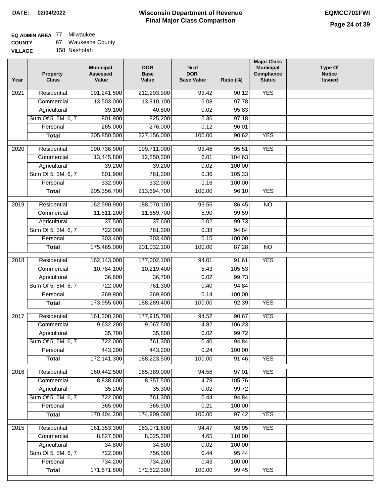## **EQ ADMIN AREA** 77 Milwaukee

| <b>COUNTY</b> |  | Waukesha County |
|---------------|--|-----------------|
|---------------|--|-----------------|

**VILLAGE** 158 Nashotah

| Year | <b>Property</b><br><b>Class</b> | <b>Municipal</b><br><b>Assessed</b><br>Value | <b>DOR</b><br><b>Base</b><br>Value | $%$ of<br><b>DOR</b><br><b>Base Value</b> | Ratio (%) | <b>Major Class</b><br><b>Municipal</b><br>Compliance<br><b>Status</b> | <b>Type Of</b><br><b>Notice</b><br><b>Issued</b> |
|------|---------------------------------|----------------------------------------------|------------------------------------|-------------------------------------------|-----------|-----------------------------------------------------------------------|--------------------------------------------------|
| 2021 | Residential                     | 191,241,500                                  | 212,203,900                        | 93.42                                     | 90.12     | <b>YES</b>                                                            |                                                  |
|      | Commercial                      | 13,503,000                                   | 13,810,100                         | 6.08                                      | 97.78     |                                                                       |                                                  |
|      | Agricultural                    | 39,100                                       | 40,800                             | 0.02                                      | 95.83     |                                                                       |                                                  |
|      | Sum Of 5, 5M, 6, 7              | 801,900                                      | 825,200                            | 0.36                                      | 97.18     |                                                                       |                                                  |
|      | Personal                        | 265,000                                      | 276,000                            | 0.12                                      | 96.01     |                                                                       |                                                  |
|      | <b>Total</b>                    | 205,850,500                                  | 227,156,000                        | 100.00                                    | 90.62     | <b>YES</b>                                                            |                                                  |
| 2020 | Residential                     | 190,736,900                                  | 199,711,000                        | 93.46                                     | 95.51     | <b>YES</b>                                                            |                                                  |
|      | Commercial                      | 13,445,800                                   | 12,850,300                         | 6.01                                      | 104.63    |                                                                       |                                                  |
|      | Agricultural                    | 39,200                                       | 39,200                             | 0.02                                      | 100.00    |                                                                       |                                                  |
|      | Sum Of 5, 5M, 6, 7              | 801,900                                      | 761,300                            | 0.36                                      | 105.33    |                                                                       |                                                  |
|      | Personal                        | 332,900                                      | 332,900                            | 0.16                                      | 100.00    |                                                                       |                                                  |
|      | <b>Total</b>                    | 205,356,700                                  | 213,694,700                        | 100.00                                    | 96.10     | <b>YES</b>                                                            |                                                  |
| 2019 | Residential                     | 162,590,900                                  | 188,070,100                        | 93.55                                     | 86.45     | $\overline{NO}$                                                       |                                                  |
|      | Commercial                      | 11,811,200                                   | 11,859,700                         | 5.90                                      | 99.59     |                                                                       |                                                  |
|      | Agricultural                    | 37,500                                       | 37,600                             | 0.02                                      | 99.73     |                                                                       |                                                  |
|      | Sum Of 5, 5M, 6, 7              | 722,000                                      | 761,300                            | 0.38                                      | 94.84     |                                                                       |                                                  |
|      | Personal                        | 303,400                                      | 303,400                            | 0.15                                      | 100.00    |                                                                       |                                                  |
|      | <b>Total</b>                    | 175,465,000                                  | 201,032,100                        | 100.00                                    | 87.28     | $\overline{NO}$                                                       |                                                  |
|      |                                 |                                              |                                    |                                           |           |                                                                       |                                                  |
| 2018 | Residential                     | 162,143,000                                  | 177,002,100                        | 94.01                                     | 91.61     | <b>YES</b>                                                            |                                                  |
|      | Commercial                      | 10,784,100                                   | 10,219,400                         | 5.43                                      | 105.53    |                                                                       |                                                  |
|      | Agricultural                    | 36,600                                       | 36,700                             | 0.02                                      | 99.73     |                                                                       |                                                  |
|      | Sum Of 5, 5M, 6, 7              | 722,000                                      | 761,300                            | 0.40                                      | 94.84     |                                                                       |                                                  |
|      | Personal                        | 269,900                                      | 269,900                            | 0.14                                      | 100.00    |                                                                       |                                                  |
|      | <b>Total</b>                    | 173,955,600                                  | 188,289,400                        | 100.00                                    | 92.39     | <b>YES</b>                                                            |                                                  |
| 2017 | Residential                     | 161,308,200                                  | 177,915,700                        | 94.52                                     | 90.67     | <b>YES</b>                                                            |                                                  |
|      | Commercial                      | 9,632,200                                    | 9,067,500                          | 4.82                                      | 106.23    |                                                                       |                                                  |
|      | Agricultural                    | 35,700                                       | 35,800                             | 0.02                                      | 99.72     |                                                                       |                                                  |
|      | Sum Of 5, 5M, 6, 7              | 722,000                                      | 761,300                            | 0.40                                      | 94.84     |                                                                       |                                                  |
|      | Personal                        | 443,200                                      | 443,200                            | 0.24                                      | 100.00    |                                                                       |                                                  |
|      | <b>Total</b>                    | 172,141,300                                  | 188,223,500                        | 100.00                                    | 91.46     | <b>YES</b>                                                            |                                                  |
| 2016 | Residential                     | 160,442,500                                  | 165,389,000                        | 94.56                                     | 97.01     | <b>YES</b>                                                            |                                                  |
|      | Commercial                      | 8,838,600                                    | 8,357,500                          | 4.78                                      | 105.76    |                                                                       |                                                  |
|      | Agricultural                    | 35,200                                       | 35,300                             | 0.02                                      | 99.72     |                                                                       |                                                  |
|      | Sum Of 5, 5M, 6, 7              | 722,000                                      | 761,300                            | 0.44                                      | 94.84     |                                                                       |                                                  |
|      | Personal                        | 365,900                                      | 365,900                            | 0.21                                      | 100.00    |                                                                       |                                                  |
|      | <b>Total</b>                    | 170,404,200                                  | 174,909,000                        | 100.00                                    | 97.42     | <b>YES</b>                                                            |                                                  |
| 2015 | Residential                     | 161,353,300                                  | 163,071,600                        | 94.47                                     | 98.95     | <b>YES</b>                                                            |                                                  |
|      | Commercial                      | 8,827,500                                    | 8,025,200                          | 4.65                                      | 110.00    |                                                                       |                                                  |
|      | Agricultural                    | 34,800                                       | 34,800                             | 0.02                                      | 100.00    |                                                                       |                                                  |
|      | Sum Of 5, 5M, 6, 7              | 722,000                                      | 756,500                            | 0.44                                      | 95.44     |                                                                       |                                                  |
|      | Personal                        | 734,200                                      | 734,200                            | 0.43                                      | 100.00    |                                                                       |                                                  |
|      | <b>Total</b>                    | 171,671,800                                  | 172,622,300                        | 100.00                                    | 99.45     | <b>YES</b>                                                            |                                                  |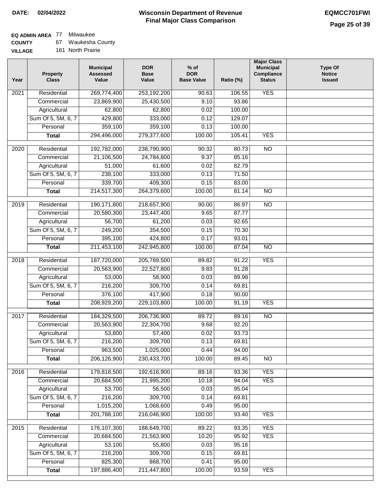# **EQ ADMIN AREA** 77 Milwaukee

**COUNTY** 67 Waukesha County

**VILLAGE** 161 North Prairie

| Year             | <b>Property</b><br><b>Class</b> | <b>Municipal</b><br><b>Assessed</b><br>Value | <b>DOR</b><br><b>Base</b><br>Value | $%$ of<br><b>DOR</b><br><b>Base Value</b> | Ratio (%) | <b>Major Class</b><br><b>Municipal</b><br>Compliance<br><b>Status</b> | <b>Type Of</b><br><b>Notice</b><br><b>Issued</b> |
|------------------|---------------------------------|----------------------------------------------|------------------------------------|-------------------------------------------|-----------|-----------------------------------------------------------------------|--------------------------------------------------|
| 2021             | Residential                     | 269,774,400                                  | 253,192,200                        | 90.63                                     | 106.55    | <b>YES</b>                                                            |                                                  |
|                  | Commercial                      | 23,869,900                                   | 25,430,500                         | 9.10                                      | 93.86     |                                                                       |                                                  |
|                  | Agricultural                    | 62,800                                       | 62,800                             | 0.02                                      | 100.00    |                                                                       |                                                  |
|                  | Sum Of 5, 5M, 6, 7              | 429,800                                      | 333,000                            | 0.12                                      | 129.07    |                                                                       |                                                  |
|                  | Personal                        | 359,100                                      | 359,100                            | 0.13                                      | 100.00    |                                                                       |                                                  |
|                  | <b>Total</b>                    | 294,496,000                                  | 279,377,600                        | 100.00                                    | 105.41    | <b>YES</b>                                                            |                                                  |
| 2020             | Residential                     | 192,782,000                                  | 238,790,900                        | 90.32                                     | 80.73     | $\overline{NO}$                                                       |                                                  |
|                  | Commercial                      | 21,106,500                                   | 24,784,800                         | 9.37                                      | 85.16     |                                                                       |                                                  |
|                  | Agricultural                    | 51,000                                       | 61,600                             | 0.02                                      | 82.79     |                                                                       |                                                  |
|                  | Sum Of 5, 5M, 6, 7              | 238,100                                      | 333,000                            | 0.13                                      | 71.50     |                                                                       |                                                  |
|                  | Personal                        | 339,700                                      | 409,300                            | 0.15                                      | 83.00     |                                                                       |                                                  |
|                  | <b>Total</b>                    | 214,517,300                                  | 264,379,600                        | 100.00                                    | 81.14     | $\overline{NO}$                                                       |                                                  |
| $\frac{1}{2019}$ | Residential                     | 190,171,800                                  | 218,657,900                        | 90.00                                     | 86.97     | $\overline{NO}$                                                       |                                                  |
|                  | Commercial                      | 20,580,300                                   | 23,447,400                         | 9.65                                      | 87.77     |                                                                       |                                                  |
|                  | Agricultural                    | 56,700                                       | 61,200                             | 0.03                                      | 92.65     |                                                                       |                                                  |
|                  | Sum Of 5, 5M, 6, 7              | 249,200                                      | 354,500                            | 0.15                                      | 70.30     |                                                                       |                                                  |
|                  | Personal                        | 395,100                                      | 424,800                            | 0.17                                      | 93.01     |                                                                       |                                                  |
|                  | <b>Total</b>                    | 211,453,100                                  | 242,945,800                        | 100.00                                    | 87.04     | $\overline{NO}$                                                       |                                                  |
|                  |                                 |                                              |                                    |                                           |           |                                                                       |                                                  |
| 2018             | Residential                     | 187,720,000                                  | 205,789,500                        | 89.82                                     | 91.22     | <b>YES</b>                                                            |                                                  |
|                  | Commercial                      | 20,563,900                                   | 22,527,800                         | 9.83                                      | 91.28     |                                                                       |                                                  |
|                  | Agricultural                    | 53,000                                       | 58,900                             | 0.03                                      | 89.98     |                                                                       |                                                  |
|                  | Sum Of 5, 5M, 6, 7              | 216,200                                      | 309,700                            | 0.14                                      | 69.81     |                                                                       |                                                  |
|                  | Personal                        | 376,100                                      | 417,900                            | 0.18                                      | 90.00     |                                                                       |                                                  |
|                  | <b>Total</b>                    | 208,929,200                                  | 229,103,800                        | 100.00                                    | 91.19     | <b>YES</b>                                                            |                                                  |
| 2017             | Residential                     | 184,329,500                                  | 206,736,900                        | 89.72                                     | 89.16     | $\overline{NO}$                                                       |                                                  |
|                  | Commercial                      | 20,563,900                                   | 22,304,700                         | 9.68                                      | 92.20     |                                                                       |                                                  |
|                  | Agricultural                    | 53,800                                       | 57,400                             | 0.02                                      | 93.73     |                                                                       |                                                  |
|                  | Sum Of 5, 5M, 6, 7              | 216,200                                      | 309,700                            | 0.13                                      | 69.81     |                                                                       |                                                  |
|                  | Personal                        | 963,500                                      | 1,025,000                          | 0.44                                      | 94.00     |                                                                       |                                                  |
|                  | <b>Total</b>                    | 206,126,900                                  | 230,433,700                        | 100.00                                    | 89.45     | $\overline{N}$                                                        |                                                  |
| 2016             | Residential                     | 179,818,500                                  | 192,616,900                        | 89.16                                     | 93.36     | <b>YES</b>                                                            |                                                  |
|                  | Commercial                      | 20,684,500                                   | 21,995,200                         | 10.18                                     | 94.04     | <b>YES</b>                                                            |                                                  |
|                  | Agricultural                    | 53,700                                       | 56,500                             | 0.03                                      | 95.04     |                                                                       |                                                  |
|                  | Sum Of 5, 5M, 6, 7              | 216,200                                      | 309,700                            | 0.14                                      | 69.81     |                                                                       |                                                  |
|                  | Personal                        | 1,015,200                                    | 1,068,600                          | 0.49                                      | 95.00     |                                                                       |                                                  |
|                  | <b>Total</b>                    | 201,788,100                                  | 216,046,900                        | 100.00                                    | 93.40     | <b>YES</b>                                                            |                                                  |
| 2015             | Residential                     | 176, 107, 300                                | 188,649,700                        | 89.22                                     | 93.35     | <b>YES</b>                                                            |                                                  |
|                  | Commercial                      | 20,684,500                                   | 21,563,900                         | 10.20                                     | 95.92     | <b>YES</b>                                                            |                                                  |
|                  | Agricultural                    | 53,100                                       | 55,800                             | 0.03                                      | 95.16     |                                                                       |                                                  |
|                  | Sum Of 5, 5M, 6, 7              | 216,200                                      | 309,700                            | 0.15                                      | 69.81     |                                                                       |                                                  |
|                  | Personal                        | 825,300                                      | 868,700                            | 0.41                                      | 95.00     |                                                                       |                                                  |
|                  | <b>Total</b>                    | 197,886,400                                  | 211,447,800                        | 100.00                                    | 93.59     | <b>YES</b>                                                            |                                                  |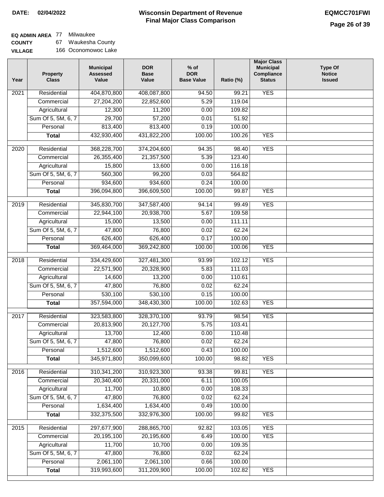# **EQ ADMIN AREA** 77 Milwaukee

**COUNTY VILLAGE** 67 Waukesha County 166 Oconomowoc Lake

| Year              | <b>Property</b><br><b>Class</b> | <b>Municipal</b><br><b>Assessed</b><br>Value | <b>DOR</b><br><b>Base</b><br>Value | $%$ of<br><b>DOR</b><br><b>Base Value</b> | Ratio (%) | <b>Major Class</b><br><b>Municipal</b><br>Compliance<br><b>Status</b> | <b>Type Of</b><br><b>Notice</b><br><b>Issued</b> |
|-------------------|---------------------------------|----------------------------------------------|------------------------------------|-------------------------------------------|-----------|-----------------------------------------------------------------------|--------------------------------------------------|
| 2021              | Residential                     | 404,870,800                                  | 408,087,800                        | 94.50                                     | 99.21     | <b>YES</b>                                                            |                                                  |
|                   | Commercial                      | 27,204,200                                   | 22,852,600                         | 5.29                                      | 119.04    |                                                                       |                                                  |
|                   | Agricultural                    | 12,300                                       | 11,200                             | 0.00                                      | 109.82    |                                                                       |                                                  |
|                   | Sum Of 5, 5M, 6, 7              | 29,700                                       | 57,200                             | 0.01                                      | 51.92     |                                                                       |                                                  |
|                   | Personal                        | 813,400                                      | 813,400                            | 0.19                                      | 100.00    |                                                                       |                                                  |
|                   | <b>Total</b>                    | 432,930,400                                  | 431,822,200                        | 100.00                                    | 100.26    | <b>YES</b>                                                            |                                                  |
| $\overline{2020}$ | Residential                     | 368,228,700                                  | 374,204,600                        | 94.35                                     | 98.40     | <b>YES</b>                                                            |                                                  |
|                   | Commercial                      | 26,355,400                                   | 21,357,500                         | 5.39                                      | 123.40    |                                                                       |                                                  |
|                   | Agricultural                    | 15,800                                       | 13,600                             | 0.00                                      | 116.18    |                                                                       |                                                  |
|                   | Sum Of 5, 5M, 6, 7              | 560,300                                      | 99,200                             | 0.03                                      | 564.82    |                                                                       |                                                  |
|                   | Personal                        | 934,600                                      | 934,600                            | 0.24                                      | 100.00    |                                                                       |                                                  |
|                   | <b>Total</b>                    | 396,094,800                                  | 396,609,500                        | 100.00                                    | 99.87     | <b>YES</b>                                                            |                                                  |
|                   |                                 |                                              |                                    |                                           |           |                                                                       |                                                  |
| $\frac{1}{2019}$  | Residential                     | 345,830,700                                  | 347,587,400                        | 94.14                                     | 99.49     | <b>YES</b>                                                            |                                                  |
|                   | Commercial                      | 22,944,100                                   | 20,938,700                         | 5.67                                      | 109.58    |                                                                       |                                                  |
|                   | Agricultural                    | 15,000                                       | 13,500                             | 0.00                                      | 111.11    |                                                                       |                                                  |
|                   | Sum Of 5, 5M, 6, 7              | 47,800                                       | 76,800                             | 0.02                                      | 62.24     |                                                                       |                                                  |
|                   | Personal                        | 626,400                                      | 626,400                            | 0.17                                      | 100.00    |                                                                       |                                                  |
|                   | <b>Total</b>                    | 369,464,000                                  | 369,242,800                        | 100.00                                    | 100.06    | <b>YES</b>                                                            |                                                  |
| 2018              | Residential                     | 334,429,600                                  | 327,481,300                        | 93.99                                     | 102.12    | <b>YES</b>                                                            |                                                  |
|                   | Commercial                      | 22,571,900                                   | 20,328,900                         | 5.83                                      | 111.03    |                                                                       |                                                  |
|                   | Agricultural                    | 14,600                                       | 13,200                             | 0.00                                      | 110.61    |                                                                       |                                                  |
|                   | Sum Of 5, 5M, 6, 7              | 47,800                                       | 76,800                             | 0.02                                      | 62.24     |                                                                       |                                                  |
|                   | Personal                        | 530,100                                      | 530,100                            | 0.15                                      | 100.00    |                                                                       |                                                  |
|                   | <b>Total</b>                    | 357,594,000                                  | 348,430,300                        | 100.00                                    | 102.63    | <b>YES</b>                                                            |                                                  |
| 2017              | Residential                     | 323,583,800                                  | 328,370,100                        | 93.79                                     | 98.54     | <b>YES</b>                                                            |                                                  |
|                   | Commercial                      | 20,813,900                                   | 20,127,700                         | 5.75                                      | 103.41    |                                                                       |                                                  |
|                   | Agricultural                    | 13,700                                       | 12,400                             | 0.00                                      | 110.48    |                                                                       |                                                  |
|                   | Sum Of 5, 5M, 6, 7              | 47,800                                       | 76,800                             | 0.02                                      | 62.24     |                                                                       |                                                  |
|                   | Personal                        | 1,512,600                                    | 1,512,600                          | 0.43                                      | 100.00    |                                                                       |                                                  |
|                   | <b>Total</b>                    | 345,971,800                                  | 350,099,600                        | 100.00                                    | 98.82     | <b>YES</b>                                                            |                                                  |
| 2016              | Residential                     | 310, 341, 200                                | 310,923,300                        | 93.38                                     | 99.81     | <b>YES</b>                                                            |                                                  |
|                   | Commercial                      | 20,340,400                                   | 20,331,000                         | 6.11                                      | 100.05    |                                                                       |                                                  |
|                   | Agricultural                    | 11,700                                       | 10,800                             | 0.00                                      | 108.33    |                                                                       |                                                  |
|                   | Sum Of 5, 5M, 6, 7              | 47,800                                       | 76,800                             | 0.02                                      | 62.24     |                                                                       |                                                  |
|                   | Personal                        | 1,634,400                                    | 1,634,400                          | 0.49                                      | 100.00    |                                                                       |                                                  |
|                   | <b>Total</b>                    | 332,375,500                                  | 332,976,300                        | 100.00                                    | 99.82     | <b>YES</b>                                                            |                                                  |
| 2015              | Residential                     | 297,677,900                                  | 288,865,700                        | 92.82                                     | 103.05    | <b>YES</b>                                                            |                                                  |
|                   | Commercial                      | 20,195,100                                   | 20,195,600                         | 6.49                                      | 100.00    | <b>YES</b>                                                            |                                                  |
|                   | Agricultural                    | 11,700                                       | 10,700                             | 0.00                                      | 109.35    |                                                                       |                                                  |
|                   | Sum Of 5, 5M, 6, 7              | 47,800                                       | 76,800                             | 0.02                                      | 62.24     |                                                                       |                                                  |
|                   | Personal                        | 2,061,100                                    | 2,061,100                          | 0.66                                      | 100.00    |                                                                       |                                                  |
|                   | <b>Total</b>                    | 319,993,600                                  | 311,209,900                        | 100.00                                    | 102.82    | <b>YES</b>                                                            |                                                  |
|                   |                                 |                                              |                                    |                                           |           |                                                                       |                                                  |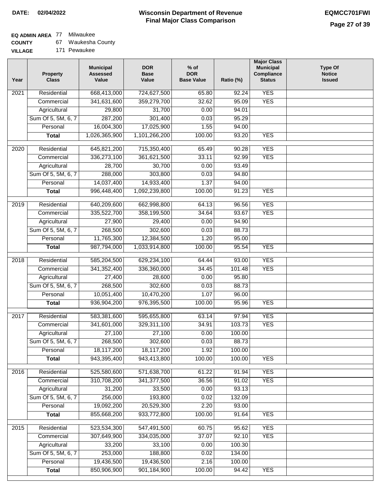### **EQ ADMIN AREA** 77 Milwaukee

**COUNTY** 67 Waukesha County

**VILLAGE** 171 Pewaukee

| Year              | <b>Property</b><br><b>Class</b> | <b>Municipal</b><br><b>Assessed</b><br>Value | <b>DOR</b><br><b>Base</b><br>Value | $%$ of<br><b>DOR</b><br><b>Base Value</b> | Ratio (%) | <b>Major Class</b><br><b>Municipal</b><br>Compliance<br><b>Status</b> | <b>Type Of</b><br><b>Notice</b><br><b>Issued</b> |
|-------------------|---------------------------------|----------------------------------------------|------------------------------------|-------------------------------------------|-----------|-----------------------------------------------------------------------|--------------------------------------------------|
| $\overline{202}1$ | Residential                     | 668,413,000                                  | 724,627,500                        | 65.80                                     | 92.24     | <b>YES</b>                                                            |                                                  |
|                   | Commercial                      | 341,631,600                                  | 359,279,700                        | 32.62                                     | 95.09     | <b>YES</b>                                                            |                                                  |
|                   | Agricultural                    | 29,800                                       | 31,700                             | 0.00                                      | 94.01     |                                                                       |                                                  |
|                   | Sum Of 5, 5M, 6, 7              | 287,200                                      | 301,400                            | 0.03                                      | 95.29     |                                                                       |                                                  |
|                   | Personal                        | 16,004,300                                   | 17,025,900                         | 1.55                                      | 94.00     |                                                                       |                                                  |
|                   | <b>Total</b>                    | 1,026,365,900                                | 1,101,266,200                      | 100.00                                    | 93.20     | <b>YES</b>                                                            |                                                  |
| $\overline{2020}$ | Residential                     | 645,821,200                                  | 715,350,400                        | 65.49                                     | 90.28     | <b>YES</b>                                                            |                                                  |
|                   | Commercial                      | 336,273,100                                  | 361,621,500                        | 33.11                                     | 92.99     | <b>YES</b>                                                            |                                                  |
|                   | Agricultural                    | 28,700                                       | 30,700                             | 0.00                                      | 93.49     |                                                                       |                                                  |
|                   | Sum Of 5, 5M, 6, 7              | 288,000                                      | 303,800                            | 0.03                                      | 94.80     |                                                                       |                                                  |
|                   | Personal                        | 14,037,400                                   | 14,933,400                         | 1.37                                      | 94.00     |                                                                       |                                                  |
|                   | <b>Total</b>                    | 996,448,400                                  | 1,092,239,800                      | 100.00                                    | 91.23     | <b>YES</b>                                                            |                                                  |
| 2019              | Residential                     | 640,209,600                                  | 662,998,800                        | 64.13                                     | 96.56     | <b>YES</b>                                                            |                                                  |
|                   | Commercial                      | 335,522,700                                  | 358,199,500                        | 34.64                                     | 93.67     | <b>YES</b>                                                            |                                                  |
|                   | Agricultural                    | 27,900                                       | 29,400                             | 0.00                                      | 94.90     |                                                                       |                                                  |
|                   | Sum Of 5, 5M, 6, 7              | 268,500                                      | 302,600                            | 0.03                                      | 88.73     |                                                                       |                                                  |
|                   | Personal                        | 11,765,300                                   | 12,384,500                         | 1.20                                      | 95.00     |                                                                       |                                                  |
|                   | <b>Total</b>                    | 987,794,000                                  | 1,033,914,800                      | 100.00                                    | 95.54     | <b>YES</b>                                                            |                                                  |
|                   |                                 |                                              |                                    |                                           |           |                                                                       |                                                  |
| 2018              | Residential                     | 585,204,500                                  | 629,234,100                        | 64.44                                     | 93.00     | <b>YES</b>                                                            |                                                  |
|                   | Commercial                      | 341,352,400                                  | 336,360,000                        | 34.45                                     | 101.48    | <b>YES</b>                                                            |                                                  |
|                   | Agricultural                    | 27,400                                       | 28,600                             | 0.00                                      | 95.80     |                                                                       |                                                  |
|                   | Sum Of 5, 5M, 6, 7              | 268,500                                      | 302,600                            | 0.03                                      | 88.73     |                                                                       |                                                  |
|                   | Personal                        | 10,051,400                                   | 10,470,200                         | 1.07                                      | 96.00     |                                                                       |                                                  |
|                   | <b>Total</b>                    | 936,904,200                                  | 976,395,500                        | 100.00                                    | 95.96     | <b>YES</b>                                                            |                                                  |
| 2017              | Residential                     | 583,381,600                                  | 595,655,800                        | 63.14                                     | 97.94     | <b>YES</b>                                                            |                                                  |
|                   | Commercial                      | 341,601,000                                  | 329,311,100                        | 34.91                                     | 103.73    | <b>YES</b>                                                            |                                                  |
|                   | Agricultural                    | 27,100                                       | 27,100                             | 0.00                                      | 100.00    |                                                                       |                                                  |
|                   | Sum Of 5, 5M, 6, 7              | 268,500                                      | 302,600                            | 0.03                                      | 88.73     |                                                                       |                                                  |
|                   | Personal                        | 18,117,200                                   | 18,117,200                         | 1.92                                      | 100.00    |                                                                       |                                                  |
|                   | <b>Total</b>                    | 943,395,400                                  | 943,413,800                        | 100.00                                    | 100.00    | <b>YES</b>                                                            |                                                  |
| 2016              | Residential                     | 525,580,600                                  | 571,638,700                        | 61.22                                     | 91.94     | <b>YES</b>                                                            |                                                  |
|                   | Commercial                      | 310,708,200                                  | 341, 377, 500                      | 36.56                                     | 91.02     | <b>YES</b>                                                            |                                                  |
|                   | Agricultural                    | 31,200                                       | 33,500                             | 0.00                                      | 93.13     |                                                                       |                                                  |
|                   | Sum Of 5, 5M, 6, 7              | 256,000                                      | 193,800                            | 0.02                                      | 132.09    |                                                                       |                                                  |
|                   | Personal                        | 19,092,200                                   | 20,529,300                         | 2.20                                      | 93.00     |                                                                       |                                                  |
|                   | <b>Total</b>                    | 855,668,200                                  | 933,772,800                        | 100.00                                    | 91.64     | <b>YES</b>                                                            |                                                  |
| 2015              | Residential                     | 523,534,300                                  | 547,491,500                        | 60.75                                     | 95.62     | <b>YES</b>                                                            |                                                  |
|                   | Commercial                      | 307,649,900                                  | 334,035,000                        | 37.07                                     | 92.10     | <b>YES</b>                                                            |                                                  |
|                   | Agricultural                    | 33,200                                       | 33,100                             | 0.00                                      | 100.30    |                                                                       |                                                  |
|                   | Sum Of 5, 5M, 6, 7              | 253,000                                      | 188,800                            | 0.02                                      | 134.00    |                                                                       |                                                  |
|                   | Personal                        | 19,436,500                                   | 19,436,500                         | 2.16                                      | 100.00    |                                                                       |                                                  |
|                   | <b>Total</b>                    | 850,906,900                                  | 901,184,900                        | 100.00                                    | 94.42     | <b>YES</b>                                                            |                                                  |
|                   |                                 |                                              |                                    |                                           |           |                                                                       |                                                  |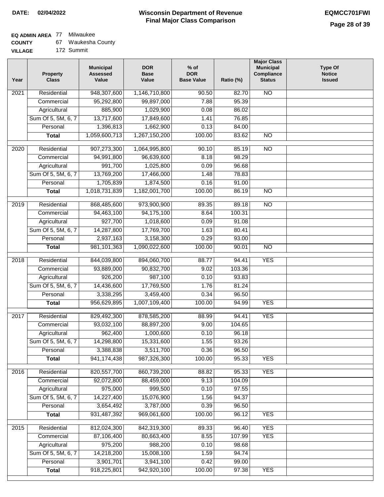## **EQ ADMIN AREA** 77 Milwaukee

| <b>COUNTY</b> |  | Waukesha County |
|---------------|--|-----------------|
|---------------|--|-----------------|

**VILLAGE** 172 Summit

| Year              | <b>Property</b><br><b>Class</b> | <b>Municipal</b><br><b>Assessed</b><br>Value | <b>DOR</b><br><b>Base</b><br>Value | $%$ of<br><b>DOR</b><br><b>Base Value</b> | Ratio (%) | <b>Major Class</b><br><b>Municipal</b><br>Compliance<br><b>Status</b> | <b>Type Of</b><br><b>Notice</b><br><b>Issued</b> |
|-------------------|---------------------------------|----------------------------------------------|------------------------------------|-------------------------------------------|-----------|-----------------------------------------------------------------------|--------------------------------------------------|
| $\overline{202}1$ | Residential                     | 948,307,600                                  | 1,146,710,800                      | 90.50                                     | 82.70     | N <sub>O</sub>                                                        |                                                  |
|                   | Commercial                      | 95,292,800                                   | 99,897,000                         | 7.88                                      | 95.39     |                                                                       |                                                  |
|                   | Agricultural                    | 885,900                                      | 1,029,900                          | 0.08                                      | 86.02     |                                                                       |                                                  |
|                   | Sum Of 5, 5M, 6, 7              | 13,717,600                                   | 17,849,600                         | 1.41                                      | 76.85     |                                                                       |                                                  |
|                   | Personal                        | 1,396,813                                    | 1,662,900                          | 0.13                                      | 84.00     |                                                                       |                                                  |
|                   | <b>Total</b>                    | 1,059,600,713                                | 1,267,150,200                      | 100.00                                    | 83.62     | $\overline{NO}$                                                       |                                                  |
| $\overline{2020}$ | Residential                     | 907,273,300                                  | 1,064,995,800                      | 90.10                                     | 85.19     | $\overline{10}$                                                       |                                                  |
|                   | Commercial                      | 94,991,800                                   | 96,639,600                         | 8.18                                      | 98.29     |                                                                       |                                                  |
|                   | Agricultural                    | 991,700                                      | 1,025,800                          | 0.09                                      | 96.68     |                                                                       |                                                  |
|                   | Sum Of 5, 5M, 6, 7              | 13,769,200                                   | 17,466,000                         | 1.48                                      | 78.83     |                                                                       |                                                  |
|                   | Personal                        | 1,705,839                                    | 1,874,500                          | 0.16                                      | 91.00     |                                                                       |                                                  |
|                   | <b>Total</b>                    | 1,018,731,839                                | 1,182,001,700                      | 100.00                                    | 86.19     | $\overline{NO}$                                                       |                                                  |
|                   |                                 |                                              |                                    |                                           |           |                                                                       |                                                  |
| 2019              | Residential                     | 868,485,600                                  | 973,900,900                        | 89.35                                     | 89.18     | $\overline{NO}$                                                       |                                                  |
|                   | Commercial                      | 94,463,100                                   | 94,175,100                         | 8.64                                      | 100.31    |                                                                       |                                                  |
|                   | Agricultural                    | 927,700                                      | 1,018,600                          | 0.09                                      | 91.08     |                                                                       |                                                  |
|                   | Sum Of 5, 5M, 6, 7              | 14,287,800                                   | 17,769,700                         | 1.63                                      | 80.41     |                                                                       |                                                  |
|                   | Personal                        | 2,937,163                                    | 3,158,300                          | 0.29                                      | 93.00     |                                                                       |                                                  |
|                   | <b>Total</b>                    | 981,101,363                                  | 1,090,022,600                      | 100.00                                    | 90.01     | $\overline{NO}$                                                       |                                                  |
| 2018              | Residential                     | 844,039,800                                  | 894,060,700                        | 88.77                                     | 94.41     | <b>YES</b>                                                            |                                                  |
|                   | Commercial                      | 93,889,000                                   | 90,832,700                         | 9.02                                      | 103.36    |                                                                       |                                                  |
|                   | Agricultural                    | 926,200                                      | 987,100                            | 0.10                                      | 93.83     |                                                                       |                                                  |
|                   | Sum Of 5, 5M, 6, 7              | 14,436,600                                   | 17,769,500                         | 1.76                                      | 81.24     |                                                                       |                                                  |
|                   | Personal                        | 3,338,295                                    | 3,459,400                          | 0.34                                      | 96.50     |                                                                       |                                                  |
|                   | <b>Total</b>                    | 956,629,895                                  | 1,007,109,400                      | 100.00                                    | 94.99     | <b>YES</b>                                                            |                                                  |
| 2017              | Residential                     | 829,492,300                                  | 878,585,200                        | 88.99                                     | 94.41     | <b>YES</b>                                                            |                                                  |
|                   | Commercial                      | 93,032,100                                   | 88,897,200                         | 9.00                                      | 104.65    |                                                                       |                                                  |
|                   | Agricultural                    | 962,400                                      | 1,000,600                          | 0.10                                      | 96.18     |                                                                       |                                                  |
|                   | Sum Of 5, 5M, 6, 7              | 14,298,800                                   | 15,331,600                         | 1.55                                      | 93.26     |                                                                       |                                                  |
|                   | Personal                        | 3,388,838                                    | 3,511,700                          | 0.36                                      | 96.50     |                                                                       |                                                  |
|                   | <b>Total</b>                    | 941, 174, 438                                | 987,326,300                        | 100.00                                    | 95.33     | <b>YES</b>                                                            |                                                  |
| 2016              | Residential                     | 820,557,700                                  | 860,739,200                        | 88.82                                     | 95.33     | <b>YES</b>                                                            |                                                  |
|                   | Commercial                      | 92,072,800                                   | 88,459,000                         | 9.13                                      | 104.09    |                                                                       |                                                  |
|                   | Agricultural                    | 975,000                                      | 999,500                            | 0.10                                      | 97.55     |                                                                       |                                                  |
|                   | Sum Of 5, 5M, 6, 7              | 14,227,400                                   | 15,076,900                         | 1.56                                      | 94.37     |                                                                       |                                                  |
|                   | Personal                        | 3,654,492                                    | 3,787,000                          | 0.39                                      | 96.50     |                                                                       |                                                  |
|                   | <b>Total</b>                    | 931,487,392                                  | 969,061,600                        | 100.00                                    | 96.12     | <b>YES</b>                                                            |                                                  |
| 2015              | Residential                     | 812,024,300                                  | 842,319,300                        | 89.33                                     | 96.40     | <b>YES</b>                                                            |                                                  |
|                   | Commercial                      | 87,106,400                                   | 80,663,400                         | 8.55                                      | 107.99    | <b>YES</b>                                                            |                                                  |
|                   | Agricultural                    | 975,200                                      | 988,200                            | 0.10                                      | 98.68     |                                                                       |                                                  |
|                   | Sum Of 5, 5M, 6, 7              | 14,218,200                                   | 15,008,100                         | 1.59                                      | 94.74     |                                                                       |                                                  |
|                   | Personal                        | 3,901,701                                    | 3,941,100                          | 0.42                                      | 99.00     |                                                                       |                                                  |
|                   | <b>Total</b>                    | 918,225,801                                  | 942,920,100                        | 100.00                                    | 97.38     | <b>YES</b>                                                            |                                                  |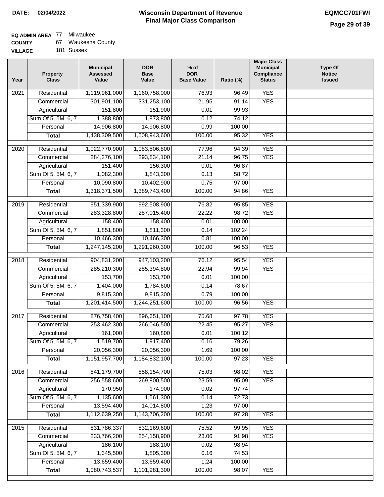# **EQ ADMIN AREA** 77 Milwaukee

| <b>COUNTY</b> |  | Waukesha County |  |
|---------------|--|-----------------|--|
|---------------|--|-----------------|--|

**VILLAGE** 181 Sussex

| Year              | <b>Property</b><br><b>Class</b>    | <b>Municipal</b><br><b>Assessed</b><br>Value | <b>DOR</b><br><b>Base</b><br>Value | % of<br><b>DOR</b><br><b>Base Value</b> | Ratio (%)       | <b>Major Class</b><br><b>Municipal</b><br>Compliance<br><b>Status</b> | <b>Type Of</b><br><b>Notice</b><br><b>Issued</b> |
|-------------------|------------------------------------|----------------------------------------------|------------------------------------|-----------------------------------------|-----------------|-----------------------------------------------------------------------|--------------------------------------------------|
| $\overline{202}1$ | Residential                        | 1,119,961,000                                | 1,160,758,000                      | 76.93                                   | 96.49           | <b>YES</b>                                                            |                                                  |
|                   | Commercial                         | 301,901,100                                  | 331,253,100                        | 21.95                                   | 91.14           | <b>YES</b>                                                            |                                                  |
|                   | Agricultural                       | 151,800                                      | 151,900                            | 0.01                                    | 99.93           |                                                                       |                                                  |
|                   | Sum Of 5, 5M, 6, 7                 | 1,388,800                                    | 1,873,800                          | 0.12                                    | 74.12           |                                                                       |                                                  |
|                   | Personal                           | 14,906,800                                   | 14,906,800                         | 0.99                                    | 100.00          |                                                                       |                                                  |
|                   | <b>Total</b>                       | 1,438,309,500                                | 1,508,943,600                      | 100.00                                  | 95.32           | <b>YES</b>                                                            |                                                  |
| $\overline{2020}$ | Residential                        | 1,022,770,900                                | 1,083,506,800                      | 77.96                                   | 94.39           | <b>YES</b>                                                            |                                                  |
|                   | Commercial                         | 284,276,100                                  | 293,834,100                        | 21.14                                   | 96.75           | <b>YES</b>                                                            |                                                  |
|                   | Agricultural                       | 151,400                                      | 156,300                            | 0.01                                    | 96.87           |                                                                       |                                                  |
|                   | Sum Of 5, 5M, 6, 7                 | 1,082,300                                    | 1,843,300                          | 0.13                                    | 58.72           |                                                                       |                                                  |
|                   | Personal                           | 10,090,800                                   | 10,402,900                         | 0.75                                    | 97.00           |                                                                       |                                                  |
|                   | <b>Total</b>                       | 1,318,371,500                                | 1,389,743,400                      | 100.00                                  | 94.86           | <b>YES</b>                                                            |                                                  |
| 2019              | Residential                        | 951,339,900                                  | 992,508,900                        | 76.82                                   | 95.85           | <b>YES</b>                                                            |                                                  |
|                   | Commercial                         | 283,328,800                                  | 287,015,400                        | 22.22                                   | 98.72           | <b>YES</b>                                                            |                                                  |
|                   | Agricultural                       | 158,400                                      | 158,400                            | 0.01                                    | 100.00          |                                                                       |                                                  |
|                   | Sum Of 5, 5M, 6, 7                 | 1,851,800                                    | 1,811,300                          | 0.14                                    | 102.24          |                                                                       |                                                  |
|                   | Personal                           | 10,466,300                                   | 10,466,300                         | 0.81                                    | 100.00          |                                                                       |                                                  |
|                   | <b>Total</b>                       | 1,247,145,200                                | 1,291,960,300                      | 100.00                                  | 96.53           | <b>YES</b>                                                            |                                                  |
|                   |                                    |                                              |                                    |                                         |                 |                                                                       |                                                  |
| 2018              | Residential                        | 904,831,200                                  | 947,103,200                        | 76.12                                   | 95.54           | <b>YES</b><br><b>YES</b>                                              |                                                  |
|                   | Commercial                         | 285,210,300                                  | 285,394,800                        | 22.94                                   | 99.94<br>100.00 |                                                                       |                                                  |
|                   | Agricultural<br>Sum Of 5, 5M, 6, 7 | 153,700                                      | 153,700                            | 0.01                                    | 78.67           |                                                                       |                                                  |
|                   | Personal                           | 1,404,000<br>9,815,300                       | 1,784,600<br>9,815,300             | 0.14<br>0.79                            | 100.00          |                                                                       |                                                  |
|                   | <b>Total</b>                       | 1,201,414,500                                | 1,244,251,600                      | 100.00                                  | 96.56           | <b>YES</b>                                                            |                                                  |
|                   |                                    |                                              |                                    |                                         |                 |                                                                       |                                                  |
| 2017              | Residential                        | 876,758,400                                  | 896,651,100                        | 75.68                                   | 97.78           | <b>YES</b>                                                            |                                                  |
|                   | Commercial                         | 253,462,300                                  | 266,046,500                        | 22.45                                   | 95.27           | <b>YES</b>                                                            |                                                  |
|                   | Agricultural                       | 161,000                                      | 160,800                            | 0.01                                    | 100.12          |                                                                       |                                                  |
|                   | Sum Of 5, 5M, 6, 7                 | 1,519,700                                    | 1,917,400                          | 0.16                                    | 79.26           |                                                                       |                                                  |
|                   | Personal                           | 20,056,300                                   | 20,056,300                         | 1.69                                    | 100.00          |                                                                       |                                                  |
|                   | <b>Total</b>                       | 1,151,957,700                                | 1,184,832,100                      | 100.00                                  | 97.23           | <b>YES</b>                                                            |                                                  |
| 2016              | Residential                        | 841,179,700                                  | 858, 154, 700                      | 75.03                                   | 98.02           | <b>YES</b>                                                            |                                                  |
|                   | Commercial                         | 256,558,600                                  | 269,800,500                        | 23.59                                   | 95.09           | <b>YES</b>                                                            |                                                  |
|                   | Agricultural                       | 170,950                                      | 174,900                            | 0.02                                    | 97.74           |                                                                       |                                                  |
|                   | Sum Of 5, 5M, 6, 7                 | 1,135,600                                    | 1,561,300                          | 0.14                                    | 72.73           |                                                                       |                                                  |
|                   | Personal                           | 13,594,400                                   | 14,014,800                         | 1.23                                    | 97.00           |                                                                       |                                                  |
|                   | <b>Total</b>                       | 1,112,639,250                                | 1,143,706,200                      | 100.00                                  | 97.28           | <b>YES</b>                                                            |                                                  |
| 2015              | Residential                        | 831,786,337                                  | 832,169,600                        | 75.52                                   | 99.95           | <b>YES</b>                                                            |                                                  |
|                   | Commercial                         | 233,766,200                                  | 254,158,900                        | 23.06                                   | 91.98           | <b>YES</b>                                                            |                                                  |
|                   | Agricultural                       | 186,100                                      | 188,100                            | 0.02                                    | 98.94           |                                                                       |                                                  |
|                   | Sum Of 5, 5M, 6, 7                 | 1,345,500                                    | 1,805,300                          | 0.16                                    | 74.53           |                                                                       |                                                  |
|                   | Personal                           | 13,659,400                                   | 13,659,400                         | 1.24                                    | 100.00          |                                                                       |                                                  |
|                   | <b>Total</b>                       | 1,080,743,537                                | 1,101,981,300                      | 100.00                                  | 98.07           | <b>YES</b>                                                            |                                                  |
|                   |                                    |                                              |                                    |                                         |                 |                                                                       |                                                  |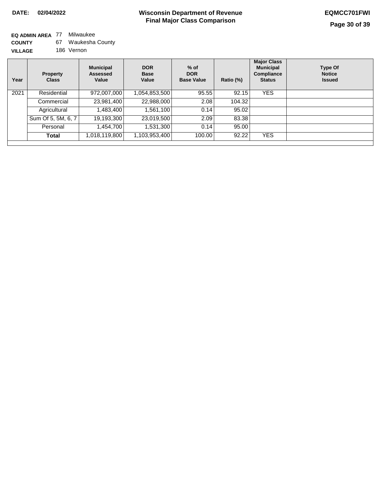**EQ ADMIN AREA** 77 Milwaukee **COUNTY VILLAGE** 67 Waukesha County 186 Vernon

| <b>Property</b><br><b>Class</b> | <b>Municipal</b><br>Assessed<br>Value | <b>DOR</b><br><b>Base</b><br>Value | $%$ of<br><b>DOR</b><br><b>Base Value</b> | Ratio (%) | <b>Major Class</b><br><b>Municipal</b><br>Compliance<br><b>Status</b> | <b>Type Of</b><br><b>Notice</b><br><b>Issued</b> |
|---------------------------------|---------------------------------------|------------------------------------|-------------------------------------------|-----------|-----------------------------------------------------------------------|--------------------------------------------------|
| Residential                     | 972,007,000                           | 1,054,853,500                      | 95.55                                     | 92.15     | <b>YES</b>                                                            |                                                  |
| Commercial                      |                                       | 22,988,000                         | 2.08                                      | 104.32    |                                                                       |                                                  |
| Agricultural                    | 483,400,                              | 1,561,100                          | 0.14                                      | 95.02     |                                                                       |                                                  |
| Sum Of 5, 5M, 6, 7              | 19,193,300                            | 23,019,500                         | 2.09                                      | 83.38     |                                                                       |                                                  |
| Personal                        | ,454,700                              | 1,531,300                          | 0.14                                      | 95.00     |                                                                       |                                                  |
| Total                           | ,018,119,800                          | 1,103,953,400                      | 100.00                                    | 92.22     | <b>YES</b>                                                            |                                                  |
|                                 |                                       |                                    | 23,981,400                                |           |                                                                       |                                                  |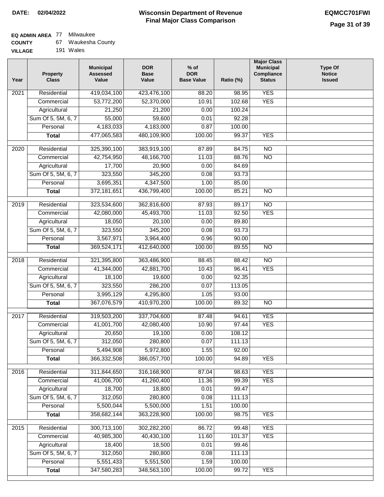# **EQ ADMIN AREA** 77 Milwaukee

| <b>COUNTY</b> |  | Waukesha County |  |
|---------------|--|-----------------|--|
|---------------|--|-----------------|--|

**VILLAGE** 191 Wales

| Year | <b>Property</b><br><b>Class</b> | <b>Municipal</b><br><b>Assessed</b><br>Value | <b>DOR</b><br><b>Base</b><br>Value | % of<br><b>DOR</b><br><b>Base Value</b> | Ratio (%) | <b>Major Class</b><br><b>Municipal</b><br>Compliance<br><b>Status</b> | <b>Type Of</b><br><b>Notice</b><br><b>Issued</b> |
|------|---------------------------------|----------------------------------------------|------------------------------------|-----------------------------------------|-----------|-----------------------------------------------------------------------|--------------------------------------------------|
| 2021 | Residential                     | 419,034,100                                  | 423,476,100                        | 88.20                                   | 98.95     | <b>YES</b>                                                            |                                                  |
|      | Commercial                      | 53,772,200                                   | 52,370,000                         | 10.91                                   | 102.68    | <b>YES</b>                                                            |                                                  |
|      | Agricultural                    | 21,250                                       | 21,200                             | 0.00                                    | 100.24    |                                                                       |                                                  |
|      | Sum Of 5, 5M, 6, 7              | 55,000                                       | 59,600                             | 0.01                                    | 92.28     |                                                                       |                                                  |
|      | Personal                        | 4,183,033                                    | 4,183,000                          | 0.87                                    | 100.00    |                                                                       |                                                  |
|      | <b>Total</b>                    | 477,065,583                                  | 480,109,900                        | 100.00                                  | 99.37     | <b>YES</b>                                                            |                                                  |
| 2020 | Residential                     | 325,390,100                                  | 383,919,100                        | 87.89                                   | 84.75     | $\overline{NO}$                                                       |                                                  |
|      | Commercial                      | 42,754,950                                   | 48,166,700                         | 11.03                                   | 88.76     | $\overline{NO}$                                                       |                                                  |
|      | Agricultural                    | 17,700                                       | 20,900                             | 0.00                                    | 84.69     |                                                                       |                                                  |
|      | Sum Of 5, 5M, 6, 7              | 323,550                                      | 345,200                            | 0.08                                    | 93.73     |                                                                       |                                                  |
|      | Personal                        | 3,695,351                                    | 4,347,500                          | 1.00                                    | 85.00     |                                                                       |                                                  |
|      | <b>Total</b>                    | 372,181,651                                  | 436,799,400                        | 100.00                                  | 85.21     | $\overline{NO}$                                                       |                                                  |
| 2019 | Residential                     | 323,534,600                                  | 362,816,600                        | 87.93                                   | 89.17     | $\overline{10}$                                                       |                                                  |
|      | Commercial                      | 42,080,000                                   | 45,493,700                         | 11.03                                   | 92.50     | <b>YES</b>                                                            |                                                  |
|      | Agricultural                    | 18,050                                       | 20,100                             | 0.00                                    | 89.80     |                                                                       |                                                  |
|      | Sum Of 5, 5M, 6, 7              | 323,550                                      | 345,200                            | 0.08                                    | 93.73     |                                                                       |                                                  |
|      | Personal                        | 3,567,971                                    | 3,964,400                          | 0.96                                    | 90.00     |                                                                       |                                                  |
|      | <b>Total</b>                    | 369,524,171                                  | 412,640,000                        | 100.00                                  | 89.55     | $\overline{NO}$                                                       |                                                  |
| 2018 | Residential                     | 321,395,800                                  | 363,486,900                        | 88.45                                   | 88.42     | $\overline{10}$                                                       |                                                  |
|      | Commercial                      | 41,344,000                                   | 42,881,700                         | 10.43                                   | 96.41     | <b>YES</b>                                                            |                                                  |
|      | Agricultural                    | 18,100                                       | 19,600                             | 0.00                                    | 92.35     |                                                                       |                                                  |
|      | Sum Of 5, 5M, 6, 7              | 323,550                                      | 286,200                            | 0.07                                    | 113.05    |                                                                       |                                                  |
|      | Personal                        | 3,995,129                                    | 4,295,800                          | 1.05                                    | 93.00     |                                                                       |                                                  |
|      | <b>Total</b>                    | 367,076,579                                  | 410,970,200                        | 100.00                                  | 89.32     | <b>NO</b>                                                             |                                                  |
| 2017 | Residential                     | 319,503,200                                  | 337,704,600                        | 87.48                                   | 94.61     | <b>YES</b>                                                            |                                                  |
|      | Commercial                      | 41,001,700                                   | 42,080,400                         | 10.90                                   | 97.44     | <b>YES</b>                                                            |                                                  |
|      | Agricultural                    | 20,650                                       | 19,100                             | 0.00                                    | 108.12    |                                                                       |                                                  |
|      | Sum Of 5, 5M, 6, 7              | 312,050                                      | 280,800                            | 0.07                                    | 111.13    |                                                                       |                                                  |
|      | Personal                        | 5,494,908                                    | 5,972,800                          | 1.55                                    | 92.00     |                                                                       |                                                  |
|      | <b>Total</b>                    | 366,332,508                                  | 386,057,700                        | 100.00                                  | 94.89     | <b>YES</b>                                                            |                                                  |
| 2016 | Residential                     | 311,844,650                                  | 316, 168, 900                      | 87.04                                   | 98.63     | <b>YES</b>                                                            |                                                  |
|      | Commercial                      | 41,006,700                                   | 41,260,400                         | 11.36                                   | 99.39     | <b>YES</b>                                                            |                                                  |
|      | Agricultural                    | 18,700                                       | 18,800                             | 0.01                                    | 99.47     |                                                                       |                                                  |
|      | Sum Of 5, 5M, 6, 7              | 312,050                                      | 280,800                            | 0.08                                    | 111.13    |                                                                       |                                                  |
|      | Personal                        | 5,500,044                                    | 5,500,000                          | 1.51                                    | 100.00    |                                                                       |                                                  |
|      | <b>Total</b>                    | 358,682,144                                  | 363,228,900                        | 100.00                                  | 98.75     | <b>YES</b>                                                            |                                                  |
| 2015 | Residential                     | 300,713,100                                  | 302,282,200                        | 86.72                                   | 99.48     | <b>YES</b>                                                            |                                                  |
|      | Commercial                      | 40,985,300                                   | 40,430,100                         | 11.60                                   | 101.37    | <b>YES</b>                                                            |                                                  |
|      | Agricultural                    | 18,400                                       | 18,500                             | 0.01                                    | 99.46     |                                                                       |                                                  |
|      | Sum Of 5, 5M, 6, 7              | 312,050                                      | 280,800                            | 0.08                                    | 111.13    |                                                                       |                                                  |
|      | Personal                        | 5,551,433                                    | 5,551,500                          | 1.59                                    | 100.00    |                                                                       |                                                  |
|      | <b>Total</b>                    | 347,580,283                                  | 348,563,100                        | 100.00                                  | 99.72     | <b>YES</b>                                                            |                                                  |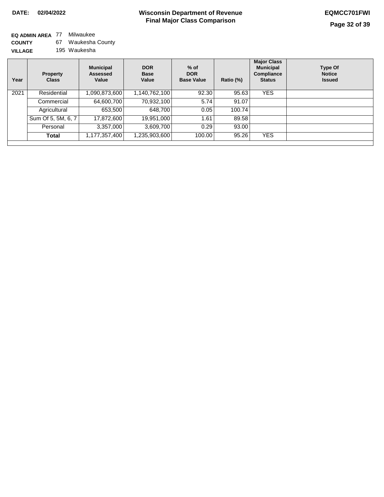#### **EQ ADMIN AREA** 77 Milwaukee **COUNTY VILLAGE** 67 Waukesha County 195 Waukesha

| Year | <b>Property</b><br><b>Class</b> | <b>Municipal</b><br><b>Assessed</b><br>Value | <b>DOR</b><br><b>Base</b><br>Value | $%$ of<br><b>DOR</b><br><b>Base Value</b> | Ratio (%) | <b>Major Class</b><br><b>Municipal</b><br>Compliance<br><b>Status</b> | <b>Type Of</b><br><b>Notice</b><br><b>Issued</b> |
|------|---------------------------------|----------------------------------------------|------------------------------------|-------------------------------------------|-----------|-----------------------------------------------------------------------|--------------------------------------------------|
| 2021 | Residential                     | 1,090,873,600                                | 1,140,762,100                      | 92.30                                     | 95.63     | <b>YES</b>                                                            |                                                  |
|      | Commercial                      | 64,600,700                                   | 70,932,100                         | 5.74                                      | 91.07     |                                                                       |                                                  |
|      | Agricultural                    | 653,500                                      | 648.700                            | 0.05                                      | 100.74    |                                                                       |                                                  |
|      | Sum Of 5, 5M, 6, 7              | 17,872,600                                   | 19,951,000                         | 1.61                                      | 89.58     |                                                                       |                                                  |
|      | Personal                        | 3,357,000                                    | 3,609,700                          | 0.29                                      | 93.00     |                                                                       |                                                  |
|      | <b>Total</b>                    | 1,177,357,400                                | 1,235,903,600                      | 100.00                                    | 95.26     | <b>YES</b>                                                            |                                                  |
|      |                                 |                                              |                                    |                                           |           |                                                                       |                                                  |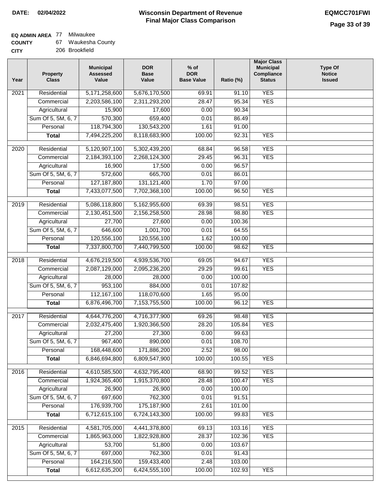### **Wisconsin Department of Revenue Final Major Class Comparison DATE: 02/04/2022 EQMCC701FWI**

٦

# **EQ ADMIN AREA** 77 Milwaukee

| <b>COUNTY</b> | 67. | Waukesha County |
|---------------|-----|-----------------|
| CITY          |     | 206 Brookfield  |

| Year | <b>Property</b><br><b>Class</b> | <b>Municipal</b><br><b>Assessed</b><br>Value | <b>DOR</b><br><b>Base</b><br>Value | $%$ of<br><b>DOR</b><br><b>Base Value</b> | Ratio (%) | <b>Major Class</b><br><b>Municipal</b><br>Compliance<br><b>Status</b> | <b>Type Of</b><br><b>Notice</b><br><b>Issued</b> |
|------|---------------------------------|----------------------------------------------|------------------------------------|-------------------------------------------|-----------|-----------------------------------------------------------------------|--------------------------------------------------|
| 2021 | Residential                     | 5,171,258,600                                | 5,676,170,500                      | 69.91                                     | 91.10     | <b>YES</b>                                                            |                                                  |
|      | Commercial                      | 2,203,586,100                                | 2,311,293,200                      | 28.47                                     | 95.34     | <b>YES</b>                                                            |                                                  |
|      | Agricultural                    | 15,900                                       | 17,600                             | 0.00                                      | 90.34     |                                                                       |                                                  |
|      | Sum Of 5, 5M, 6, 7              | 570,300                                      | 659,400                            | 0.01                                      | 86.49     |                                                                       |                                                  |
|      | Personal                        | 118,794,300                                  | 130,543,200                        | 1.61                                      | 91.00     |                                                                       |                                                  |
|      | <b>Total</b>                    | 7,494,225,200                                | 8,118,683,900                      | 100.00                                    | 92.31     | <b>YES</b>                                                            |                                                  |
| 2020 | Residential                     | 5,120,907,100                                | 5,302,439,200                      | 68.84                                     | 96.58     | <b>YES</b>                                                            |                                                  |
|      | Commercial                      | 2,184,393,100                                | 2,268,124,300                      | 29.45                                     | 96.31     | <b>YES</b>                                                            |                                                  |
|      | Agricultural                    | 16,900                                       | 17,500                             | 0.00                                      | 96.57     |                                                                       |                                                  |
|      | Sum Of 5, 5M, 6, 7              | 572,600                                      | 665,700                            | 0.01                                      | 86.01     |                                                                       |                                                  |
|      | Personal                        | 127, 187, 800                                | 131, 121, 400                      | 1.70                                      | 97.00     |                                                                       |                                                  |
|      | <b>Total</b>                    | 7,433,077,500                                | 7,702,368,100                      | 100.00                                    | 96.50     | <b>YES</b>                                                            |                                                  |
|      |                                 |                                              |                                    |                                           |           |                                                                       |                                                  |
| 2019 | Residential                     | 5,086,118,800                                | 5,162,955,600                      | 69.39                                     | 98.51     | <b>YES</b>                                                            |                                                  |
|      | Commercial                      | 2,130,451,500                                | 2,156,258,500                      | 28.98                                     | 98.80     | <b>YES</b>                                                            |                                                  |
|      | Agricultural                    | 27,700                                       | 27,600                             | 0.00                                      | 100.36    |                                                                       |                                                  |
|      | Sum Of 5, 5M, 6, 7              | 646,600                                      | 1,001,700                          | 0.01                                      | 64.55     |                                                                       |                                                  |
|      | Personal                        | 120,556,100                                  | 120,556,100                        | 1.62                                      | 100.00    |                                                                       |                                                  |
|      | <b>Total</b>                    | 7,337,800,700                                | 7,440,799,500                      | 100.00                                    | 98.62     | <b>YES</b>                                                            |                                                  |
| 2018 | Residential                     | 4,676,219,500                                | 4,939,536,700                      | 69.05                                     | 94.67     | <b>YES</b>                                                            |                                                  |
|      | Commercial                      | 2,087,129,000                                | 2,095,236,200                      | 29.29                                     | 99.61     | <b>YES</b>                                                            |                                                  |
|      | Agricultural                    | 28,000                                       | 28,000                             | 0.00                                      | 100.00    |                                                                       |                                                  |
|      | Sum Of 5, 5M, 6, 7              | 953,100                                      | 884,000                            | 0.01                                      | 107.82    |                                                                       |                                                  |
|      | Personal                        | 112,167,100                                  | 118,070,600                        | 1.65                                      | 95.00     |                                                                       |                                                  |
|      | <b>Total</b>                    | 6,876,496,700                                | 7,153,755,500                      | 100.00                                    | 96.12     | <b>YES</b>                                                            |                                                  |
| 2017 | Residential                     | 4,644,776,200                                | 4,716,377,900                      | 69.26                                     | 98.48     | <b>YES</b>                                                            |                                                  |
|      | Commercial                      | 2,032,475,400                                | 1,920,366,500                      | 28.20                                     | 105.84    | <b>YES</b>                                                            |                                                  |
|      | Agricultural                    | 27,200                                       | 27,300                             | 0.00                                      | 99.63     |                                                                       |                                                  |
|      | Sum Of 5, 5M, 6, 7              | 967,400                                      | 890,000                            | 0.01                                      | 108.70    |                                                                       |                                                  |
|      | Personal                        | 168,448,600                                  | 171,886,200                        | 2.52                                      | 98.00     |                                                                       |                                                  |
|      | <b>Total</b>                    | 6,846,694,800                                | 6,809,547,900                      | 100.00                                    | 100.55    | <b>YES</b>                                                            |                                                  |
|      |                                 |                                              |                                    |                                           |           |                                                                       |                                                  |
| 2016 | Residential                     | 4,610,585,500                                | 4,632,795,400                      | 68.90                                     | 99.52     | <b>YES</b>                                                            |                                                  |
|      | Commercial                      | 1,924,365,400                                | 1,915,370,800                      | 28.48                                     | 100.47    | <b>YES</b>                                                            |                                                  |
|      | Agricultural                    | 26,900                                       | 26,900                             | 0.00                                      | 100.00    |                                                                       |                                                  |
|      | Sum Of 5, 5M, 6, 7              | 697,600                                      | 762,300                            | 0.01                                      | 91.51     |                                                                       |                                                  |
|      | Personal                        | 176,939,700                                  | 175,187,900                        | 2.61                                      | 101.00    |                                                                       |                                                  |
|      | <b>Total</b>                    | 6,712,615,100                                | 6,724,143,300                      | 100.00                                    | 99.83     | <b>YES</b>                                                            |                                                  |
| 2015 | Residential                     | 4,581,705,000                                | 4,441,378,800                      | 69.13                                     | 103.16    | <b>YES</b>                                                            |                                                  |
|      | Commercial                      | 1,865,963,000                                | 1,822,928,800                      | 28.37                                     | 102.36    | <b>YES</b>                                                            |                                                  |
|      | Agricultural                    | 53,700                                       | 51,800                             | 0.00                                      | 103.67    |                                                                       |                                                  |
|      | Sum Of 5, 5M, 6, 7              | 697,000                                      | 762,300                            | 0.01                                      | 91.43     |                                                                       |                                                  |
|      | Personal                        | 164,216,500                                  | 159,433,400                        | 2.48                                      | 103.00    |                                                                       |                                                  |
|      | <b>Total</b>                    | 6,612,635,200                                | 6,424,555,100                      | 100.00                                    | 102.93    | <b>YES</b>                                                            |                                                  |
|      |                                 |                                              |                                    |                                           |           |                                                                       |                                                  |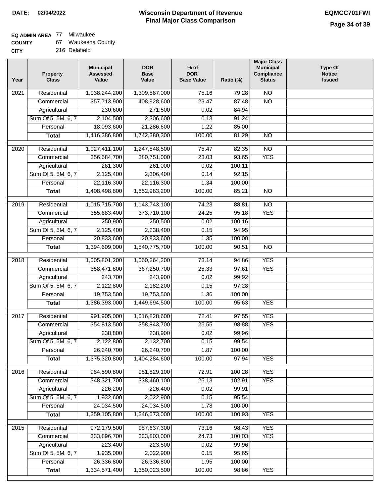### **Wisconsin Department of Revenue Final Major Class Comparison DATE: 02/04/2022 EQMCC701FWI**

### **EQ ADMIN AREA** 77 Milwaukee

| <b>COUNTY</b> | Waukesha County |
|---------------|-----------------|
|---------------|-----------------|

**CITY** 216 Delafield

| Year              | <b>Property</b><br><b>Class</b> | <b>Municipal</b><br><b>Assessed</b><br>Value | <b>DOR</b><br><b>Base</b><br>Value | $%$ of<br><b>DOR</b><br><b>Base Value</b> | Ratio (%) | <b>Major Class</b><br><b>Municipal</b><br>Compliance<br><b>Status</b> | <b>Type Of</b><br><b>Notice</b><br><b>Issued</b> |
|-------------------|---------------------------------|----------------------------------------------|------------------------------------|-------------------------------------------|-----------|-----------------------------------------------------------------------|--------------------------------------------------|
| 2021              | Residential                     | 1,038,244,200                                | 1,309,587,000                      | 75.16                                     | 79.28     | $\overline{NO}$                                                       |                                                  |
|                   | Commercial                      | 357,713,900                                  | 408,928,600                        | 23.47                                     | 87.48     | $\overline{NO}$                                                       |                                                  |
|                   | Agricultural                    | 230,600                                      | 271,500                            | 0.02                                      | 84.94     |                                                                       |                                                  |
|                   | Sum Of 5, 5M, 6, 7              | 2,104,500                                    | 2,306,600                          | 0.13                                      | 91.24     |                                                                       |                                                  |
|                   | Personal                        | 18,093,600                                   | 21,286,600                         | 1.22                                      | 85.00     |                                                                       |                                                  |
|                   | <b>Total</b>                    | 1,416,386,800                                | 1,742,380,300                      | 100.00                                    | 81.29     | $\overline{NO}$                                                       |                                                  |
| 2020              | Residential                     | 1,027,411,100                                | 1,247,548,500                      | 75.47                                     | 82.35     | $\overline{NO}$                                                       |                                                  |
|                   | Commercial                      | 356,584,700                                  | 380,751,000                        | 23.03                                     | 93.65     | <b>YES</b>                                                            |                                                  |
|                   | Agricultural                    | 261,300                                      | 261,000                            | 0.02                                      | 100.11    |                                                                       |                                                  |
|                   | Sum Of 5, 5M, 6, 7              | 2,125,400                                    | 2,306,400                          | 0.14                                      | 92.15     |                                                                       |                                                  |
|                   | Personal                        | 22,116,300                                   | 22,116,300                         | 1.34                                      | 100.00    |                                                                       |                                                  |
|                   | <b>Total</b>                    | 1,408,498,800                                | 1,652,983,200                      | 100.00                                    | 85.21     | $\overline{NO}$                                                       |                                                  |
|                   |                                 |                                              |                                    |                                           |           |                                                                       |                                                  |
| 2019              | Residential                     | 1,015,715,700                                | 1,143,743,100                      | 74.23                                     | 88.81     | $\overline{NO}$                                                       |                                                  |
|                   | Commercial                      | 355,683,400                                  | 373,710,100                        | 24.25                                     | 95.18     | <b>YES</b>                                                            |                                                  |
|                   | Agricultural                    | 250,900                                      | 250,500                            | 0.02                                      | 100.16    |                                                                       |                                                  |
|                   | Sum Of 5, 5M, 6, 7              | 2,125,400                                    | 2,238,400                          | 0.15                                      | 94.95     |                                                                       |                                                  |
|                   | Personal                        | 20,833,600                                   | 20,833,600                         | 1.35                                      | 100.00    |                                                                       |                                                  |
|                   | <b>Total</b>                    | 1,394,609,000                                | 1,540,775,700                      | 100.00                                    | 90.51     | <b>NO</b>                                                             |                                                  |
| $\overline{2018}$ | Residential                     | 1,005,801,200                                | 1,060,264,200                      | 73.14                                     | 94.86     | <b>YES</b>                                                            |                                                  |
|                   | Commercial                      | 358,471,800                                  | 367,250,700                        | 25.33                                     | 97.61     | <b>YES</b>                                                            |                                                  |
|                   | Agricultural                    | 243,700                                      | 243,900                            | 0.02                                      | 99.92     |                                                                       |                                                  |
|                   | Sum Of 5, 5M, 6, 7              | 2,122,800                                    | 2,182,200                          | 0.15                                      | 97.28     |                                                                       |                                                  |
|                   | Personal                        | 19,753,500                                   | 19,753,500                         | 1.36                                      | 100.00    |                                                                       |                                                  |
|                   | <b>Total</b>                    | 1,386,393,000                                | 1,449,694,500                      | 100.00                                    | 95.63     | <b>YES</b>                                                            |                                                  |
| 2017              | Residential                     | 991,905,000                                  | 1,016,828,600                      | 72.41                                     | 97.55     | <b>YES</b>                                                            |                                                  |
|                   | Commercial                      | 354,813,500                                  | 358,843,700                        | 25.55                                     | 98.88     | <b>YES</b>                                                            |                                                  |
|                   | Agricultural                    | 238,800                                      | 238,900                            | 0.02                                      | 99.96     |                                                                       |                                                  |
|                   | Sum Of 5, 5M, 6, 7              | 2,122,800                                    | 2,132,700                          | 0.15                                      | 99.54     |                                                                       |                                                  |
|                   | Personal                        | 26,240,700                                   | 26,240,700                         | 1.87                                      | 100.00    |                                                                       |                                                  |
|                   | <b>Total</b>                    | 1,375,320,800                                | 1,404,284,600                      | 100.00                                    | 97.94     | <b>YES</b>                                                            |                                                  |
|                   |                                 |                                              |                                    |                                           |           |                                                                       |                                                  |
| 2016              | Residential                     | 984,590,800                                  | 981,829,100                        | 72.91                                     | 100.28    | <b>YES</b>                                                            |                                                  |
|                   | Commercial                      | 348,321,700                                  | 338,460,100                        | 25.13                                     | 102.91    | <b>YES</b>                                                            |                                                  |
|                   | Agricultural                    | 226,200                                      | 226,400                            | 0.02                                      | 99.91     |                                                                       |                                                  |
|                   | Sum Of 5, 5M, 6, 7              | 1,932,600                                    | 2,022,900                          | 0.15                                      | 95.54     |                                                                       |                                                  |
|                   | Personal                        | 24,034,500                                   | 24,034,500                         | 1.78                                      | 100.00    |                                                                       |                                                  |
|                   | <b>Total</b>                    | 1,359,105,800                                | 1,346,573,000                      | 100.00                                    | 100.93    | <b>YES</b>                                                            |                                                  |
| 2015              | Residential                     | 972,179,500                                  | 987,637,300                        | 73.16                                     | 98.43     | <b>YES</b>                                                            |                                                  |
|                   | Commercial                      | 333,896,700                                  | 333,803,000                        | 24.73                                     | 100.03    | <b>YES</b>                                                            |                                                  |
|                   | Agricultural                    | 223,400                                      | 223,500                            | 0.02                                      | 99.96     |                                                                       |                                                  |
|                   | Sum Of 5, 5M, 6, 7              | 1,935,000                                    | 2,022,900                          | 0.15                                      | 95.65     |                                                                       |                                                  |
|                   | Personal                        | 26,336,800                                   | 26,336,800                         | 1.95                                      | 100.00    |                                                                       |                                                  |
|                   | <b>Total</b>                    | 1,334,571,400                                | 1,350,023,500                      | 100.00                                    | 98.86     | <b>YES</b>                                                            |                                                  |
|                   |                                 |                                              |                                    |                                           |           |                                                                       |                                                  |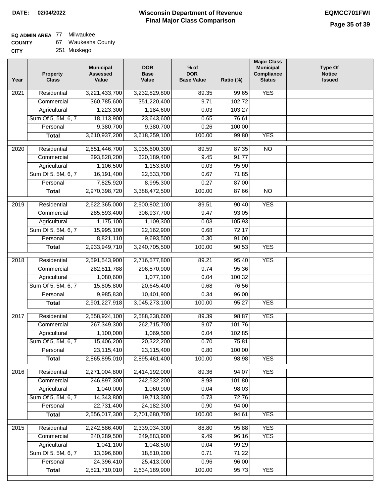# **EQ ADMIN AREA** 77 Milwaukee

| <b>COUNTY</b> | 67. | Waukesha County |
|---------------|-----|-----------------|
| CITY          |     | 251 Muskego     |

| Year              | <b>Property</b><br><b>Class</b>    | <b>Municipal</b><br><b>Assessed</b><br>Value | <b>DOR</b><br><b>Base</b><br>Value | % of<br><b>DOR</b><br><b>Base Value</b> | Ratio (%)      | <b>Major Class</b><br><b>Municipal</b><br>Compliance<br><b>Status</b> | <b>Type Of</b><br><b>Notice</b><br><b>Issued</b> |
|-------------------|------------------------------------|----------------------------------------------|------------------------------------|-----------------------------------------|----------------|-----------------------------------------------------------------------|--------------------------------------------------|
| $\overline{202}1$ | Residential                        | 3,221,433,700                                | 3,232,829,800                      | 89.35                                   | 99.65          | <b>YES</b>                                                            |                                                  |
|                   | Commercial                         | 360,785,600                                  | 351,220,400                        | 9.71                                    | 102.72         |                                                                       |                                                  |
|                   | Agricultural                       | 1,223,300                                    | 1,184,600                          | 0.03                                    | 103.27         |                                                                       |                                                  |
|                   | Sum Of 5, 5M, 6, 7                 | 18,113,900                                   | 23,643,600                         | 0.65                                    | 76.61          |                                                                       |                                                  |
|                   | Personal                           | 9,380,700                                    | 9,380,700                          | 0.26                                    | 100.00         |                                                                       |                                                  |
|                   | <b>Total</b>                       | 3,610,937,200                                | 3,618,259,100                      | 100.00                                  | 99.80          | <b>YES</b>                                                            |                                                  |
| $\overline{2020}$ | Residential                        | 2,651,446,700                                | 3,035,600,300                      | 89.59                                   | 87.35          | $\overline{NO}$                                                       |                                                  |
|                   | Commercial                         | 293,828,200                                  | 320,189,400                        | 9.45                                    | 91.77          |                                                                       |                                                  |
|                   | Agricultural                       | 1,106,500                                    | 1,153,800                          | 0.03                                    | 95.90          |                                                                       |                                                  |
|                   | Sum Of 5, 5M, 6, 7                 | 16,191,400                                   | 22,533,700                         | 0.67                                    | 71.85          |                                                                       |                                                  |
|                   | Personal                           | 7,825,920                                    | 8,995,300                          | 0.27                                    | 87.00          |                                                                       |                                                  |
|                   | <b>Total</b>                       | 2,970,398,720                                | 3,388,472,500                      | 100.00                                  | 87.66          | $\overline{NO}$                                                       |                                                  |
| 2019              | Residential                        |                                              |                                    | 89.51                                   | 90.40          | <b>YES</b>                                                            |                                                  |
|                   | Commercial                         | 2,622,365,000<br>285,593,400                 | 2,900,802,100<br>306,937,700       | 9.47                                    | 93.05          |                                                                       |                                                  |
|                   |                                    | 1,175,100                                    | 1,109,300                          | 0.03                                    | 105.93         |                                                                       |                                                  |
|                   | Agricultural<br>Sum Of 5, 5M, 6, 7 | 15,995,100                                   | 22,162,900                         | 0.68                                    | 72.17          |                                                                       |                                                  |
|                   | Personal                           | 8,821,110                                    | 9,693,500                          | 0.30                                    | 91.00          |                                                                       |                                                  |
|                   | <b>Total</b>                       | 2,933,949,710                                | 3,240,705,500                      | 100.00                                  | 90.53          | <b>YES</b>                                                            |                                                  |
|                   |                                    |                                              |                                    |                                         |                |                                                                       |                                                  |
| 2018              | Residential                        | 2,591,543,900                                | 2,716,577,800                      | 89.21                                   | 95.40          | <b>YES</b>                                                            |                                                  |
|                   | Commercial                         | 282,811,788                                  | 296,570,900                        | 9.74                                    | 95.36          |                                                                       |                                                  |
|                   | Agricultural                       | 1,080,600                                    | 1,077,100                          | 0.04                                    | 100.32         |                                                                       |                                                  |
|                   | Sum Of 5, 5M, 6, 7                 | 15,805,800                                   | 20,645,400                         | 0.68                                    | 76.56          |                                                                       |                                                  |
|                   | Personal                           | 9,985,830                                    | 10,401,900                         | 0.34                                    | 96.00          |                                                                       |                                                  |
|                   | <b>Total</b>                       | 2,901,227,918                                | 3,045,273,100                      | 100.00                                  | 95.27          | <b>YES</b>                                                            |                                                  |
| 2017              | Residential                        | 2,558,924,100                                | 2,588,238,600                      | 89.39                                   | 98.87          | <b>YES</b>                                                            |                                                  |
|                   | Commercial                         | 267,349,300                                  | 262,715,700                        | 9.07                                    | 101.76         |                                                                       |                                                  |
|                   | Agricultural                       | 1,100,000                                    | 1,069,500                          | 0.04                                    | 102.85         |                                                                       |                                                  |
|                   | Sum Of 5, 5M, 6, 7                 | 15,406,200                                   | 20,322,200                         | 0.70                                    | 75.81          |                                                                       |                                                  |
|                   | Personal                           | 23,115,410                                   | 23,115,400                         | 0.80                                    | 100.00         |                                                                       |                                                  |
|                   | <b>Total</b>                       | 2,865,895,010                                | 2,895,461,400                      | 100.00                                  | 98.98          | <b>YES</b>                                                            |                                                  |
| 2016              | Residential                        | 2,271,004,800                                | 2,414,192,000                      | 89.36                                   | 94.07          | <b>YES</b>                                                            |                                                  |
|                   | Commercial                         | 246,897,300                                  | 242,532,200                        | 8.98                                    | 101.80         |                                                                       |                                                  |
|                   | Agricultural                       | 1,040,000                                    | 1,060,900                          | 0.04                                    | 98.03          |                                                                       |                                                  |
|                   | Sum Of 5, 5M, 6, 7                 | 14,343,800                                   | 19,713,300                         | 0.73                                    | 72.76          |                                                                       |                                                  |
|                   | Personal                           | 22,731,400                                   | 24, 182, 300                       | 0.90                                    | 94.00          |                                                                       |                                                  |
|                   | <b>Total</b>                       | 2,556,017,300                                | 2,701,680,700                      | 100.00                                  | 94.61          | <b>YES</b>                                                            |                                                  |
|                   |                                    |                                              |                                    |                                         |                |                                                                       |                                                  |
| 2015              | Residential<br>Commercial          | 2,242,586,400<br>240,289,500                 | 2,339,034,300<br>249,883,900       | 88.80<br>9.49                           | 95.88<br>96.16 | <b>YES</b><br><b>YES</b>                                              |                                                  |
|                   | Agricultural                       | 1,041,100                                    | 1,048,500                          | 0.04                                    | 99.29          |                                                                       |                                                  |
|                   | Sum Of 5, 5M, 6, 7                 | 13,396,600                                   | 18,810,200                         | 0.71                                    | 71.22          |                                                                       |                                                  |
|                   | Personal                           | 24,396,410                                   | 25,413,000                         | 0.96                                    | 96.00          |                                                                       |                                                  |
|                   | <b>Total</b>                       | 2,521,710,010                                | 2,634,189,900                      | 100.00                                  | 95.73          | <b>YES</b>                                                            |                                                  |
|                   |                                    |                                              |                                    |                                         |                |                                                                       |                                                  |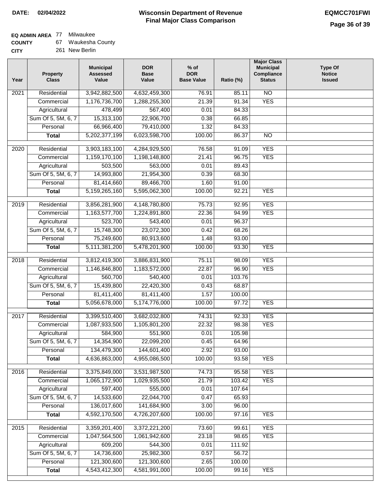### **EQ ADMIN AREA** 77 Milwaukee

**COUNTY** 67 Waukesha County

| Year              | <b>Property</b><br><b>Class</b> | <b>Municipal</b><br><b>Assessed</b><br>Value | <b>DOR</b><br><b>Base</b><br>Value | $%$ of<br><b>DOR</b><br><b>Base Value</b> | Ratio (%) | <b>Major Class</b><br><b>Municipal</b><br>Compliance<br><b>Status</b> | <b>Type Of</b><br><b>Notice</b><br><b>Issued</b> |
|-------------------|---------------------------------|----------------------------------------------|------------------------------------|-------------------------------------------|-----------|-----------------------------------------------------------------------|--------------------------------------------------|
| $\overline{202}1$ | Residential                     | 3,942,882,500                                | 4,632,459,300                      | 76.91                                     | 85.11     | N <sub>O</sub>                                                        |                                                  |
|                   | Commercial                      | 1,176,736,700                                | 1,288,255,300                      | 21.39                                     | 91.34     | <b>YES</b>                                                            |                                                  |
|                   | Agricultural                    | 478,499                                      | 567,400                            | 0.01                                      | 84.33     |                                                                       |                                                  |
|                   | Sum Of 5, 5M, 6, 7              | 15,313,100                                   | 22,906,700                         | 0.38                                      | 66.85     |                                                                       |                                                  |
|                   | Personal                        | 66,966,400                                   | 79,410,000                         | 1.32                                      | 84.33     |                                                                       |                                                  |
|                   | <b>Total</b>                    | 5,202,377,199                                | 6,023,598,700                      | 100.00                                    | 86.37     | $\overline{NO}$                                                       |                                                  |
| $\overline{2020}$ | Residential                     | 3,903,183,100                                | 4,284,929,500                      | 76.58                                     | 91.09     | <b>YES</b>                                                            |                                                  |
|                   | Commercial                      | 1,159,170,100                                | 1,198,148,800                      | 21.41                                     | 96.75     | <b>YES</b>                                                            |                                                  |
|                   | Agricultural                    | 503,500                                      | 563,000                            | 0.01                                      | 89.43     |                                                                       |                                                  |
|                   | Sum Of 5, 5M, 6, 7              | 14,993,800                                   | 21,954,300                         | 0.39                                      | 68.30     |                                                                       |                                                  |
|                   | Personal                        | 81,414,660                                   | 89,466,700                         | 1.60                                      | 91.00     |                                                                       |                                                  |
|                   | <b>Total</b>                    | 5,159,265,160                                | 5,595,062,300                      | 100.00                                    | 92.21     | <b>YES</b>                                                            |                                                  |
| 2019              | Residential                     | 3,856,281,900                                | 4,148,780,800                      | 75.73                                     | 92.95     | <b>YES</b>                                                            |                                                  |
|                   | Commercial                      | 1,163,577,700                                | 1,224,891,800                      | 22.36                                     | 94.99     | <b>YES</b>                                                            |                                                  |
|                   | Agricultural                    | 523,700                                      | 543,400                            | 0.01                                      | 96.37     |                                                                       |                                                  |
|                   | Sum Of 5, 5M, 6, 7              | 15,748,300                                   | 23,072,300                         | 0.42                                      | 68.26     |                                                                       |                                                  |
|                   | Personal                        | 75,249,600                                   | 80,913,600                         | 1.48                                      | 93.00     |                                                                       |                                                  |
|                   | <b>Total</b>                    | 5,111,381,200                                | 5,478,201,900                      | 100.00                                    | 93.30     | <b>YES</b>                                                            |                                                  |
|                   |                                 |                                              |                                    |                                           |           |                                                                       |                                                  |
| 2018              | Residential                     | 3,812,419,300                                | 3,886,831,900                      | 75.11                                     | 98.09     | <b>YES</b>                                                            |                                                  |
|                   | Commercial                      | 1,146,846,800                                | 1,183,572,000                      | 22.87                                     | 96.90     | <b>YES</b>                                                            |                                                  |
|                   | Agricultural                    | 560,700                                      | 540,400                            | 0.01                                      | 103.76    |                                                                       |                                                  |
|                   | Sum Of 5, 5M, 6, 7              | 15,439,800                                   | 22,420,300                         | 0.43                                      | 68.87     |                                                                       |                                                  |
|                   | Personal                        | 81,411,400                                   | 81,411,400                         | 1.57                                      | 100.00    |                                                                       |                                                  |
|                   | <b>Total</b>                    | 5,056,678,000                                | 5,174,776,000                      | 100.00                                    | 97.72     | <b>YES</b>                                                            |                                                  |
| $\overline{2017}$ | Residential                     | 3,399,510,400                                | 3,682,032,800                      | 74.31                                     | 92.33     | <b>YES</b>                                                            |                                                  |
|                   | Commercial                      | 1,087,933,500                                | 1,105,801,200                      | 22.32                                     | 98.38     | <b>YES</b>                                                            |                                                  |
|                   | Agricultural                    | 584,900                                      | 551,900                            | 0.01                                      | 105.98    |                                                                       |                                                  |
|                   | Sum Of 5, 5M, 6, 7              | 14,354,900                                   | 22,099,200                         | 0.45                                      | 64.96     |                                                                       |                                                  |
|                   | Personal                        | 134,479,300                                  | 144,601,400                        | 2.92                                      | 93.00     |                                                                       |                                                  |
|                   | <b>Total</b>                    | 4,636,863,000                                | 4,955,086,500                      | 100.00                                    | 93.58     | <b>YES</b>                                                            |                                                  |
| 2016              | Residential                     | 3,375,849,000                                | 3,531,987,500                      | 74.73                                     | 95.58     | <b>YES</b>                                                            |                                                  |
|                   | Commercial                      | 1,065,172,900                                | 1,029,935,500                      | 21.79                                     | 103.42    | <b>YES</b>                                                            |                                                  |
|                   | Agricultural                    | 597,400                                      | 555,000                            | 0.01                                      | 107.64    |                                                                       |                                                  |
|                   | Sum Of 5, 5M, 6, 7              | 14,533,600                                   | 22,044,700                         | 0.47                                      | 65.93     |                                                                       |                                                  |
|                   | Personal                        | 136,017,600                                  | 141,684,900                        | 3.00                                      | 96.00     |                                                                       |                                                  |
|                   | <b>Total</b>                    | 4,592,170,500                                | 4,726,207,600                      | 100.00                                    | 97.16     | <b>YES</b>                                                            |                                                  |
| 2015              | Residential                     | 3,359,201,400                                | 3,372,221,200                      | 73.60                                     | 99.61     | <b>YES</b>                                                            |                                                  |
|                   | Commercial                      | 1,047,564,500                                | 1,061,942,600                      | 23.18                                     | 98.65     | <b>YES</b>                                                            |                                                  |
|                   | Agricultural                    | 609,200                                      | 544,300                            | 0.01                                      | 111.92    |                                                                       |                                                  |
|                   | Sum Of 5, 5M, 6, 7              | 14,736,600                                   | 25,982,300                         | 0.57                                      | 56.72     |                                                                       |                                                  |
|                   | Personal                        | 121,300,600                                  | 121,300,600                        | 2.65                                      | 100.00    |                                                                       |                                                  |
|                   | <b>Total</b>                    | 4,543,412,300                                | 4,581,991,000                      | 100.00                                    | 99.16     | <b>YES</b>                                                            |                                                  |
|                   |                                 |                                              |                                    |                                           |           |                                                                       |                                                  |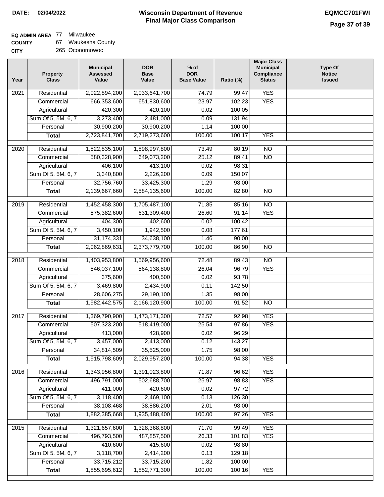### **Wisconsin Department of Revenue Final Major Class Comparison DATE: 02/04/2022 EQMCC701FWI**

٦

### **EQ ADMIN AREA** 77 Milwaukee

**COUNTY** 67 Waukesha County

| CITY | 265 Oconomowoc |
|------|----------------|
|      |                |

| Year | Property<br><b>Class</b> | <b>Municipal</b><br><b>Assessed</b><br>Value | <b>DOR</b><br><b>Base</b><br>Value | $%$ of<br><b>DOR</b><br><b>Base Value</b> | Ratio (%) | <b>Major Class</b><br><b>Municipal</b><br>Compliance<br><b>Status</b> | <b>Type Of</b><br><b>Notice</b><br><b>Issued</b> |
|------|--------------------------|----------------------------------------------|------------------------------------|-------------------------------------------|-----------|-----------------------------------------------------------------------|--------------------------------------------------|
| 2021 | Residential              | 2,022,894,200                                | 2,033,641,700                      | 74.79                                     | 99.47     | <b>YES</b>                                                            |                                                  |
|      | Commercial               | 666,353,600                                  | 651,830,600                        | 23.97                                     | 102.23    | <b>YES</b>                                                            |                                                  |
|      | Agricultural             | 420,300                                      | 420,100                            | 0.02                                      | 100.05    |                                                                       |                                                  |
|      | Sum Of 5, 5M, 6, 7       | 3,273,400                                    | 2,481,000                          | 0.09                                      | 131.94    |                                                                       |                                                  |
|      | Personal                 | 30,900,200                                   | 30,900,200                         | 1.14                                      | 100.00    |                                                                       |                                                  |
|      | <b>Total</b>             | 2,723,841,700                                | 2,719,273,600                      | 100.00                                    | 100.17    | <b>YES</b>                                                            |                                                  |
| 2020 | Residential              | 1,522,835,100                                | 1,898,997,800                      | 73.49                                     | 80.19     | $\overline{NO}$                                                       |                                                  |
|      | Commercial               | 580,328,900                                  | 649,073,200                        | 25.12                                     | 89.41     | $\overline{NO}$                                                       |                                                  |
|      | Agricultural             | 406,100                                      | 413,100                            | 0.02                                      | 98.31     |                                                                       |                                                  |
|      | Sum Of 5, 5M, 6, 7       | 3,340,800                                    | 2,226,200                          | 0.09                                      | 150.07    |                                                                       |                                                  |
|      | Personal                 | 32,756,760                                   | 33,425,300                         | 1.29                                      | 98.00     |                                                                       |                                                  |
|      | <b>Total</b>             | 2,139,667,660                                | 2,584,135,600                      | 100.00                                    | 82.80     | $\overline{NO}$                                                       |                                                  |
|      |                          |                                              |                                    |                                           |           |                                                                       |                                                  |
| 2019 | Residential              | 1,452,458,300                                | 1,705,487,100                      | 71.85                                     | 85.16     | $\overline{NO}$                                                       |                                                  |
|      | Commercial               | 575,382,600                                  | 631,309,400                        | 26.60                                     | 91.14     | <b>YES</b>                                                            |                                                  |
|      | Agricultural             | 404,300                                      | 402,600                            | 0.02                                      | 100.42    |                                                                       |                                                  |
|      | Sum Of 5, 5M, 6, 7       | 3,450,100                                    | 1,942,500                          | 0.08                                      | 177.61    |                                                                       |                                                  |
|      | Personal                 | 31, 174, 331                                 | 34,638,100                         | 1.46                                      | 90.00     |                                                                       |                                                  |
|      | <b>Total</b>             | 2,062,869,631                                | 2,373,779,700                      | 100.00                                    | 86.90     | <b>NO</b>                                                             |                                                  |
| 2018 | Residential              | 1,403,953,800                                | 1,569,956,600                      | 72.48                                     | 89.43     | $\overline{NO}$                                                       |                                                  |
|      | Commercial               | 546,037,100                                  | 564,138,800                        | 26.04                                     | 96.79     | <b>YES</b>                                                            |                                                  |
|      | Agricultural             | 375,600                                      | 400,500                            | 0.02                                      | 93.78     |                                                                       |                                                  |
|      | Sum Of 5, 5M, 6, 7       | 3,469,800                                    | 2,434,900                          | 0.11                                      | 142.50    |                                                                       |                                                  |
|      | Personal                 | 28,606,275                                   | 29,190,100                         | 1.35                                      | 98.00     |                                                                       |                                                  |
|      | <b>Total</b>             | 1,982,442,575                                | 2,166,120,900                      | 100.00                                    | 91.52     | $\overline{NO}$                                                       |                                                  |
| 2017 | Residential              | 1,369,790,900                                | 1,473,171,300                      | 72.57                                     | 92.98     | <b>YES</b>                                                            |                                                  |
|      | Commercial               | 507,323,200                                  | 518,419,000                        | 25.54                                     | 97.86     | <b>YES</b>                                                            |                                                  |
|      | Agricultural             | 413,000                                      | 428,900                            | 0.02                                      | 96.29     |                                                                       |                                                  |
|      | Sum Of 5, 5M, 6, 7       | 3,457,000                                    | 2,413,000                          | 0.12                                      | 143.27    |                                                                       |                                                  |
|      | Personal                 | 34,814,509                                   | 35,525,000                         | 1.75                                      | 98.00     |                                                                       |                                                  |
|      | <b>Total</b>             | 1,915,798,609                                | 2,029,957,200                      | 100.00                                    | 94.38     | <b>YES</b>                                                            |                                                  |
|      |                          |                                              |                                    |                                           |           |                                                                       |                                                  |
| 2016 | Residential              | 1,343,956,800                                | 1,391,023,800                      | 71.87                                     | 96.62     | <b>YES</b>                                                            |                                                  |
|      | Commercial               | 496,791,000                                  | 502,688,700                        | 25.97                                     | 98.83     | <b>YES</b>                                                            |                                                  |
|      | Agricultural             | 411,000                                      | 420,600                            | 0.02                                      | 97.72     |                                                                       |                                                  |
|      | Sum Of 5, 5M, 6, 7       | 3,118,400                                    | 2,469,100                          | 0.13                                      | 126.30    |                                                                       |                                                  |
|      | Personal                 | 38,108,468                                   | 38,886,200                         | 2.01                                      | 98.00     |                                                                       |                                                  |
|      | <b>Total</b>             | 1,882,385,668                                | 1,935,488,400                      | 100.00                                    | 97.26     | <b>YES</b>                                                            |                                                  |
| 2015 | Residential              | 1,321,657,600                                | 1,328,368,800                      | 71.70                                     | 99.49     | <b>YES</b>                                                            |                                                  |
|      | Commercial               | 496,793,500                                  | 487,857,500                        | 26.33                                     | 101.83    | <b>YES</b>                                                            |                                                  |
|      | Agricultural             | 410,600                                      | 415,600                            | 0.02                                      | 98.80     |                                                                       |                                                  |
|      | Sum Of 5, 5M, 6, 7       | 3,118,700                                    | 2,414,200                          | 0.13                                      | 129.18    |                                                                       |                                                  |
|      | Personal                 | 33,715,212                                   | 33,715,200                         | 1.82                                      | 100.00    |                                                                       |                                                  |
|      | <b>Total</b>             | 1,855,695,612                                | 1,852,771,300                      | 100.00                                    | 100.16    | <b>YES</b>                                                            |                                                  |
|      |                          |                                              |                                    |                                           |           |                                                                       |                                                  |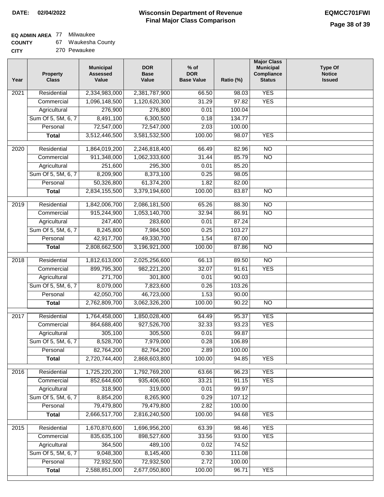٦

### **EQ ADMIN AREA** 77 Milwaukee

| <b>COUNTY</b> | Waukesha County |  |
|---------------|-----------------|--|
|---------------|-----------------|--|

| Year              | <b>Property</b><br><b>Class</b> | <b>Municipal</b><br><b>Assessed</b><br>Value | <b>DOR</b><br><b>Base</b><br>Value | $%$ of<br><b>DOR</b><br><b>Base Value</b> | Ratio (%) | <b>Major Class</b><br><b>Municipal</b><br>Compliance<br><b>Status</b> | <b>Type Of</b><br><b>Notice</b><br><b>Issued</b> |
|-------------------|---------------------------------|----------------------------------------------|------------------------------------|-------------------------------------------|-----------|-----------------------------------------------------------------------|--------------------------------------------------|
| 2021              | Residential                     | 2,334,983,000                                | 2,381,787,900                      | 66.50                                     | 98.03     | <b>YES</b>                                                            |                                                  |
|                   | Commercial                      | 1,096,148,500                                | 1,120,620,300                      | 31.29                                     | 97.82     | <b>YES</b>                                                            |                                                  |
|                   | Agricultural                    | 276,900                                      | 276,800                            | 0.01                                      | 100.04    |                                                                       |                                                  |
|                   | Sum Of 5, 5M, 6, 7              | 8,491,100                                    | 6,300,500                          | 0.18                                      | 134.77    |                                                                       |                                                  |
|                   | Personal                        | 72,547,000                                   | 72,547,000                         | 2.03                                      | 100.00    |                                                                       |                                                  |
|                   | <b>Total</b>                    | 3,512,446,500                                | 3,581,532,500                      | 100.00                                    | 98.07     | <b>YES</b>                                                            |                                                  |
| 2020              | Residential                     | 1,864,019,200                                | 2,246,818,400                      | 66.49                                     | 82.96     | $\overline{NO}$                                                       |                                                  |
|                   | Commercial                      | 911,348,000                                  | 1,062,333,600                      | 31.44                                     | 85.79     | $\overline{NO}$                                                       |                                                  |
|                   | Agricultural                    | 251,600                                      | 295,300                            | 0.01                                      | 85.20     |                                                                       |                                                  |
|                   | Sum Of 5, 5M, 6, 7              | 8,209,900                                    | 8,373,100                          | 0.25                                      | 98.05     |                                                                       |                                                  |
|                   | Personal                        | 50,326,800                                   | 61,374,200                         | 1.82                                      | 82.00     |                                                                       |                                                  |
|                   | <b>Total</b>                    | 2,834,155,500                                | 3,379,194,600                      | 100.00                                    | 83.87     | $\overline{NO}$                                                       |                                                  |
|                   |                                 |                                              |                                    |                                           |           |                                                                       |                                                  |
| 2019              | Residential                     | 1,842,006,700                                | 2,086,181,500                      | 65.26                                     | 88.30     | <b>NO</b>                                                             |                                                  |
|                   | Commercial                      | 915,244,900                                  | 1,053,140,700                      | 32.94                                     | 86.91     | $\overline{NO}$                                                       |                                                  |
|                   | Agricultural                    | 247,400                                      | 283,600                            | 0.01                                      | 87.24     |                                                                       |                                                  |
|                   | Sum Of 5, 5M, 6, 7              | 8,245,800                                    | 7,984,500                          | 0.25                                      | 103.27    |                                                                       |                                                  |
|                   | Personal                        | 42,917,700                                   | 49,330,700                         | 1.54                                      | 87.00     |                                                                       |                                                  |
|                   | <b>Total</b>                    | 2,808,662,500                                | 3,196,921,000                      | 100.00                                    | 87.86     | $\overline{NO}$                                                       |                                                  |
| $\overline{2018}$ | Residential                     | 1,812,613,000                                | 2,025,256,600                      | 66.13                                     | 89.50     | $\overline{10}$                                                       |                                                  |
|                   | Commercial                      | 899,795,300                                  | 982,221,200                        | 32.07                                     | 91.61     | <b>YES</b>                                                            |                                                  |
|                   | Agricultural                    | 271,700                                      | 301,800                            | 0.01                                      | 90.03     |                                                                       |                                                  |
|                   | Sum Of 5, 5M, 6, 7              | 8,079,000                                    | 7,823,600                          | 0.26                                      | 103.26    |                                                                       |                                                  |
|                   | Personal                        | 42,050,700                                   | 46,723,000                         | 1.53                                      | 90.00     |                                                                       |                                                  |
|                   | <b>Total</b>                    | 2,762,809,700                                | 3,062,326,200                      | 100.00                                    | 90.22     | <b>NO</b>                                                             |                                                  |
| 2017              | Residential                     | 1,764,458,000                                | 1,850,028,400                      | 64.49                                     | 95.37     | <b>YES</b>                                                            |                                                  |
|                   | Commercial                      | 864,688,400                                  | 927,526,700                        | 32.33                                     | 93.23     | <b>YES</b>                                                            |                                                  |
|                   | Agricultural                    | 305,100                                      | 305,500                            | 0.01                                      | 99.87     |                                                                       |                                                  |
|                   | Sum Of 5, 5M, 6, 7              | 8,528,700                                    | 7,979,000                          | 0.28                                      | 106.89    |                                                                       |                                                  |
|                   | Personal                        | 82,764,200                                   | 82,764,200                         | 2.89                                      | 100.00    |                                                                       |                                                  |
|                   | <b>Total</b>                    | 2,720,744,400                                | 2,868,603,800                      | 100.00                                    | 94.85     | <b>YES</b>                                                            |                                                  |
|                   |                                 |                                              |                                    |                                           |           |                                                                       |                                                  |
| 2016              | Residential                     | 1,725,220,200                                | 1,792,769,200                      | 63.66                                     | 96.23     | <b>YES</b>                                                            |                                                  |
|                   | Commercial                      | 852,644,600                                  | 935,406,600                        | 33.21                                     | 91.15     | <b>YES</b>                                                            |                                                  |
|                   | Agricultural                    | 318,900                                      | 319,000                            | 0.01                                      | 99.97     |                                                                       |                                                  |
|                   | Sum Of 5, 5M, 6, 7              | 8,854,200                                    | 8,265,900                          | 0.29                                      | 107.12    |                                                                       |                                                  |
|                   | Personal                        | 79,479,800                                   | 79,479,800                         | 2.82                                      | 100.00    |                                                                       |                                                  |
|                   | <b>Total</b>                    | 2,666,517,700                                | 2,816,240,500                      | 100.00                                    | 94.68     | <b>YES</b>                                                            |                                                  |
| 2015              | Residential                     | 1,670,870,600                                | 1,696,956,200                      | 63.39                                     | 98.46     | <b>YES</b>                                                            |                                                  |
|                   | Commercial                      | 835,635,100                                  | 898,527,600                        | 33.56                                     | 93.00     | <b>YES</b>                                                            |                                                  |
|                   | Agricultural                    | 364,500                                      | 489,100                            | 0.02                                      | 74.52     |                                                                       |                                                  |
|                   | Sum Of 5, 5M, 6, 7              | 9,048,300                                    | 8,145,400                          | 0.30                                      | 111.08    |                                                                       |                                                  |
|                   | Personal                        | 72,932,500                                   | 72,932,500                         | 2.72                                      | 100.00    |                                                                       |                                                  |
|                   | <b>Total</b>                    | 2,588,851,000                                | 2,677,050,800                      | 100.00                                    | 96.71     | <b>YES</b>                                                            |                                                  |
|                   |                                 |                                              |                                    |                                           |           |                                                                       |                                                  |